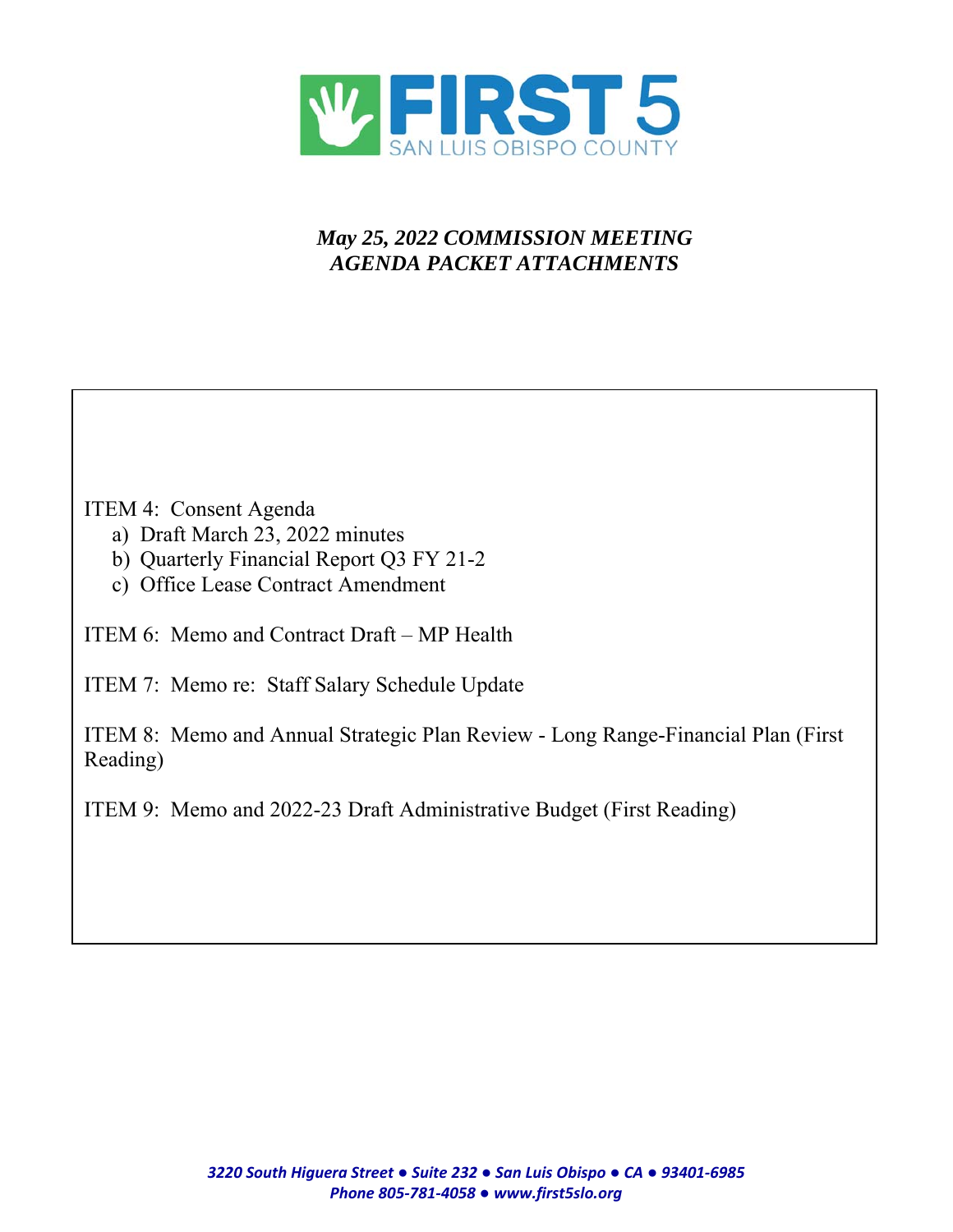

# *May 25, 2022 COMMISSION MEETING AGENDA PACKET ATTACHMENTS*

# ITEM 4: Consent Agenda

- a) Draft March 23, 2022 minutes
- b) Quarterly Financial Report Q3 FY 21-2
- c) Office Lease Contract Amendment

ITEM 6: Memo and Contract Draft – MP Health

ITEM 7: Memo re: Staff Salary Schedule Update

ITEM 8: Memo and Annual Strategic Plan Review - Long Range-Financial Plan (First Reading)

ITEM 9: Memo and 2022-23 Draft Administrative Budget (First Reading)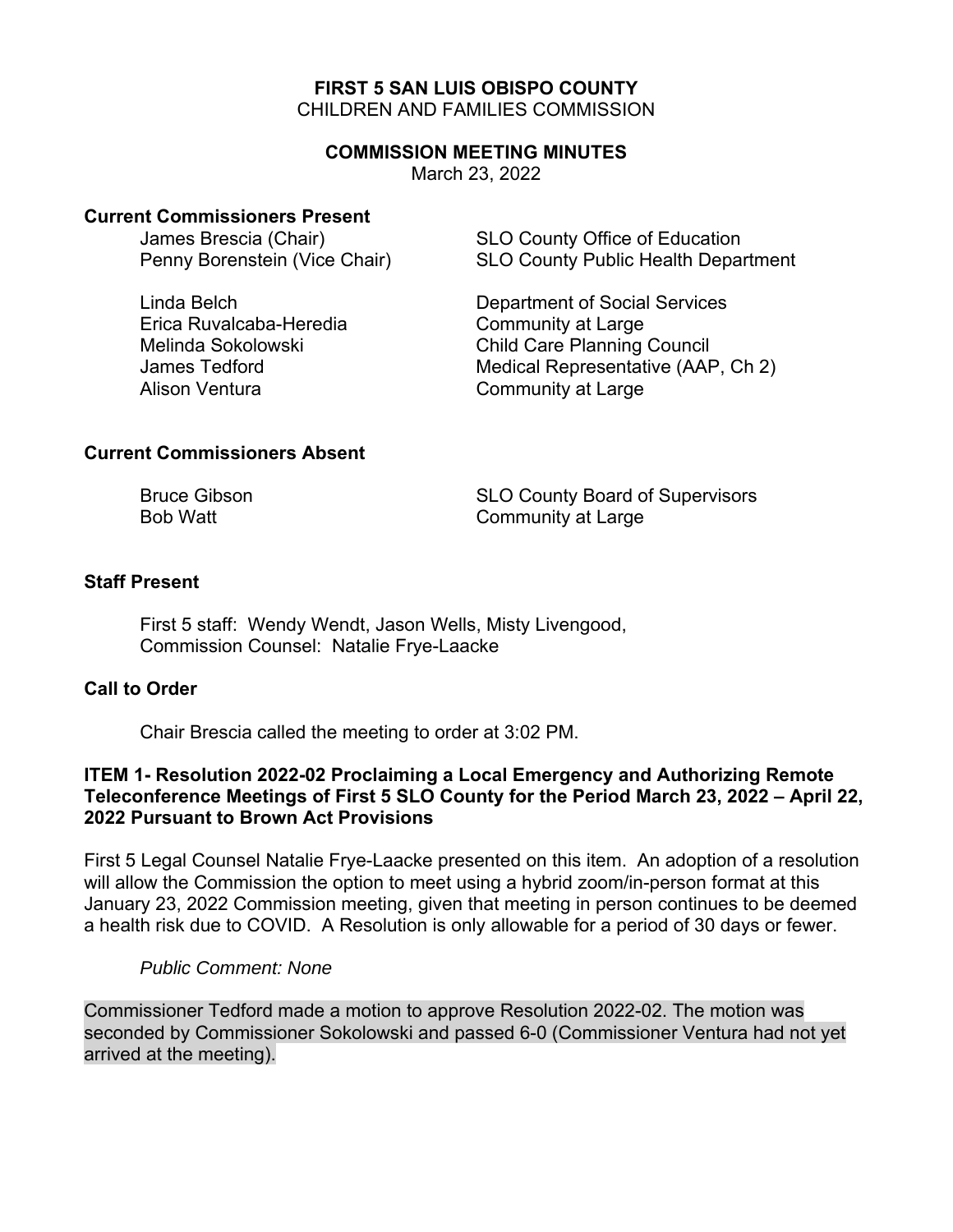# **FIRST 5 SAN LUIS OBISPO COUNTY**  CHILDREN AND FAMILIES COMMISSION

#### **COMMISSION MEETING MINUTES**

March 23, 2022

#### **Current Commissioners Present**

Erica Ruvalcaba-Heredia Community at Large Alison Ventura **Community** at Large

James Brescia (Chair) SLO County Office of Education Penny Borenstein (Vice Chair) SLO County Public Health Department

Linda Belch Department of Social Services Melinda Sokolowski Child Care Planning Council James Tedford **Medical Representative (AAP, Ch 2)** 

# **Current Commissioners Absent**

Bruce Gibson SLO County Board of Supervisors Bob Watt **Community at Large** 

# **Staff Present**

First 5 staff: Wendy Wendt, Jason Wells, Misty Livengood, Commission Counsel: Natalie Frye-Laacke

# **Call to Order**

Chair Brescia called the meeting to order at 3:02 PM.

# **ITEM 1- Resolution 2022-02 Proclaiming a Local Emergency and Authorizing Remote Teleconference Meetings of First 5 SLO County for the Period March 23, 2022 – April 22, 2022 Pursuant to Brown Act Provisions**

First 5 Legal Counsel Natalie Frye-Laacke presented on this item. An adoption of a resolution will allow the Commission the option to meet using a hybrid zoom/in-person format at this January 23, 2022 Commission meeting, given that meeting in person continues to be deemed a health risk due to COVID. A Resolution is only allowable for a period of 30 days or fewer.

# *Public Comment: None*

Commissioner Tedford made a motion to approve Resolution 2022-02. The motion was seconded by Commissioner Sokolowski and passed 6-0 (Commissioner Ventura had not yet arrived at the meeting).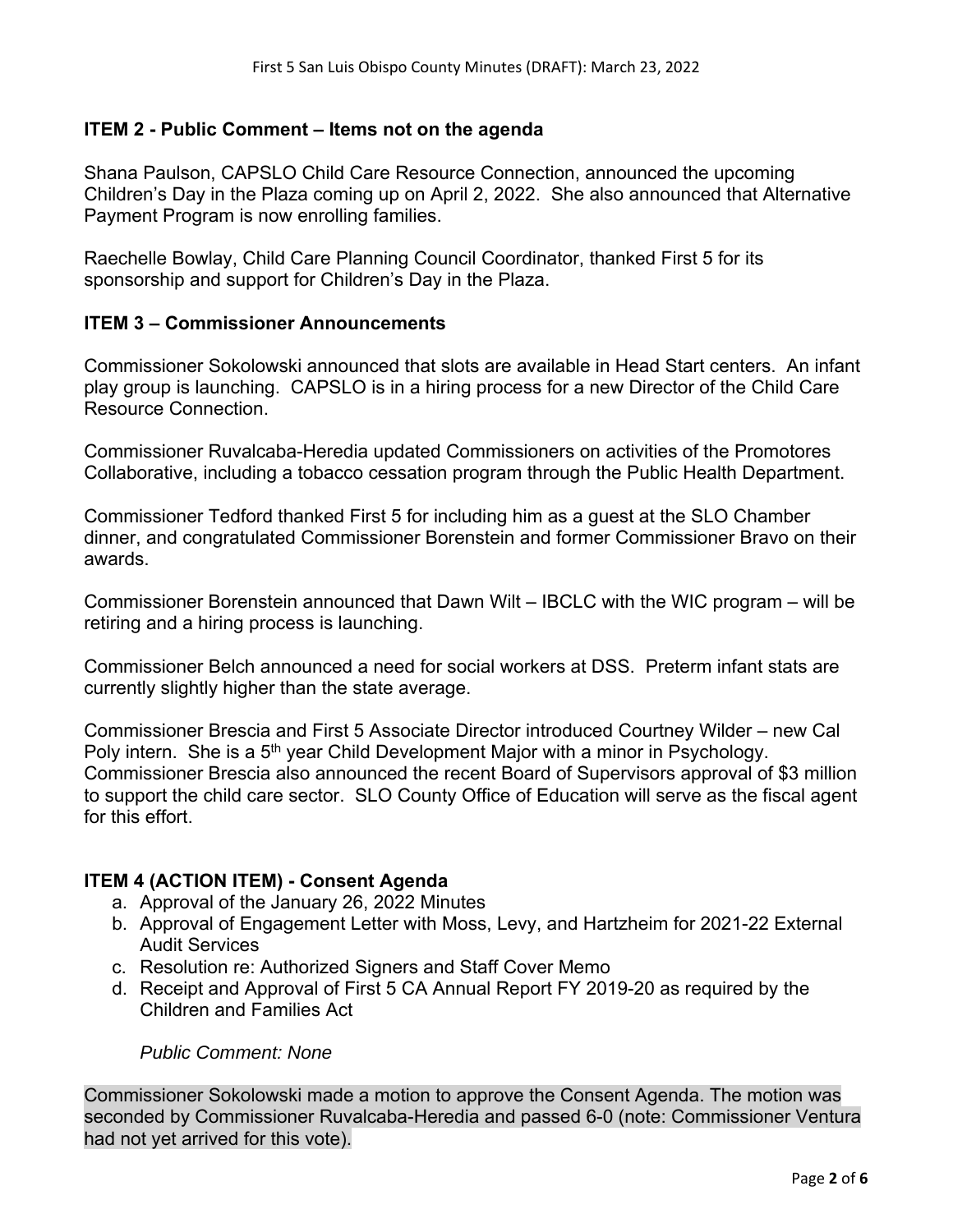# **ITEM 2 - Public Comment – Items not on the agenda**

Shana Paulson, CAPSLO Child Care Resource Connection, announced the upcoming Children's Day in the Plaza coming up on April 2, 2022. She also announced that Alternative Payment Program is now enrolling families.

Raechelle Bowlay, Child Care Planning Council Coordinator, thanked First 5 for its sponsorship and support for Children's Day in the Plaza.

#### **ITEM 3 – Commissioner Announcements**

Commissioner Sokolowski announced that slots are available in Head Start centers. An infant play group is launching. CAPSLO is in a hiring process for a new Director of the Child Care Resource Connection.

Commissioner Ruvalcaba-Heredia updated Commissioners on activities of the Promotores Collaborative, including a tobacco cessation program through the Public Health Department.

Commissioner Tedford thanked First 5 for including him as a guest at the SLO Chamber dinner, and congratulated Commissioner Borenstein and former Commissioner Bravo on their awards.

Commissioner Borenstein announced that Dawn Wilt – IBCLC with the WIC program – will be retiring and a hiring process is launching.

Commissioner Belch announced a need for social workers at DSS. Preterm infant stats are currently slightly higher than the state average.

Commissioner Brescia and First 5 Associate Director introduced Courtney Wilder – new Cal Poly intern. She is a  $5<sup>th</sup>$  year Child Development Major with a minor in Psychology. Commissioner Brescia also announced the recent Board of Supervisors approval of \$3 million to support the child care sector. SLO County Office of Education will serve as the fiscal agent for this effort.

# **ITEM 4 (ACTION ITEM) - Consent Agenda**

- a. Approval of the January 26, 2022 Minutes
- b. Approval of Engagement Letter with Moss, Levy, and Hartzheim for 2021-22 External Audit Services
- c. Resolution re: Authorized Signers and Staff Cover Memo
- d. Receipt and Approval of First 5 CA Annual Report FY 2019-20 as required by the Children and Families Act

*Public Comment: None* 

Commissioner Sokolowski made a motion to approve the Consent Agenda. The motion was seconded by Commissioner Ruvalcaba-Heredia and passed 6-0 (note: Commissioner Ventura had not yet arrived for this vote).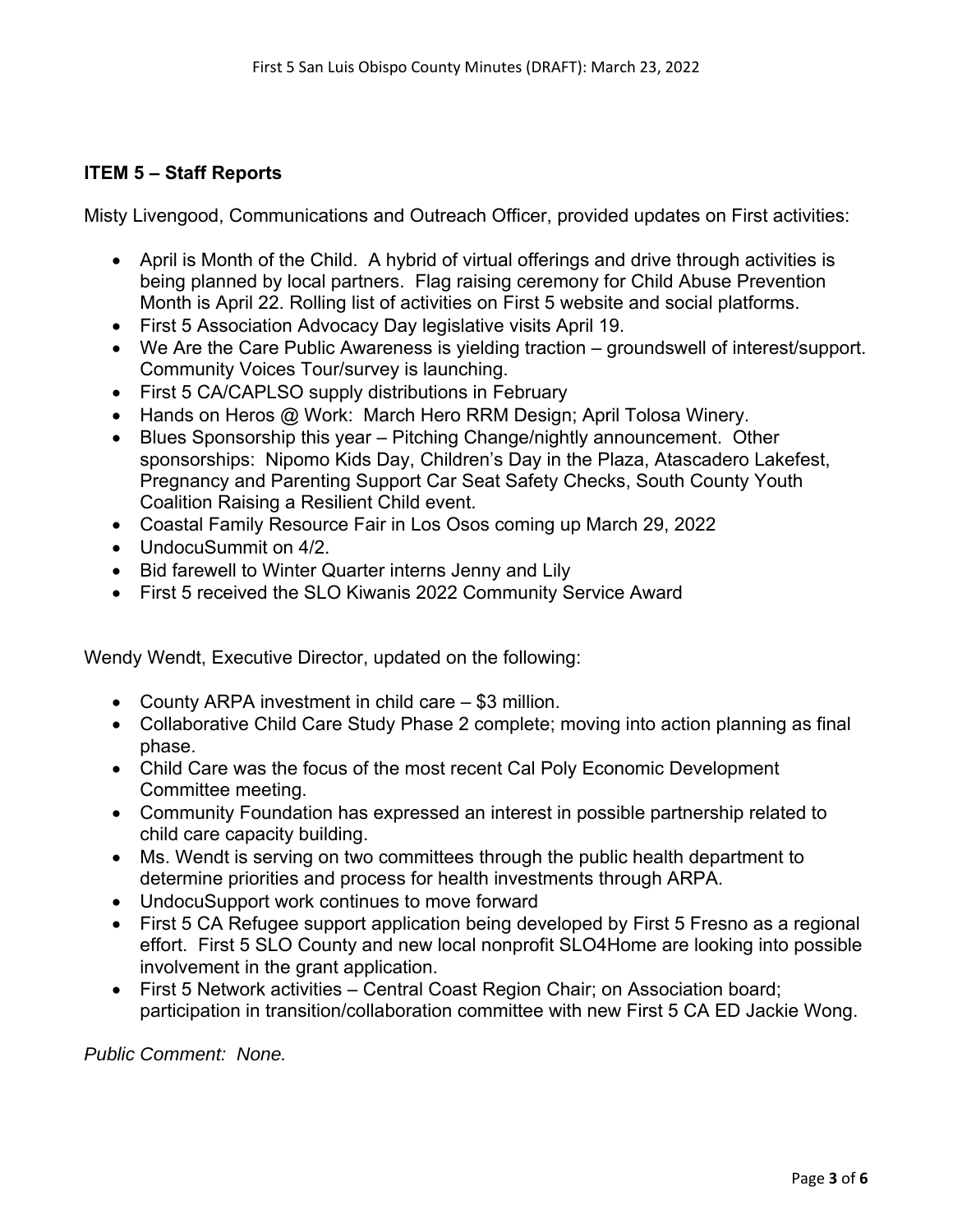# **ITEM 5 – Staff Reports**

Misty Livengood, Communications and Outreach Officer, provided updates on First activities:

- April is Month of the Child. A hybrid of virtual offerings and drive through activities is being planned by local partners. Flag raising ceremony for Child Abuse Prevention Month is April 22. Rolling list of activities on First 5 website and social platforms.
- First 5 Association Advocacy Day legislative visits April 19.
- We Are the Care Public Awareness is yielding traction groundswell of interest/support. Community Voices Tour/survey is launching.
- First 5 CA/CAPLSO supply distributions in February
- Hands on Heros @ Work: March Hero RRM Design; April Tolosa Winery.
- Blues Sponsorship this year Pitching Change/nightly announcement. Other sponsorships: Nipomo Kids Day, Children's Day in the Plaza, Atascadero Lakefest, Pregnancy and Parenting Support Car Seat Safety Checks, South County Youth Coalition Raising a Resilient Child event.
- Coastal Family Resource Fair in Los Osos coming up March 29, 2022
- UndocuSummit on 4/2.
- Bid farewell to Winter Quarter interns Jenny and Lily
- First 5 received the SLO Kiwanis 2022 Community Service Award

Wendy Wendt, Executive Director, updated on the following:

- County ARPA investment in child care \$3 million.
- Collaborative Child Care Study Phase 2 complete; moving into action planning as final phase.
- Child Care was the focus of the most recent Cal Poly Economic Development Committee meeting.
- Community Foundation has expressed an interest in possible partnership related to child care capacity building.
- Ms. Wendt is serving on two committees through the public health department to determine priorities and process for health investments through ARPA.
- UndocuSupport work continues to move forward
- First 5 CA Refugee support application being developed by First 5 Fresno as a regional effort. First 5 SLO County and new local nonprofit SLO4Home are looking into possible involvement in the grant application.
- First 5 Network activities Central Coast Region Chair; on Association board; participation in transition/collaboration committee with new First 5 CA ED Jackie Wong.

*Public Comment: None.*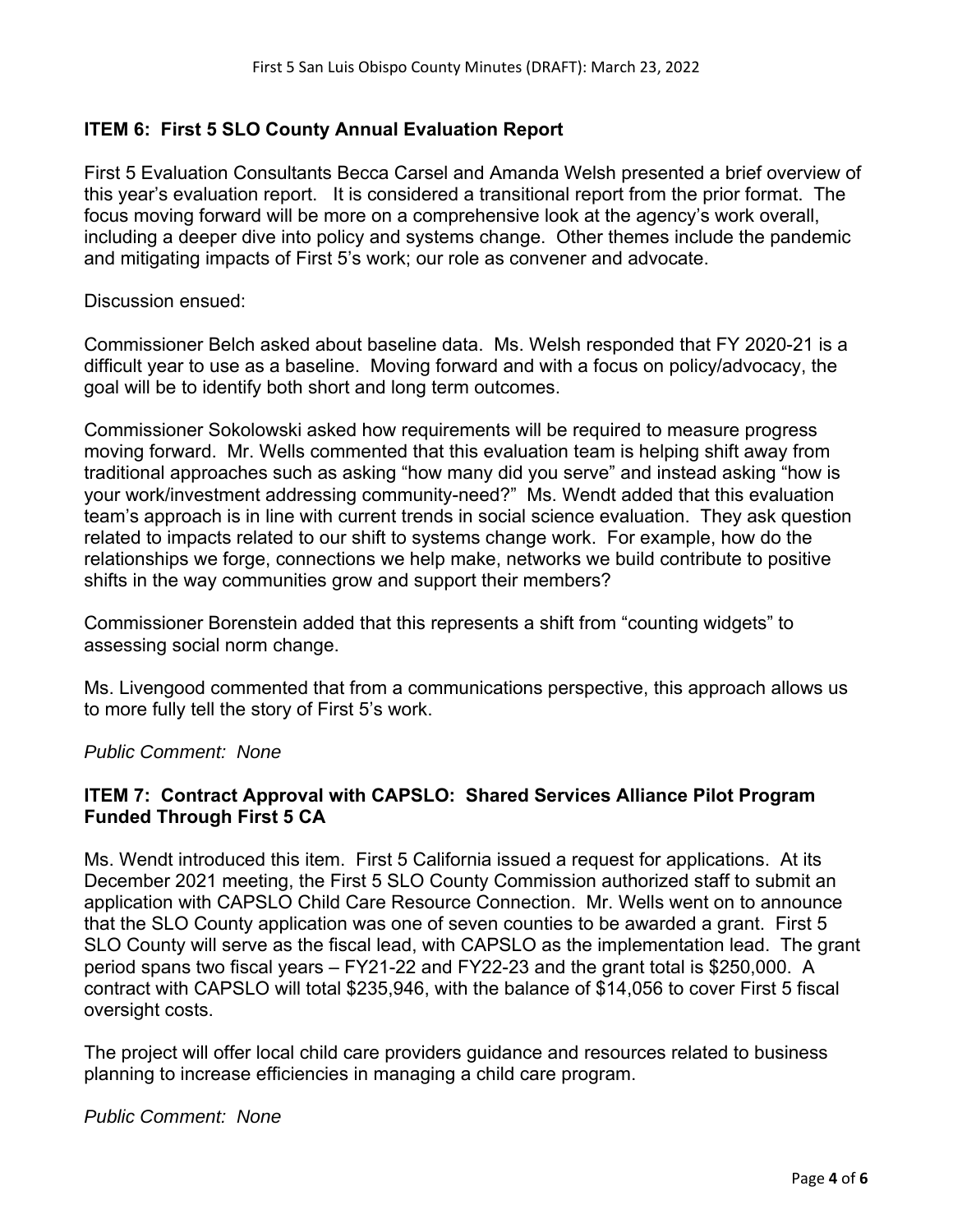# **ITEM 6: First 5 SLO County Annual Evaluation Report**

First 5 Evaluation Consultants Becca Carsel and Amanda Welsh presented a brief overview of this year's evaluation report. It is considered a transitional report from the prior format. The focus moving forward will be more on a comprehensive look at the agency's work overall, including a deeper dive into policy and systems change. Other themes include the pandemic and mitigating impacts of First 5's work; our role as convener and advocate.

Discussion ensued:

Commissioner Belch asked about baseline data. Ms. Welsh responded that FY 2020-21 is a difficult year to use as a baseline. Moving forward and with a focus on policy/advocacy, the goal will be to identify both short and long term outcomes.

Commissioner Sokolowski asked how requirements will be required to measure progress moving forward. Mr. Wells commented that this evaluation team is helping shift away from traditional approaches such as asking "how many did you serve" and instead asking "how is your work/investment addressing community-need?" Ms. Wendt added that this evaluation team's approach is in line with current trends in social science evaluation. They ask question related to impacts related to our shift to systems change work. For example, how do the relationships we forge, connections we help make, networks we build contribute to positive shifts in the way communities grow and support their members?

Commissioner Borenstein added that this represents a shift from "counting widgets" to assessing social norm change.

Ms. Livengood commented that from a communications perspective, this approach allows us to more fully tell the story of First 5's work.

*Public Comment: None* 

# **ITEM 7: Contract Approval with CAPSLO: Shared Services Alliance Pilot Program Funded Through First 5 CA**

Ms. Wendt introduced this item. First 5 California issued a request for applications. At its December 2021 meeting, the First 5 SLO County Commission authorized staff to submit an application with CAPSLO Child Care Resource Connection. Mr. Wells went on to announce that the SLO County application was one of seven counties to be awarded a grant. First 5 SLO County will serve as the fiscal lead, with CAPSLO as the implementation lead. The grant period spans two fiscal years – FY21-22 and FY22-23 and the grant total is \$250,000. A contract with CAPSLO will total \$235,946, with the balance of \$14,056 to cover First 5 fiscal oversight costs.

The project will offer local child care providers guidance and resources related to business planning to increase efficiencies in managing a child care program.

# *Public Comment: None*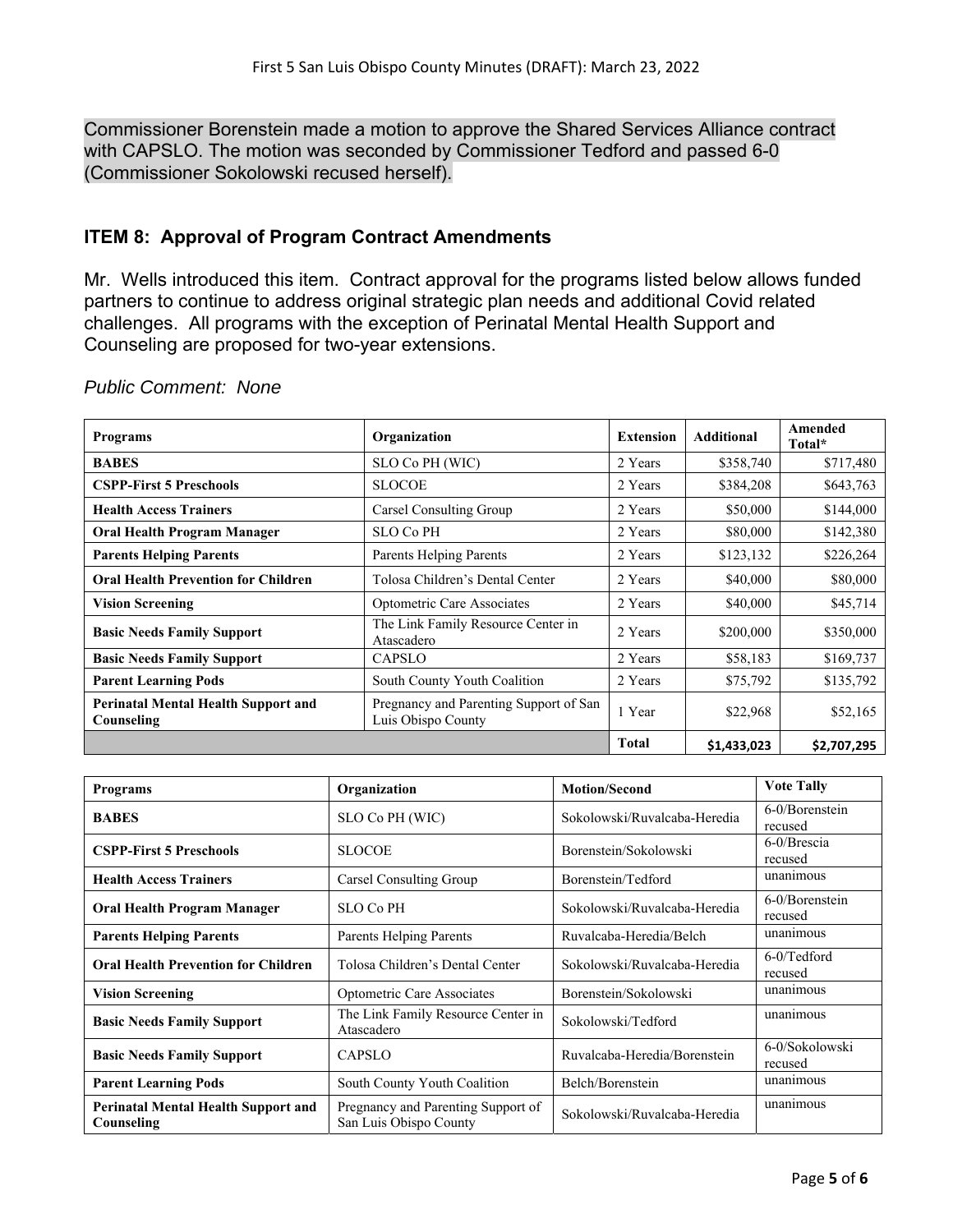Commissioner Borenstein made a motion to approve the Shared Services Alliance contract with CAPSLO. The motion was seconded by Commissioner Tedford and passed 6-0 (Commissioner Sokolowski recused herself).

# **ITEM 8: Approval of Program Contract Amendments**

Mr. Wells introduced this item. Contract approval for the programs listed below allows funded partners to continue to address original strategic plan needs and additional Covid related challenges. All programs with the exception of Perinatal Mental Health Support and Counseling are proposed for two-year extensions.

| <b>Programs</b>                                          | Organization                                                 | <b>Extension</b> | <b>Additional</b> | Amended<br>Total* |
|----------------------------------------------------------|--------------------------------------------------------------|------------------|-------------------|-------------------|
| <b>BABES</b>                                             | SLO Co PH (WIC)                                              | 2 Years          | \$358,740         | \$717,480         |
| <b>CSPP-First 5 Preschools</b>                           | <b>SLOCOE</b>                                                | 2 Years          | \$384,208         | \$643,763         |
| <b>Health Access Trainers</b>                            | Carsel Consulting Group                                      | 2 Years          | \$50,000          | \$144,000         |
| <b>Oral Health Program Manager</b>                       | <b>SLO Co PH</b>                                             | 2 Years          | \$80,000          | \$142,380         |
| <b>Parents Helping Parents</b>                           | Parents Helping Parents                                      | 2 Years          | \$123,132         | \$226,264         |
| <b>Oral Health Prevention for Children</b>               | Tolosa Children's Dental Center                              | 2 Years          | \$40,000          | \$80,000          |
| <b>Vision Screening</b>                                  | Optometric Care Associates                                   | 2 Years          | \$40,000          | \$45,714          |
| <b>Basic Needs Family Support</b>                        | The Link Family Resource Center in<br>Atascadero             | 2 Years          | \$200,000         | \$350,000         |
| <b>Basic Needs Family Support</b>                        | <b>CAPSLO</b>                                                | 2 Years          | \$58,183          | \$169,737         |
| <b>Parent Learning Pods</b>                              | South County Youth Coalition                                 | 2 Years          | \$75,792          | \$135,792         |
| <b>Perinatal Mental Health Support and</b><br>Counseling | Pregnancy and Parenting Support of San<br>Luis Obispo County | 1 Year           | \$22,968          | \$52,165          |
|                                                          |                                                              | <b>Total</b>     | \$1,433,023       | \$2,707,295       |

# *Public Comment: None*

| <b>Programs</b>                                                                                                          | Organization                                     | <b>Motion/Second</b>         | <b>Vote Tally</b>         |
|--------------------------------------------------------------------------------------------------------------------------|--------------------------------------------------|------------------------------|---------------------------|
| <b>BABES</b>                                                                                                             | Sokolowski/Ruvalcaba-Heredia<br>SLO Co PH (WIC)  |                              | 6-0/Borenstein<br>recused |
| <b>CSPP-First 5 Preschools</b>                                                                                           | <b>SLOCOE</b>                                    | Borenstein/Sokolowski        | 6-0/Brescia<br>recused    |
| <b>Health Access Trainers</b>                                                                                            | Carsel Consulting Group<br>Borenstein/Tedford    |                              | unanimous                 |
| <b>Oral Health Program Manager</b>                                                                                       | <b>SLO Co PH</b>                                 | Sokolowski/Ruvalcaba-Heredia | 6-0/Borenstein<br>recused |
| <b>Parents Helping Parents</b>                                                                                           | Parents Helping Parents                          | Ruvalcaba-Heredia/Belch      | unanimous                 |
| <b>Oral Health Prevention for Children</b>                                                                               | Tolosa Children's Dental Center                  | Sokolowski/Ruvalcaba-Heredia | 6-0/Tedford<br>recused    |
| <b>Vision Screening</b>                                                                                                  | Optometric Care Associates                       | Borenstein/Sokolowski        | unanimous                 |
| <b>Basic Needs Family Support</b>                                                                                        | The Link Family Resource Center in<br>Atascadero | Sokolowski/Tedford           | unanimous                 |
| <b>Basic Needs Family Support</b>                                                                                        | <b>CAPSLO</b>                                    | Ruvalcaba-Heredia/Borenstein | 6-0/Sokolowski<br>recused |
| <b>Parent Learning Pods</b>                                                                                              | South County Youth Coalition                     | Belch/Borenstein             | unanimous                 |
| <b>Perinatal Mental Health Support and</b><br>Pregnancy and Parenting Support of<br>San Luis Obispo County<br>Counseling |                                                  | Sokolowski/Ruvalcaba-Heredia | unanimous                 |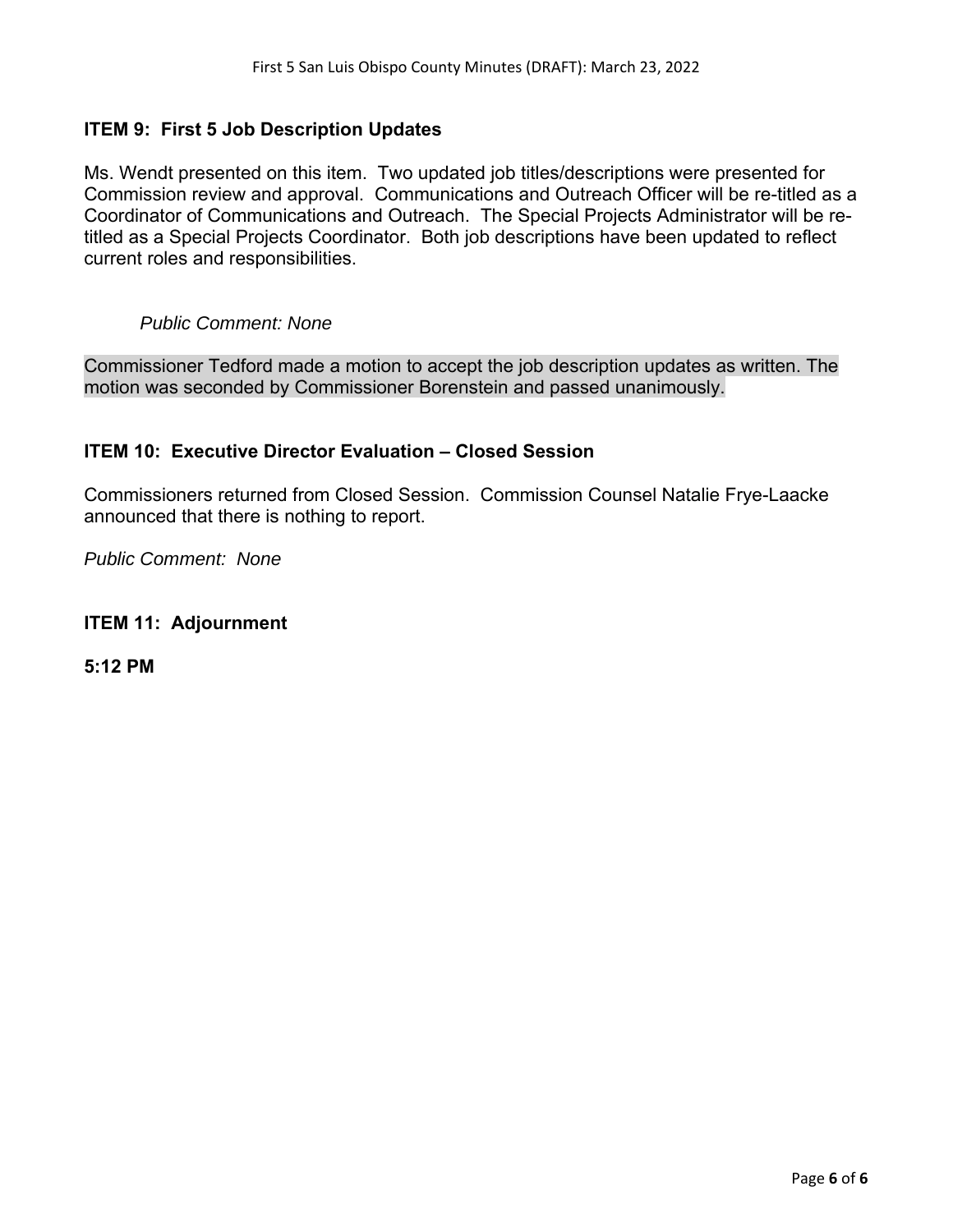# **ITEM 9: First 5 Job Description Updates**

Ms. Wendt presented on this item. Two updated job titles/descriptions were presented for Commission review and approval. Communications and Outreach Officer will be re-titled as a Coordinator of Communications and Outreach. The Special Projects Administrator will be retitled as a Special Projects Coordinator. Both job descriptions have been updated to reflect current roles and responsibilities.

# *Public Comment: None*

Commissioner Tedford made a motion to accept the job description updates as written. The motion was seconded by Commissioner Borenstein and passed unanimously.

# **ITEM 10: Executive Director Evaluation – Closed Session**

Commissioners returned from Closed Session. Commission Counsel Natalie Frye-Laacke announced that there is nothing to report.

*Public Comment: None* 

# **ITEM 11: Adjournment**

**5:12 PM**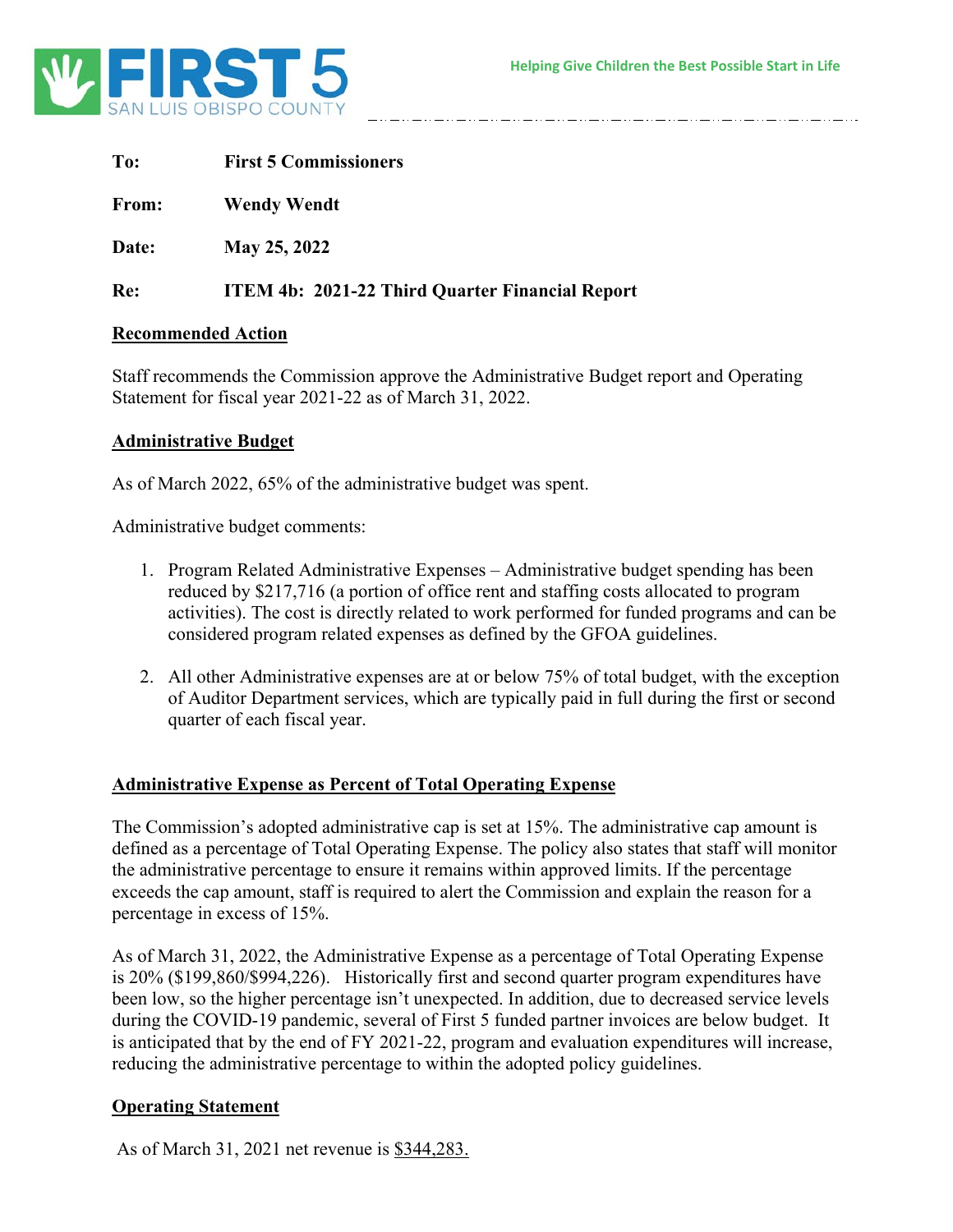

| To:                       | <b>First 5 Commissioners</b>                           |  |  |  |  |
|---------------------------|--------------------------------------------------------|--|--|--|--|
| From:                     | <b>Wendy Wendt</b>                                     |  |  |  |  |
| Date:                     | May 25, 2022                                           |  |  |  |  |
| Re:                       | <b>ITEM 4b: 2021-22 Third Quarter Financial Report</b> |  |  |  |  |
| <b>Recommended Action</b> |                                                        |  |  |  |  |

Staff recommends the Commission approve the Administrative Budget report and Operating Statement for fiscal year 2021-22 as of March 31, 2022.

#### **Administrative Budget**

As of March 2022, 65% of the administrative budget was spent.

Administrative budget comments:

- 1. Program Related Administrative Expenses Administrative budget spending has been reduced by \$217,716 (a portion of office rent and staffing costs allocated to program activities). The cost is directly related to work performed for funded programs and can be considered program related expenses as defined by the GFOA guidelines.
- 2. All other Administrative expenses are at or below 75% of total budget, with the exception of Auditor Department services, which are typically paid in full during the first or second quarter of each fiscal year.

# **Administrative Expense as Percent of Total Operating Expense**

The Commission's adopted administrative cap is set at 15%. The administrative cap amount is defined as a percentage of Total Operating Expense. The policy also states that staff will monitor the administrative percentage to ensure it remains within approved limits. If the percentage exceeds the cap amount, staff is required to alert the Commission and explain the reason for a percentage in excess of 15%.

As of March 31, 2022, the Administrative Expense as a percentage of Total Operating Expense is 20% (\$199,860/\$994,226). Historically first and second quarter program expenditures have been low, so the higher percentage isn't unexpected. In addition, due to decreased service levels during the COVID-19 pandemic, several of First 5 funded partner invoices are below budget. It is anticipated that by the end of FY 2021-22, program and evaluation expenditures will increase, reducing the administrative percentage to within the adopted policy guidelines.

# **Operating Statement**

As of March 31, 2021 net revenue is \$344,283.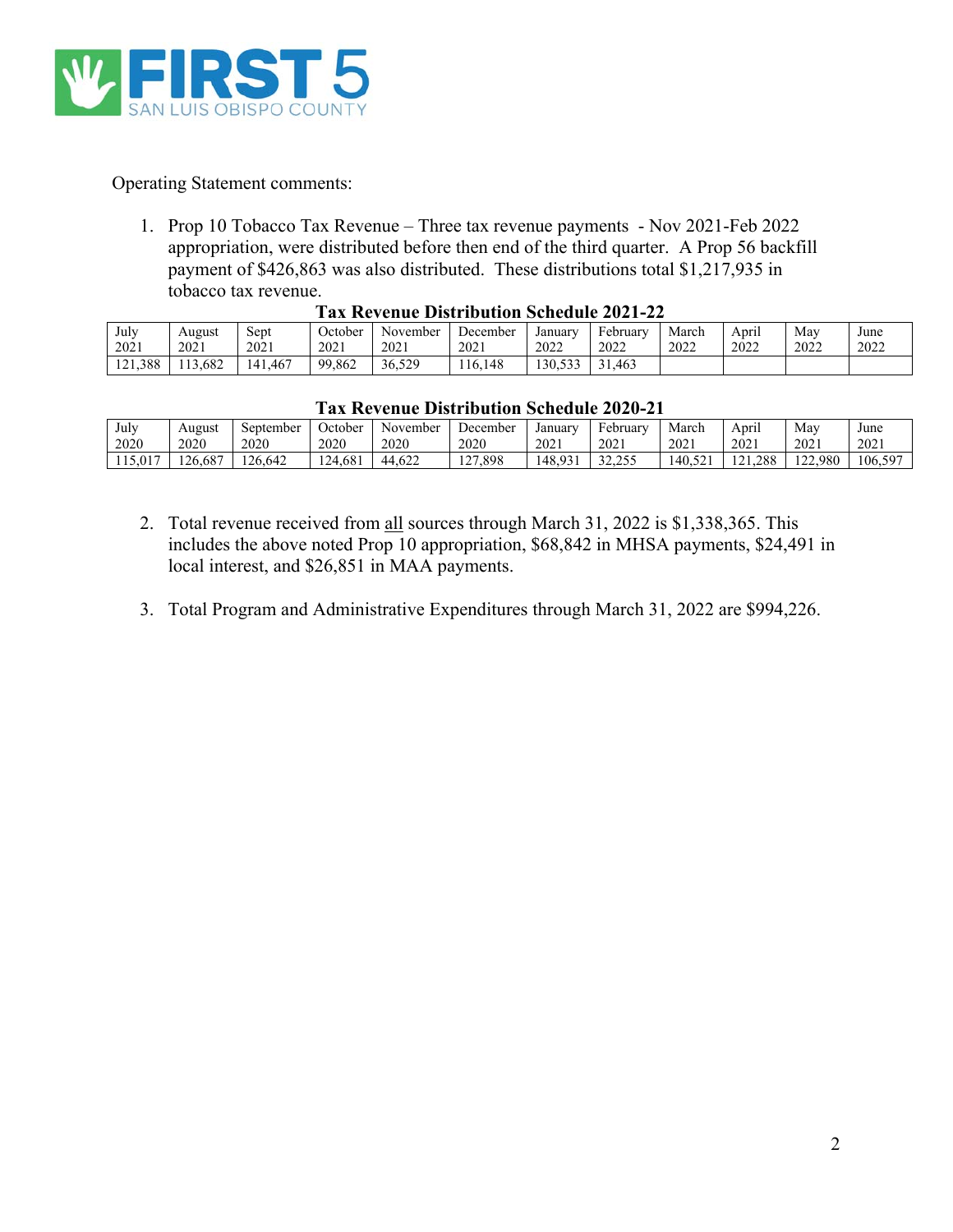

Operating Statement comments:

1. Prop 10 Tobacco Tax Revenue – Three tax revenue payments - Nov 2021-Feb 2022 appropriation, were distributed before then end of the third quarter. A Prop 56 backfill payment of \$426,863 was also distributed. These distributions total \$1,217,935 in tobacco tax revenue. **Tax Revenue Distribution Schedule 2021-22** 

|         | Tax inventue distribution senegane 2021-22 |         |         |          |          |         |          |       |       |      |      |
|---------|--------------------------------------------|---------|---------|----------|----------|---------|----------|-------|-------|------|------|
| July    | August                                     | Sept    | October | November | December | January | February | March | April | Mav  | June |
| 2021    | 2021                                       | 2021    | 2021    | 2021     | 2021     | 2022    | 2022     | 2022  | 2022  | 2022 | 2022 |
| 121.388 | 13.682                                     | 141.467 | 99,862  | 36.529   | 16.148   | 130.533 | 31.463   |       |       |      |      |

| ulv    | August | Sept    | October | November | December | Januarv | <b>February</b> | March | Apri | May  | June |
|--------|--------|---------|---------|----------|----------|---------|-----------------|-------|------|------|------|
| 2021   | 2021   | 2021    | 2021    | 2021     | 2021     | 2022    | 2022            | 2022  | 2022 | 2022 | 2022 |
| 21,388 | 13,682 | 141.467 | 99,862  | 36.529   | 16.148   | 30,533  | .463            |       |      |      |      |

| July    | August  | September | October | November | December                | January | February             | March   | $\sim$ $\sim$ $\sim$<br>April                                    | May     | June    |
|---------|---------|-----------|---------|----------|-------------------------|---------|----------------------|---------|------------------------------------------------------------------|---------|---------|
| 2020    | 2020    | 2020      | 2020    | 2020     | 2020                    | 2021    | 2021                 | 2021    | 2021                                                             | 2021    | 2021    |
| 115,017 | 126.687 | 126.642   | 124.681 | 44.622   | /.898<br>1 <sub>2</sub> | 148.931 | 32.255<br>ت ت∡م که د | 140.521 | .288<br>$1^{\prime}$ $\gamma$ $1$<br>$\sim$ $\sim$ $\sim$ $\sim$ | 122,980 | 106,597 |
|         |         |           |         |          |                         |         |                      |         |                                                                  |         |         |

- 2. Total revenue received from all sources through March 31, 2022 is \$1,338,365. This includes the above noted Prop 10 appropriation, \$68,842 in MHSA payments, \$24,491 in local interest, and \$26,851 in MAA payments.
- 3. Total Program and Administrative Expenditures through March 31, 2022 are \$994,226.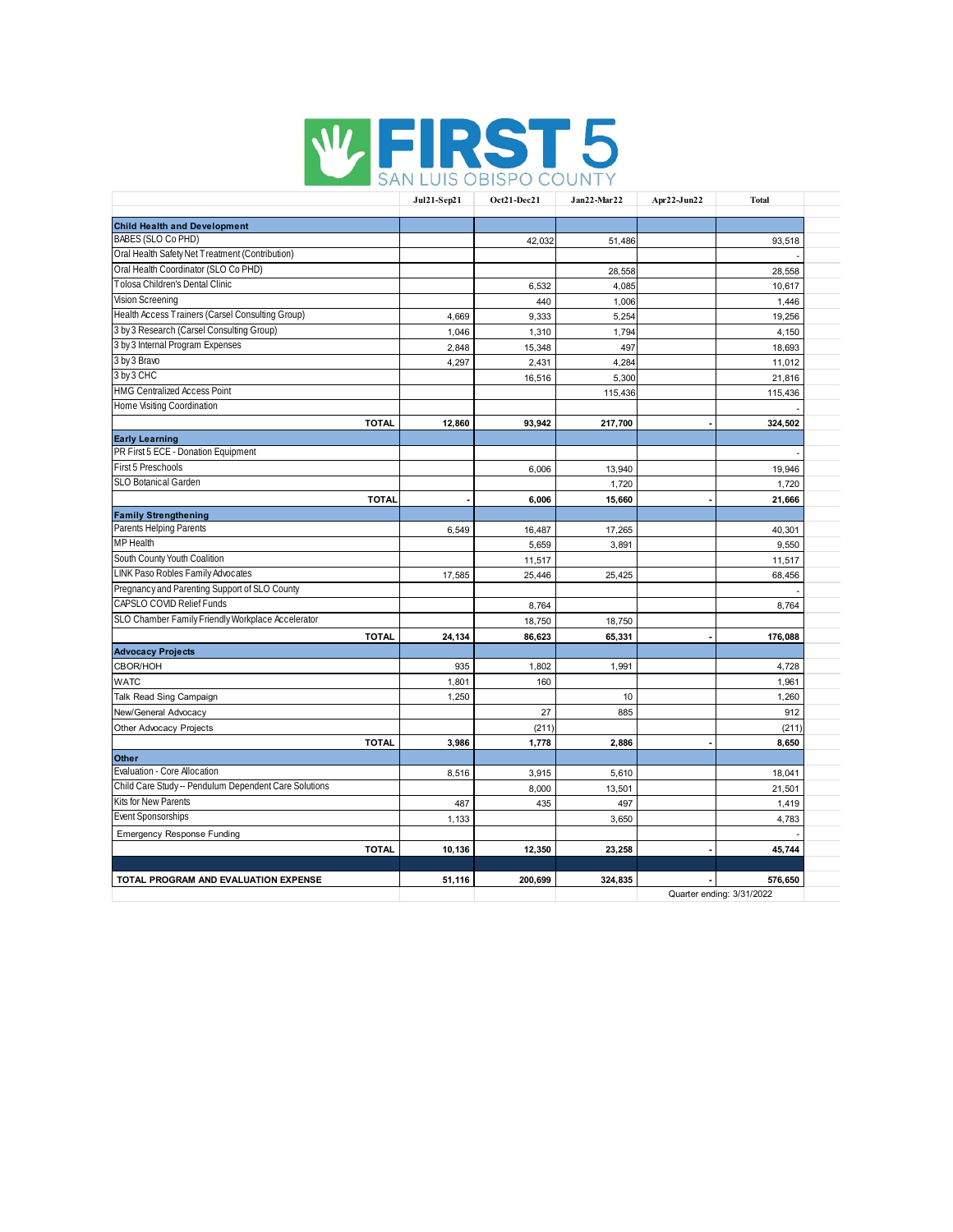

|                                                       | Jul21-Sep21            | Oct21-Dec21 | Jan22-Mar22 | Apr22-Jun22               | <b>Total</b> |
|-------------------------------------------------------|------------------------|-------------|-------------|---------------------------|--------------|
| <b>Child Health and Development</b>                   |                        |             |             |                           |              |
| BABES (SLO Co PHD)                                    |                        | 42,032      | 51,486      |                           | 93,518       |
| Oral Health Safety Net Treatment (Contribution)       |                        |             |             |                           |              |
| Oral Health Coordinator (SLO Co PHD)                  |                        |             | 28,558      |                           | 28,558       |
| Tolosa Children's Dental Clinic                       |                        | 6,532       | 4,085       |                           | 10,617       |
| <b>Vision Screening</b>                               |                        | 440         | 1,006       |                           | 1,446        |
| Health Access Trainers (Carsel Consulting Group)      | 4,669                  | 9,333       | 5,254       |                           | 19,256       |
| 3 by 3 Research (Carsel Consulting Group)             | 1,046                  | 1,310       | 1,794       |                           | 4,150        |
| 3 by 3 Internal Program Expenses                      | 2,848                  | 15,348      | 497         |                           | 18,693       |
| 3 by 3 Bravo                                          | 4,297                  | 2,431       | 4,284       |                           | 11,012       |
| 3 by 3 CHC                                            |                        | 16,516      | 5,300       |                           | 21,816       |
| <b>HMG Centralized Access Point</b>                   |                        |             | 115,436     |                           | 115,436      |
| Home Visiting Coordination                            |                        |             |             |                           |              |
|                                                       | <b>TOTAL</b><br>12,860 | 93,942      | 217,700     |                           | 324,502      |
| <b>Early Learning</b>                                 |                        |             |             |                           |              |
| PR First 5 ECE - Donation Equipment                   |                        |             |             |                           |              |
| First 5 Preschools                                    |                        | 6,006       | 13,940      |                           | 19,946       |
| SLO Botanical Garden                                  |                        |             | 1,720       |                           | 1,720        |
|                                                       | <b>TOTAL</b>           | 6,006       | 15,660      |                           | 21,666       |
| <b>Family Strengthening</b>                           |                        |             |             |                           |              |
| Parents Helping Parents                               | 6,549                  | 16,487      | 17,265      |                           | 40,301       |
| <b>MP</b> Health                                      |                        | 5,659       | 3,891       |                           | 9,550        |
| South County Youth Coalition                          |                        | 11,517      |             |                           | 11,517       |
| LINK Paso Robles Family Advocates                     | 17,585                 | 25,446      | 25,425      |                           | 68,456       |
| Pregnancy and Parenting Support of SLO County         |                        |             |             |                           |              |
| CAPSLO COVID Relief Funds                             |                        | 8,764       |             |                           | 8,764        |
| SLO Chamber Family Friendly Workplace Accelerator     |                        | 18,750      | 18,750      |                           |              |
|                                                       | <b>TOTAL</b><br>24,134 | 86,623      | 65,331      |                           | 176,088      |
| <b>Advocacy Projects</b>                              |                        |             |             |                           |              |
| CBOR/HOH                                              | 935                    | 1,802       | 1,991       |                           | 4,728        |
| <b>WATC</b>                                           | 1,801                  | 160         |             |                           | 1,961        |
| Talk Read Sing Campaign                               | 1,250                  |             | 10          |                           | 1,260        |
| New/General Advocacy                                  |                        | 27          | 885         |                           | 912          |
| Other Advocacy Projects                               |                        | (211)       |             |                           | (211)        |
|                                                       | <b>TOTAL</b><br>3,986  | 1,778       | 2,886       |                           | 8,650        |
| Other                                                 |                        |             |             |                           |              |
| Evaluation - Core Allocation                          | 8,516                  | 3,915       | 5,610       |                           | 18,041       |
| Child Care Study -- Pendulum Dependent Care Solutions |                        | 8,000       | 13,501      |                           | 21,501       |
| Kits for New Parents                                  | 487                    | 435         | 497         |                           | 1,419        |
| <b>Event Sponsorships</b>                             | 1,133                  |             | 3,650       |                           | 4,783        |
| <b>Emergency Response Funding</b>                     |                        |             |             |                           |              |
|                                                       | <b>TOTAL</b><br>10,136 | 12,350      | 23,258      |                           | 45,744       |
|                                                       |                        |             |             |                           |              |
| TOTAL PROGRAM AND EVALUATION EXPENSE                  | 51,116                 | 200.699     | 324,835     |                           | 576,650      |
|                                                       |                        |             |             | Quarter ending: 3/31/2022 |              |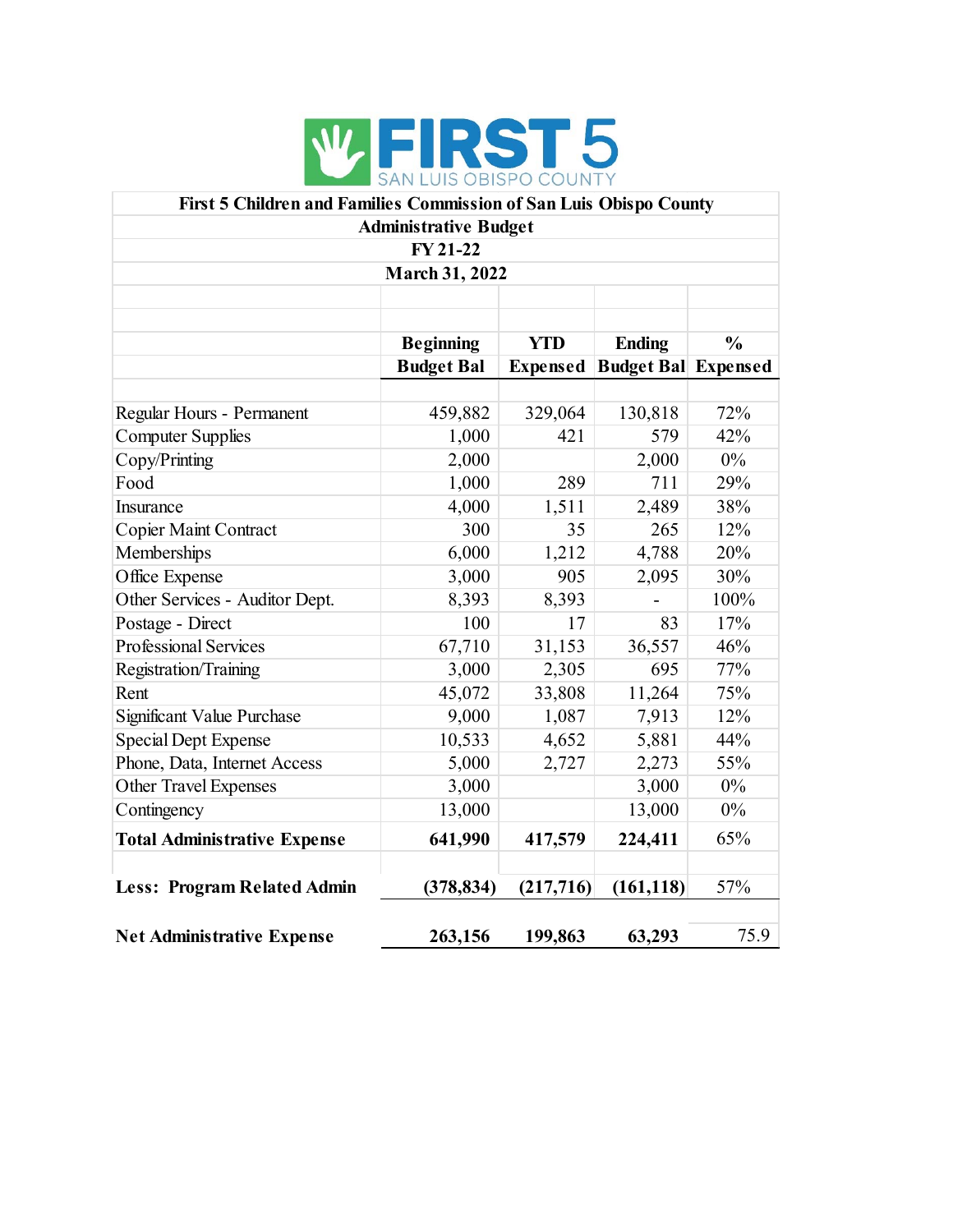

| First 5 Children and Families Commission of San Luis Obispo County |                              |                 |                             |       |  |  |  |  |  |  |
|--------------------------------------------------------------------|------------------------------|-----------------|-----------------------------|-------|--|--|--|--|--|--|
|                                                                    | <b>Administrative Budget</b> |                 |                             |       |  |  |  |  |  |  |
| FY 21-22                                                           |                              |                 |                             |       |  |  |  |  |  |  |
| <b>March 31, 2022</b>                                              |                              |                 |                             |       |  |  |  |  |  |  |
|                                                                    |                              |                 |                             |       |  |  |  |  |  |  |
|                                                                    |                              |                 |                             |       |  |  |  |  |  |  |
| <b>Beginning</b><br><b>YTD</b><br>$\frac{0}{0}$<br><b>Ending</b>   |                              |                 |                             |       |  |  |  |  |  |  |
|                                                                    | <b>Budget Bal</b>            | <b>Expensed</b> | <b>Budget Ball Expensed</b> |       |  |  |  |  |  |  |
|                                                                    |                              |                 |                             |       |  |  |  |  |  |  |
| Regular Hours - Permanent                                          | 459,882                      | 329,064         | 130,818                     | 72%   |  |  |  |  |  |  |
| <b>Computer Supplies</b>                                           | 1,000                        | 421             | 579                         | 42%   |  |  |  |  |  |  |
| Copy/Printing                                                      | 2,000                        |                 | 2,000                       | $0\%$ |  |  |  |  |  |  |
| Food                                                               | 1,000                        | 289             | 711                         | 29%   |  |  |  |  |  |  |
| Insurance                                                          | 4,000                        | 1,511           | 2,489                       | 38%   |  |  |  |  |  |  |
| Copier Maint Contract                                              | 300                          | 35              | 265                         | 12%   |  |  |  |  |  |  |
| Memberships                                                        | 6,000                        | 1,212           | 4,788                       | 20%   |  |  |  |  |  |  |
| Office Expense                                                     | 3,000                        | 905             | 2,095                       | 30%   |  |  |  |  |  |  |
| Other Services - Auditor Dept.                                     | 8,393                        | 8,393           |                             | 100%  |  |  |  |  |  |  |
| Postage - Direct                                                   | 100                          | 17              | 83                          | 17%   |  |  |  |  |  |  |
| <b>Professional Services</b>                                       | 67,710                       | 31,153          | 36,557                      | 46%   |  |  |  |  |  |  |
| Registration/Training                                              | 3,000                        | 2,305           | 695                         | 77%   |  |  |  |  |  |  |
| Rent                                                               | 45,072                       | 33,808          | 11,264                      | 75%   |  |  |  |  |  |  |
| Significant Value Purchase                                         | 9,000                        | 1,087           | 7,913                       | 12%   |  |  |  |  |  |  |
| <b>Special Dept Expense</b>                                        | 10,533                       | 4,652           | 5,881                       | 44%   |  |  |  |  |  |  |
| Phone, Data, Internet Access                                       | 5,000                        | 2,727           | 2,273                       | 55%   |  |  |  |  |  |  |
| Other Travel Expenses                                              | 3,000                        |                 | 3,000                       | $0\%$ |  |  |  |  |  |  |
| Contingency                                                        | 13,000                       |                 | 13,000                      | $0\%$ |  |  |  |  |  |  |
| <b>Total Administrative Expense</b>                                | 641,990                      | 417,579         | 224,411                     | 65%   |  |  |  |  |  |  |
| <b>Less: Program Related Admin</b>                                 | (378, 834)                   | (217, 716)      | (161, 118)                  | 57%   |  |  |  |  |  |  |
| <b>Net Administrative Expense</b>                                  | 263,156                      | 199,863         | 63,293                      | 75.9  |  |  |  |  |  |  |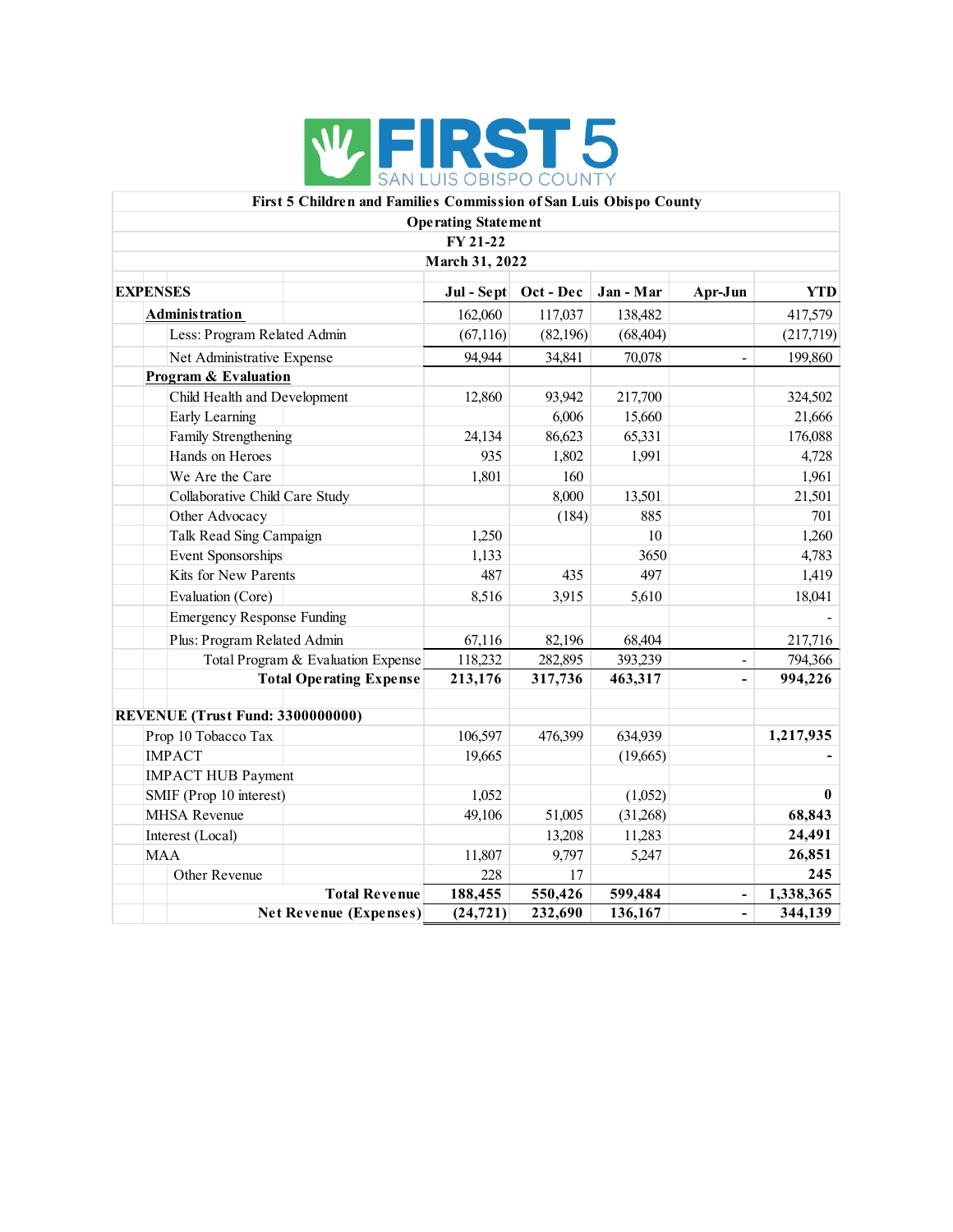

#### **First 5 Children and Families Commission of San Luis Obispo County Operating Statement**

|                                         | Operating statement<br>FY 21-22 |           |           |                          |            |
|-----------------------------------------|---------------------------------|-----------|-----------|--------------------------|------------|
|                                         | March 31, 2022                  |           |           |                          |            |
| <b>EXPENSES</b>                         | Jul - Sept                      | Oct - Dec | Jan - Mar | Apr-Jun                  | <b>YTD</b> |
| <b>Administration</b>                   | 162,060                         | 117,037   | 138,482   |                          | 417,579    |
| Less: Program Related Admin             | (67,116)                        | (82,196)  | (68, 404) |                          | (217,719)  |
| Net Administrative Expense              | 94,944                          | 34,841    | 70,078    | $\blacksquare$           | 199,860    |
| <b>Program &amp; Evaluation</b>         |                                 |           |           |                          |            |
| Child Health and Development            | 12,860                          | 93,942    | 217,700   |                          | 324,502    |
| Early Learning                          |                                 | 6,006     | 15,660    |                          | 21,666     |
| Family Strengthening                    | 24,134                          | 86,623    | 65,331    |                          | 176,088    |
| Hands on Heroes                         | 935                             | 1,802     | 1,991     |                          | 4,728      |
| We Are the Care                         | 1,801                           | 160       |           |                          | 1,961      |
| Collaborative Child Care Study          |                                 | 8,000     | 13,501    |                          | 21,501     |
| Other Advocacy                          |                                 | (184)     | 885       |                          | 701        |
| Talk Read Sing Campaign                 | 1,250                           |           | 10        |                          | 1,260      |
| Event Sponsorships                      | 1,133                           |           | 3650      |                          | 4,783      |
| Kits for New Parents                    | 487                             | 435       | 497       |                          | 1,419      |
| Evaluation (Core)                       | 8,516                           | 3,915     | 5,610     |                          | 18,041     |
| <b>Emergency Response Funding</b>       |                                 |           |           |                          |            |
| Plus: Program Related Admin             | 67,116                          | 82,196    | 68,404    |                          | 217,716    |
| Total Program & Evaluation Expense      | 118,232                         | 282,895   | 393,239   | $\overline{\phantom{0}}$ | 794,366    |
| <b>Total Operating Expense</b>          | 213,176                         | 317,736   | 463,317   | $\blacksquare$           | 994,226    |
| <b>REVENUE (Trust Fund: 3300000000)</b> |                                 |           |           |                          |            |
| Prop 10 Tobacco Tax                     | 106,597                         | 476,399   | 634,939   |                          | 1,217,935  |
| <b>IMPACT</b>                           | 19,665                          |           | (19,665)  |                          |            |
| <b>IMPACT HUB Payment</b>               |                                 |           |           |                          |            |
| SMIF (Prop 10 interest)                 | 1,052                           |           | (1,052)   |                          | $\bf{0}$   |
| <b>MHSA Revenue</b>                     | 49,106                          | 51,005    | (31,268)  |                          | 68,843     |
| Interest (Local)                        |                                 | 13,208    | 11,283    |                          | 24,491     |
| <b>MAA</b>                              | 11,807                          | 9,797     | 5,247     |                          | 26,851     |
| Other Revenue                           | 228                             | 17        |           |                          | 245        |
| <b>Total Revenue</b>                    | 188,455                         | 550,426   | 599,484   | ä,                       | 1,338,365  |
| <b>Net Revenue (Expenses)</b>           | (24, 721)                       | 232,690   | 136,167   |                          | 344,139    |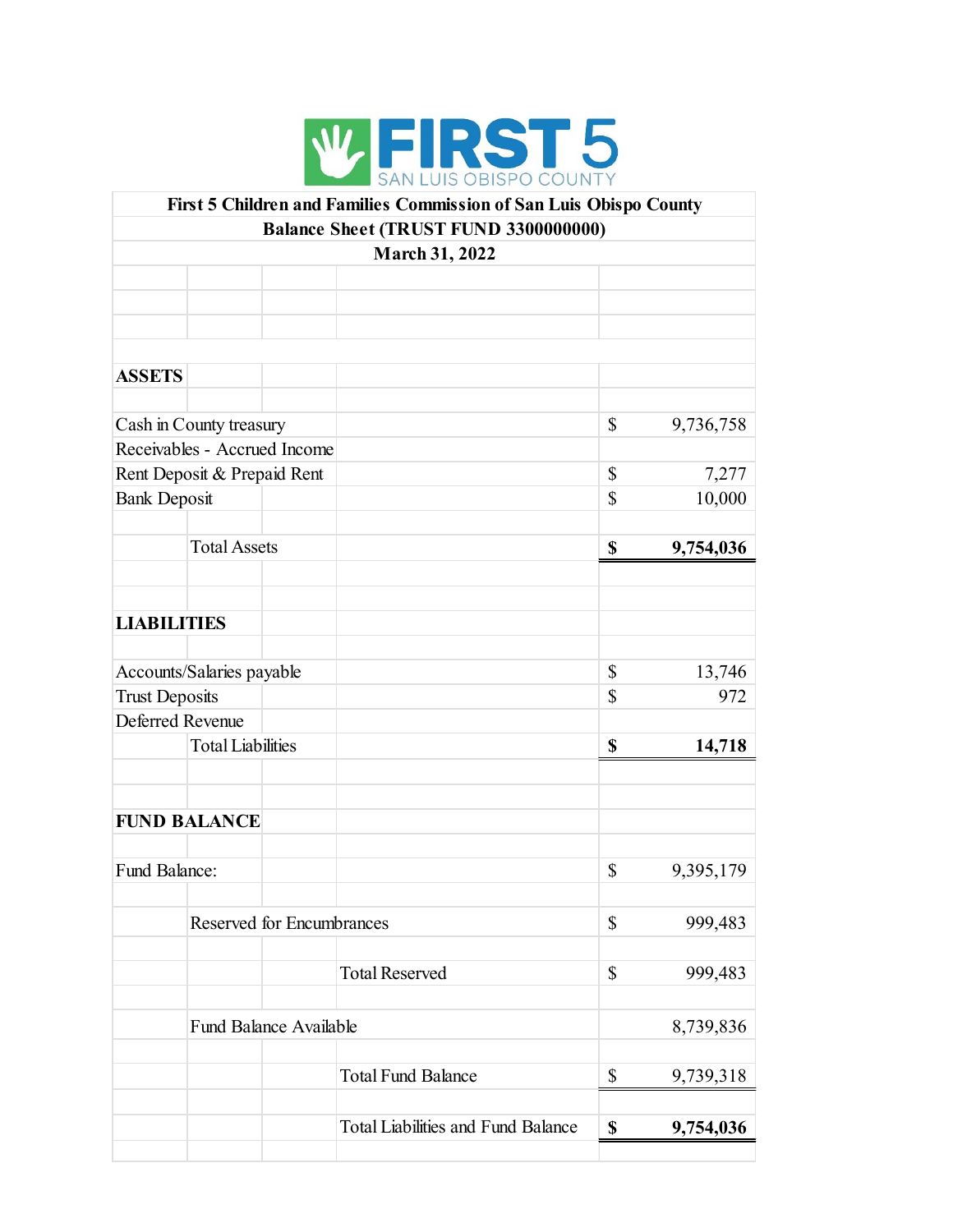

|                       |                              |                               | First 5 Children and Families Commission of San Luis Obispo County |             |           |
|-----------------------|------------------------------|-------------------------------|--------------------------------------------------------------------|-------------|-----------|
|                       |                              |                               | Balance Sheet (TRUST FUND 3300000000)                              |             |           |
|                       |                              |                               | March 31, 2022                                                     |             |           |
|                       |                              |                               |                                                                    |             |           |
|                       |                              |                               |                                                                    |             |           |
|                       |                              |                               |                                                                    |             |           |
|                       |                              |                               |                                                                    |             |           |
| <b>ASSETS</b>         |                              |                               |                                                                    |             |           |
|                       |                              |                               |                                                                    |             |           |
|                       | Cash in County treasury      |                               |                                                                    | \$          | 9,736,758 |
|                       | Receivables - Accrued Income |                               |                                                                    |             |           |
|                       | Rent Deposit & Prepaid Rent  |                               |                                                                    | \$          | 7,277     |
| <b>Bank Deposit</b>   |                              |                               |                                                                    | $\mathbf S$ | 10,000    |
|                       |                              |                               |                                                                    |             |           |
|                       | <b>Total Assets</b>          |                               |                                                                    | $\mathbf S$ | 9,754,036 |
|                       |                              |                               |                                                                    |             |           |
|                       |                              |                               |                                                                    |             |           |
| <b>LIABILITIES</b>    |                              |                               |                                                                    |             |           |
|                       |                              |                               |                                                                    |             |           |
|                       | Accounts/Salaries payable    |                               |                                                                    | \$          | 13,746    |
| <b>Trust Deposits</b> |                              |                               |                                                                    | \$          | 972       |
| Deferred Revenue      |                              |                               |                                                                    |             |           |
|                       | <b>Total Liabilities</b>     |                               |                                                                    | \$          | 14,718    |
|                       |                              |                               |                                                                    |             |           |
|                       |                              |                               |                                                                    |             |           |
|                       |                              |                               |                                                                    |             |           |
|                       | <b>FUND BALANCE</b>          |                               |                                                                    |             |           |
|                       |                              |                               |                                                                    |             |           |
| Fund Balance:         |                              |                               |                                                                    | \$          | 9,395,179 |
|                       |                              |                               |                                                                    |             |           |
|                       |                              | Reserved for Encumbrances     |                                                                    | \$          | 999,483   |
|                       |                              |                               |                                                                    |             |           |
|                       |                              |                               | <b>Total Reserved</b>                                              | \$          | 999,483   |
|                       |                              |                               |                                                                    |             |           |
|                       |                              | <b>Fund Balance Available</b> |                                                                    |             | 8,739,836 |
|                       |                              |                               |                                                                    |             |           |
|                       |                              |                               | <b>Total Fund Balance</b>                                          | \$          | 9,739,318 |
|                       |                              |                               |                                                                    |             |           |
|                       |                              |                               | <b>Total Liabilities and Fund Balance</b>                          | \$          | 9,754,036 |
|                       |                              |                               |                                                                    |             |           |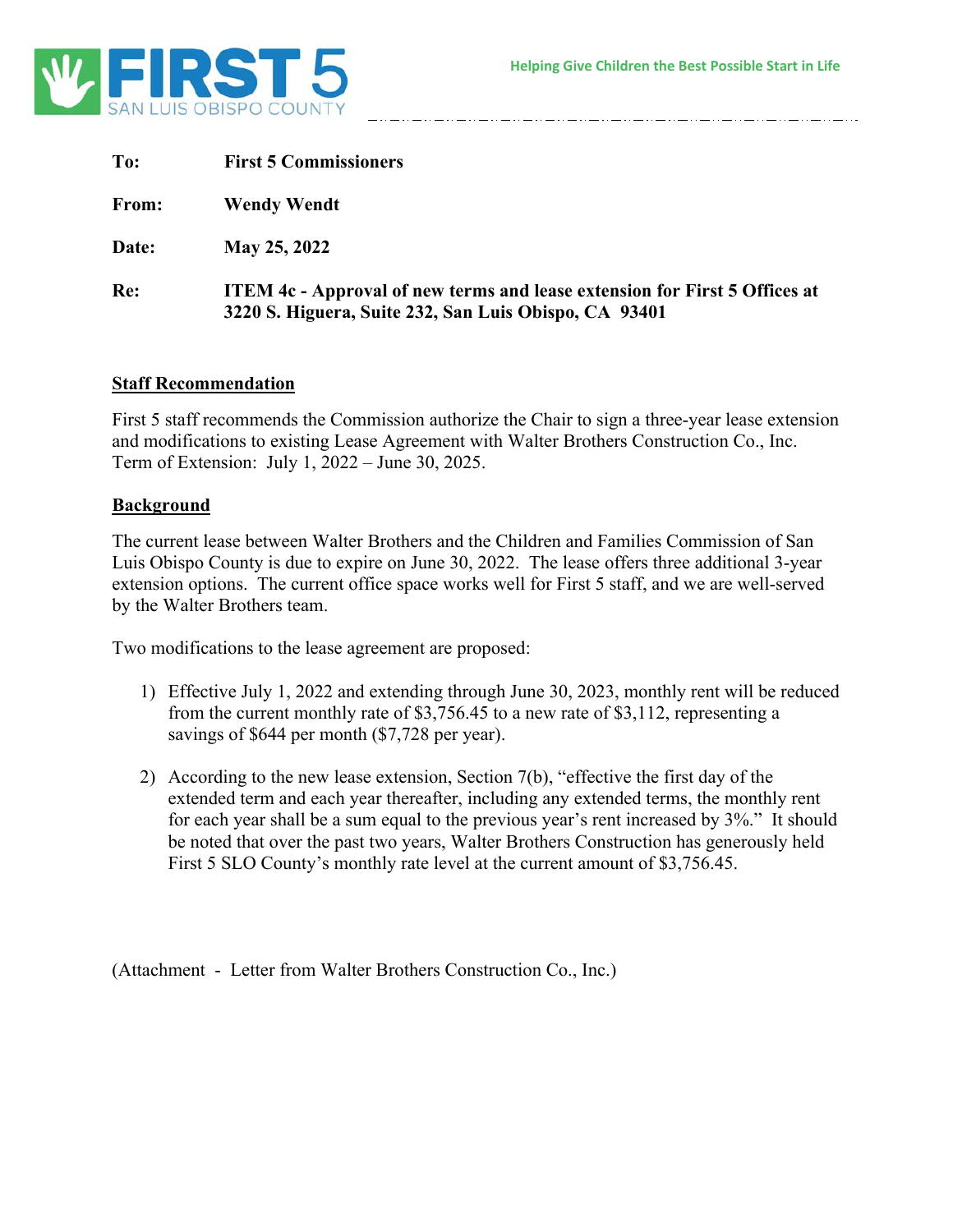

| To:   | <b>First 5 Commissioners</b>                                                                                                               |
|-------|--------------------------------------------------------------------------------------------------------------------------------------------|
| From: | <b>Wendy Wendt</b>                                                                                                                         |
| Date: | May 25, 2022                                                                                                                               |
| Re:   | <b>ITEM 4c - Approval of new terms and lease extension for First 5 Offices at</b><br>3220 S. Higuera, Suite 232, San Luis Obispo, CA 93401 |

#### **Staff Recommendation**

First 5 staff recommends the Commission authorize the Chair to sign a three-year lease extension and modifications to existing Lease Agreement with Walter Brothers Construction Co., Inc. Term of Extension: July 1, 2022 – June 30, 2025.

#### **Background**

The current lease between Walter Brothers and the Children and Families Commission of San Luis Obispo County is due to expire on June 30, 2022. The lease offers three additional 3-year extension options. The current office space works well for First 5 staff, and we are well-served by the Walter Brothers team.

Two modifications to the lease agreement are proposed:

- 1) Effective July 1, 2022 and extending through June 30, 2023, monthly rent will be reduced from the current monthly rate of \$3,756.45 to a new rate of \$3,112, representing a savings of \$644 per month (\$7,728 per year).
- 2) According to the new lease extension, Section 7(b), "effective the first day of the extended term and each year thereafter, including any extended terms, the monthly rent for each year shall be a sum equal to the previous year's rent increased by 3%." It should be noted that over the past two years, Walter Brothers Construction has generously held First 5 SLO County's monthly rate level at the current amount of \$3,756.45.

(Attachment - Letter from Walter Brothers Construction Co., Inc.)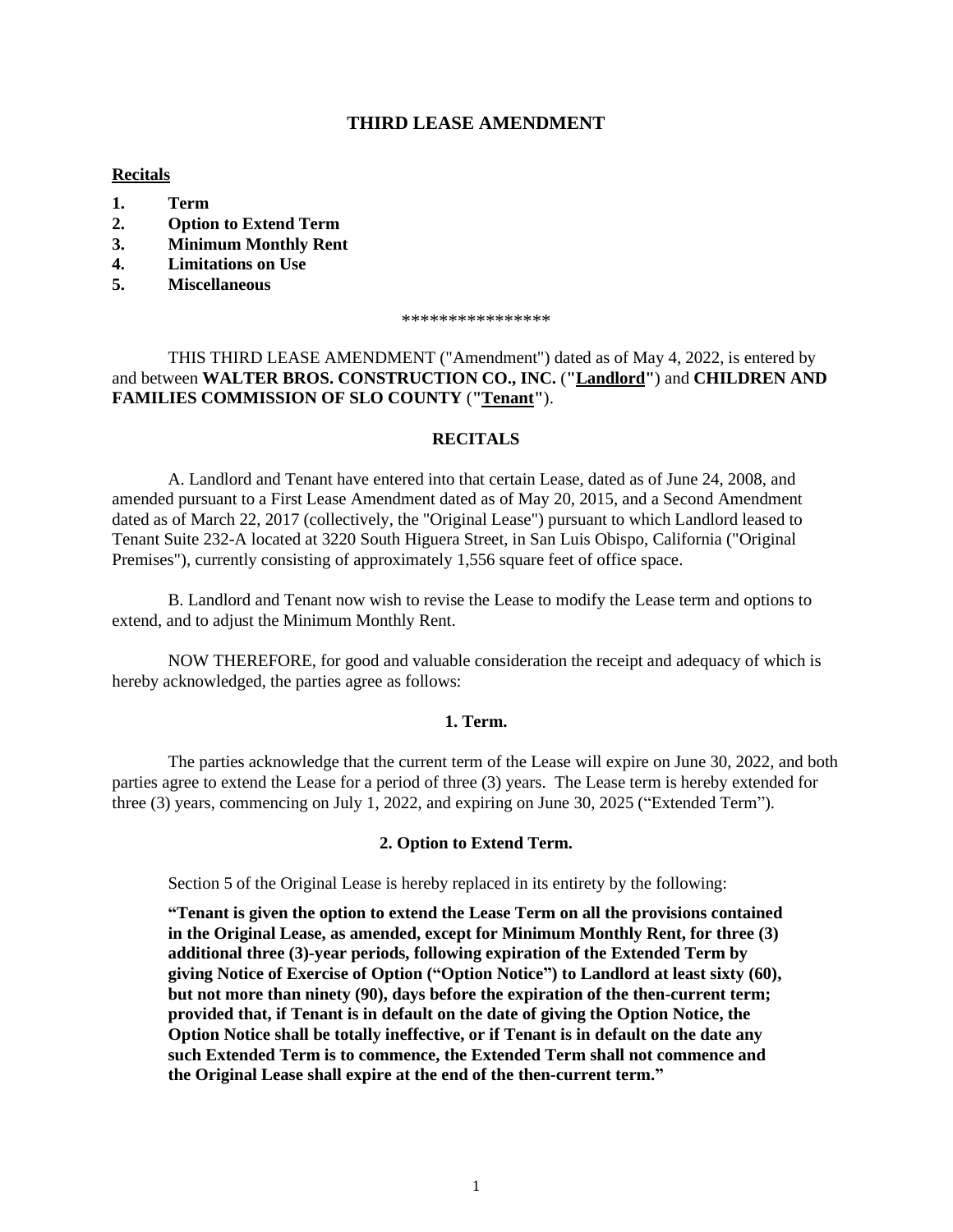#### **THIRD LEASE AMENDMENT**

#### **Recitals**

- **1. Term**
- **2. Option to Extend Term**
- **3. Minimum Monthly Rent**
- **4. Limitations on Use**
- **5. Miscellaneous**

\*\*\*\*\*\*\*\*\*\*\*\*\*\*\*\*

THIS THIRD LEASE AMENDMENT ("Amendment") dated as of May 4, 2022, is entered by and between **WALTER BROS. CONSTRUCTION CO., INC.** (**"Landlord"**) and **CHILDREN AND FAMILIES COMMISSION OF SLO COUNTY** (**"Tenant"**).

#### **RECITALS**

A. Landlord and Tenant have entered into that certain Lease, dated as of June 24, 2008, and amended pursuant to a First Lease Amendment dated as of May 20, 2015, and a Second Amendment dated as of March 22, 2017 (collectively, the "Original Lease") pursuant to which Landlord leased to Tenant Suite 232-A located at 3220 South Higuera Street, in San Luis Obispo, California ("Original Premises"), currently consisting of approximately 1,556 square feet of office space.

B. Landlord and Tenant now wish to revise the Lease to modify the Lease term and options to extend, and to adjust the Minimum Monthly Rent.

NOW THEREFORE, for good and valuable consideration the receipt and adequacy of which is hereby acknowledged, the parties agree as follows:

#### **1. Term.**

The parties acknowledge that the current term of the Lease will expire on June 30, 2022, and both parties agree to extend the Lease for a period of three (3) years. The Lease term is hereby extended for three (3) years, commencing on July 1, 2022, and expiring on June 30, 2025 ("Extended Term").

#### **2. Option to Extend Term.**

Section 5 of the Original Lease is hereby replaced in its entirety by the following:

**"Tenant is given the option to extend the Lease Term on all the provisions contained in the Original Lease, as amended, except for Minimum Monthly Rent, for three (3) additional three (3)-year periods, following expiration of the Extended Term by giving Notice of Exercise of Option ("Option Notice") to Landlord at least sixty (60), but not more than ninety (90), days before the expiration of the then-current term; provided that, if Tenant is in default on the date of giving the Option Notice, the Option Notice shall be totally ineffective, or if Tenant is in default on the date any such Extended Term is to commence, the Extended Term shall not commence and the Original Lease shall expire at the end of the then-current term."**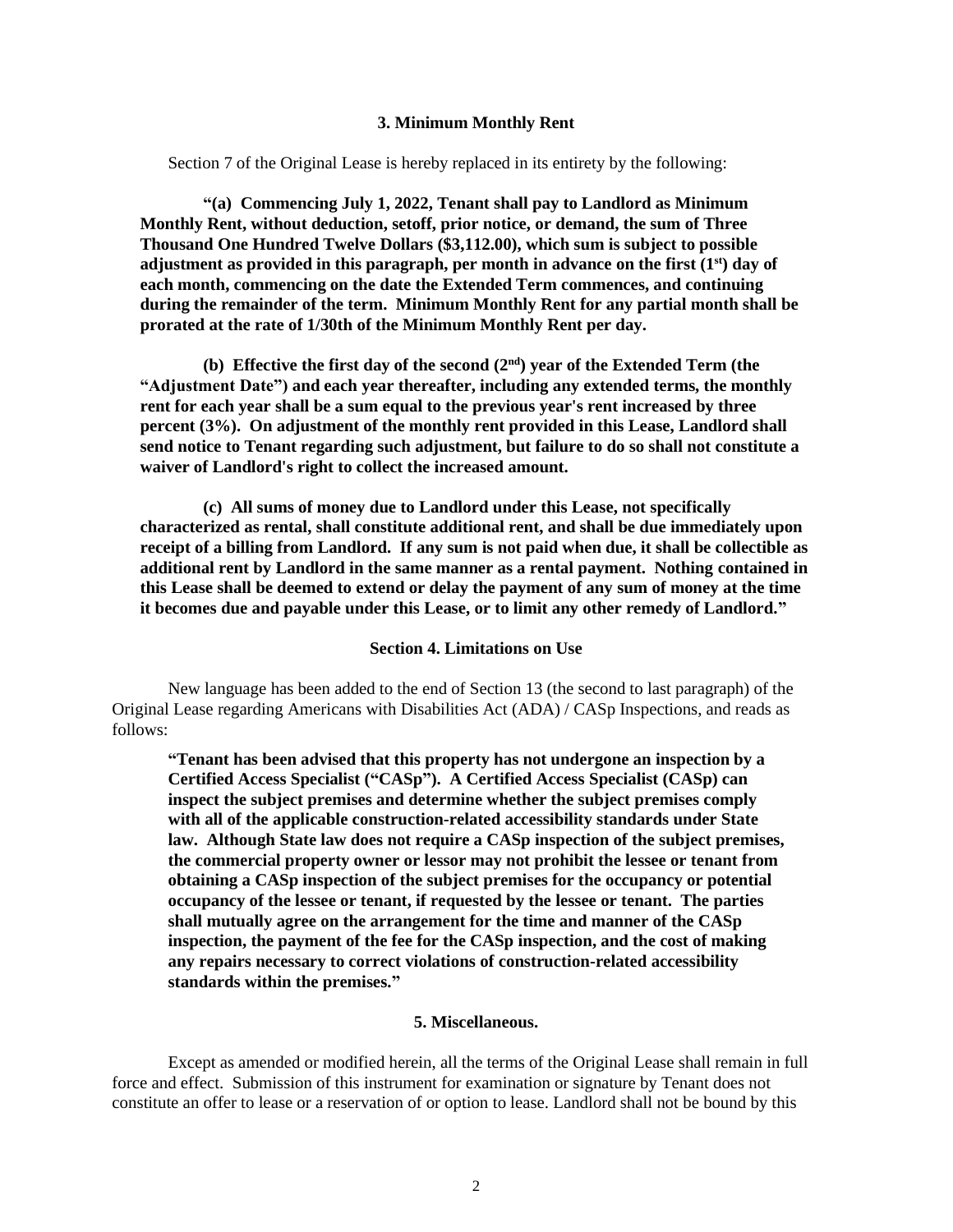#### **3. Minimum Monthly Rent**

Section 7 of the Original Lease is hereby replaced in its entirety by the following:

**"(a) Commencing July 1, 2022, Tenant shall pay to Landlord as Minimum Monthly Rent, without deduction, setoff, prior notice, or demand, the sum of Three Thousand One Hundred Twelve Dollars (\$3,112.00), which sum is subject to possible adjustment as provided in this paragraph, per month in advance on the first (1st) day of each month, commencing on the date the Extended Term commences, and continuing during the remainder of the term. Minimum Monthly Rent for any partial month shall be prorated at the rate of 1/30th of the Minimum Monthly Rent per day.**

**(b) Effective the first day of the second (2 nd) year of the Extended Term (the "Adjustment Date") and each year thereafter, including any extended terms, the monthly rent for each year shall be a sum equal to the previous year's rent increased by three percent (3%). On adjustment of the monthly rent provided in this Lease, Landlord shall send notice to Tenant regarding such adjustment, but failure to do so shall not constitute a waiver of Landlord's right to collect the increased amount.**

**(c) All sums of money due to Landlord under this Lease, not specifically characterized as rental, shall constitute additional rent, and shall be due immediately upon receipt of a billing from Landlord. If any sum is not paid when due, it shall be collectible as additional rent by Landlord in the same manner as a rental payment. Nothing contained in this Lease shall be deemed to extend or delay the payment of any sum of money at the time it becomes due and payable under this Lease, or to limit any other remedy of Landlord."**

#### **Section 4. Limitations on Use**

New language has been added to the end of Section 13 (the second to last paragraph) of the Original Lease regarding Americans with Disabilities Act (ADA) / CASp Inspections, and reads as follows:

**"Tenant has been advised that this property has not undergone an inspection by a Certified Access Specialist ("CASp"). A Certified Access Specialist (CASp) can inspect the subject premises and determine whether the subject premises comply with all of the applicable construction-related accessibility standards under State law. Although State law does not require a CASp inspection of the subject premises, the commercial property owner or lessor may not prohibit the lessee or tenant from obtaining a CASp inspection of the subject premises for the occupancy or potential occupancy of the lessee or tenant, if requested by the lessee or tenant. The parties shall mutually agree on the arrangement for the time and manner of the CASp inspection, the payment of the fee for the CASp inspection, and the cost of making any repairs necessary to correct violations of construction-related accessibility standards within the premises."**

#### **5. Miscellaneous.**

Except as amended or modified herein, all the terms of the Original Lease shall remain in full force and effect. Submission of this instrument for examination or signature by Tenant does not constitute an offer to lease or a reservation of or option to lease. Landlord shall not be bound by this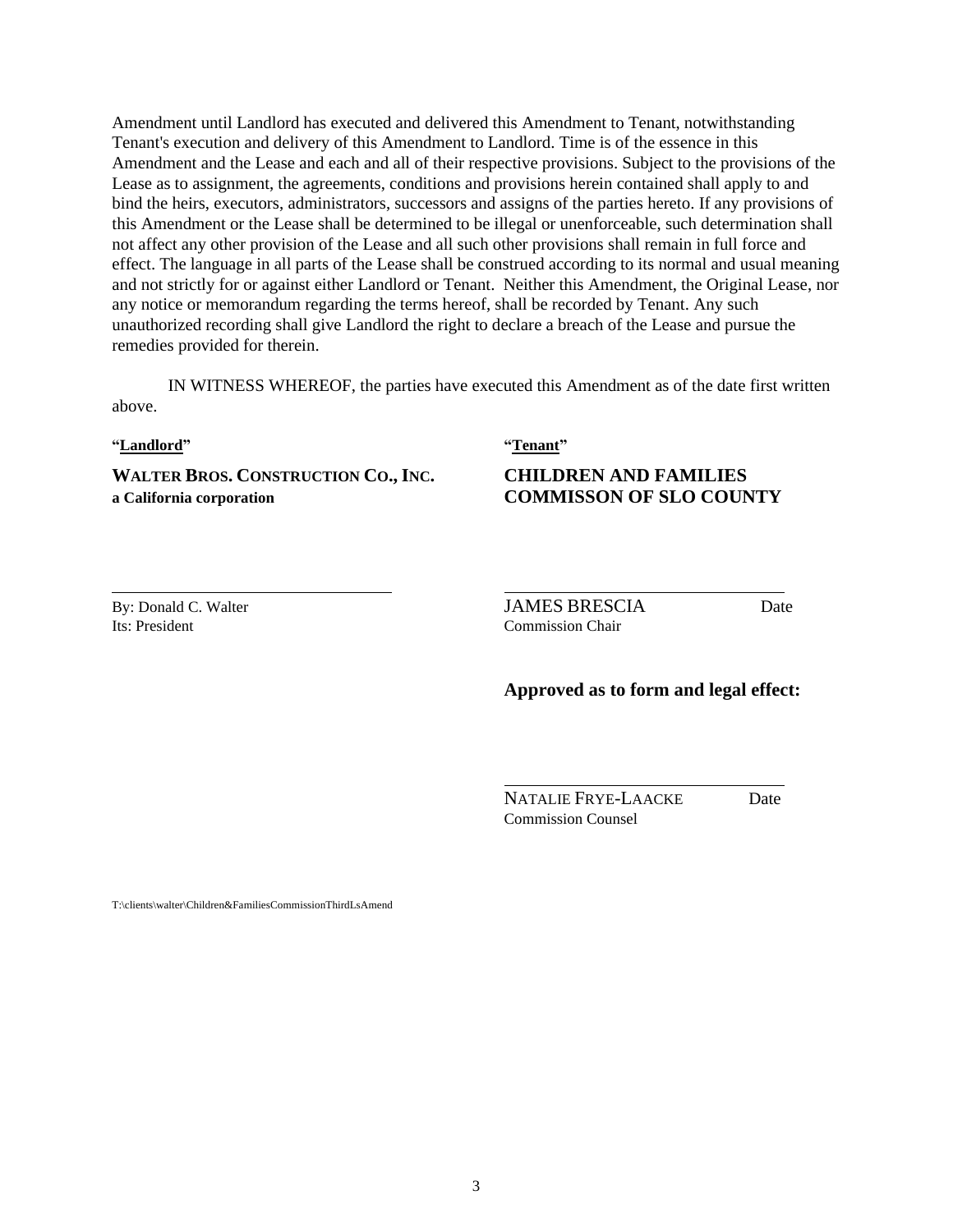Amendment until Landlord has executed and delivered this Amendment to Tenant, notwithstanding Tenant's execution and delivery of this Amendment to Landlord. Time is of the essence in this Amendment and the Lease and each and all of their respective provisions. Subject to the provisions of the Lease as to assignment, the agreements, conditions and provisions herein contained shall apply to and bind the heirs, executors, administrators, successors and assigns of the parties hereto. If any provisions of this Amendment or the Lease shall be determined to be illegal or unenforceable, such determination shall not affect any other provision of the Lease and all such other provisions shall remain in full force and effect. The language in all parts of the Lease shall be construed according to its normal and usual meaning and not strictly for or against either Landlord or Tenant. Neither this Amendment, the Original Lease, nor any notice or memorandum regarding the terms hereof, shall be recorded by Tenant. Any such unauthorized recording shall give Landlord the right to declare a breach of the Lease and pursue the remedies provided for therein.

IN WITNESS WHEREOF, the parties have executed this Amendment as of the date first written above.

#### **"Landlord" "Tenant"**

**WALTER BROS. CONSTRUCTION CO., INC. CHILDREN AND FAMILIES a California corporation COMMISSON OF SLO COUNTY**

By: Donald C. Walter **State Community JAMES BRESCIA** Date Its: President Commission Chair

#### **Approved as to form and legal effect:**

NATALIE FRYE-LAACKE Date Commission Counsel

T:\clients\walter\Children&FamiliesCommissionThirdLsAmend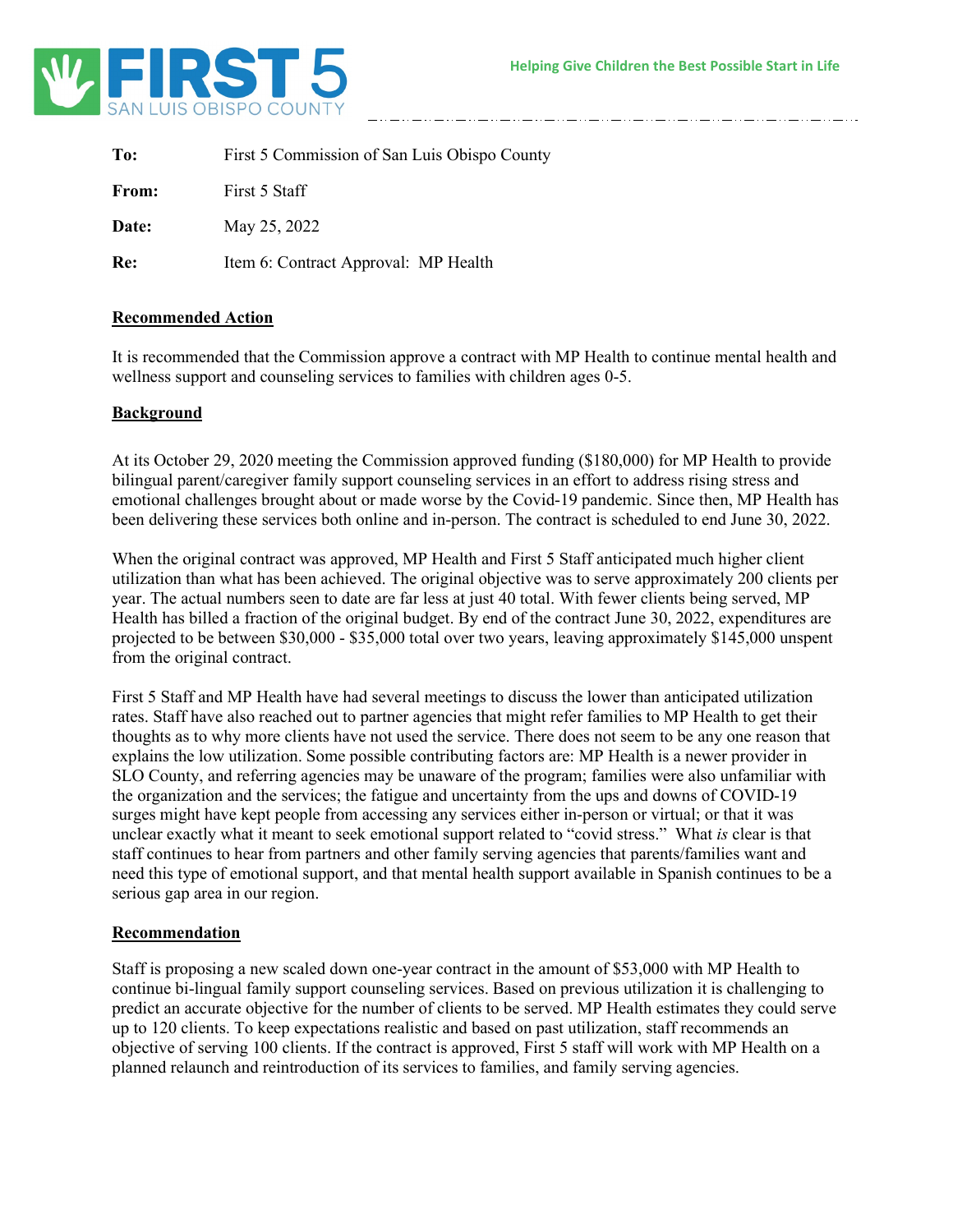

| To:   | First 5 Commission of San Luis Obispo County |
|-------|----------------------------------------------|
| From: | First 5 Staff                                |
| Date: | May 25, 2022                                 |
| Re:   | Item 6: Contract Approval: MP Health         |

#### **Recommended Action**

It is recommended that the Commission approve a contract with MP Health to continue mental health and wellness support and counseling services to families with children ages 0-5.

#### **Background**

At its October 29, 2020 meeting the Commission approved funding (\$180,000) for MP Health to provide bilingual parent/caregiver family support counseling services in an effort to address rising stress and emotional challenges brought about or made worse by the Covid-19 pandemic. Since then, MP Health has been delivering these services both online and in-person. The contract is scheduled to end June 30, 2022.

When the original contract was approved, MP Health and First 5 Staff anticipated much higher client utilization than what has been achieved. The original objective was to serve approximately 200 clients per year. The actual numbers seen to date are far less at just 40 total. With fewer clients being served, MP Health has billed a fraction of the original budget. By end of the contract June 30, 2022, expenditures are projected to be between \$30,000 - \$35,000 total over two years, leaving approximately \$145,000 unspent from the original contract.

First 5 Staff and MP Health have had several meetings to discuss the lower than anticipated utilization rates. Staff have also reached out to partner agencies that might refer families to MP Health to get their thoughts as to why more clients have not used the service. There does not seem to be any one reason that explains the low utilization. Some possible contributing factors are: MP Health is a newer provider in SLO County, and referring agencies may be unaware of the program; families were also unfamiliar with the organization and the services; the fatigue and uncertainty from the ups and downs of COVID-19 surges might have kept people from accessing any services either in-person or virtual; or that it was unclear exactly what it meant to seek emotional support related to "covid stress." What *is* clear is that staff continues to hear from partners and other family serving agencies that parents/families want and need this type of emotional support, and that mental health support available in Spanish continues to be a serious gap area in our region.

#### **Recommendation**

Staff is proposing a new scaled down one-year contract in the amount of \$53,000 with MP Health to continue bi-lingual family support counseling services. Based on previous utilization it is challenging to predict an accurate objective for the number of clients to be served. MP Health estimates they could serve up to 120 clients. To keep expectations realistic and based on past utilization, staff recommends an objective of serving 100 clients. If the contract is approved, First 5 staff will work with MP Health on a planned relaunch and reintroduction of its services to families, and family serving agencies.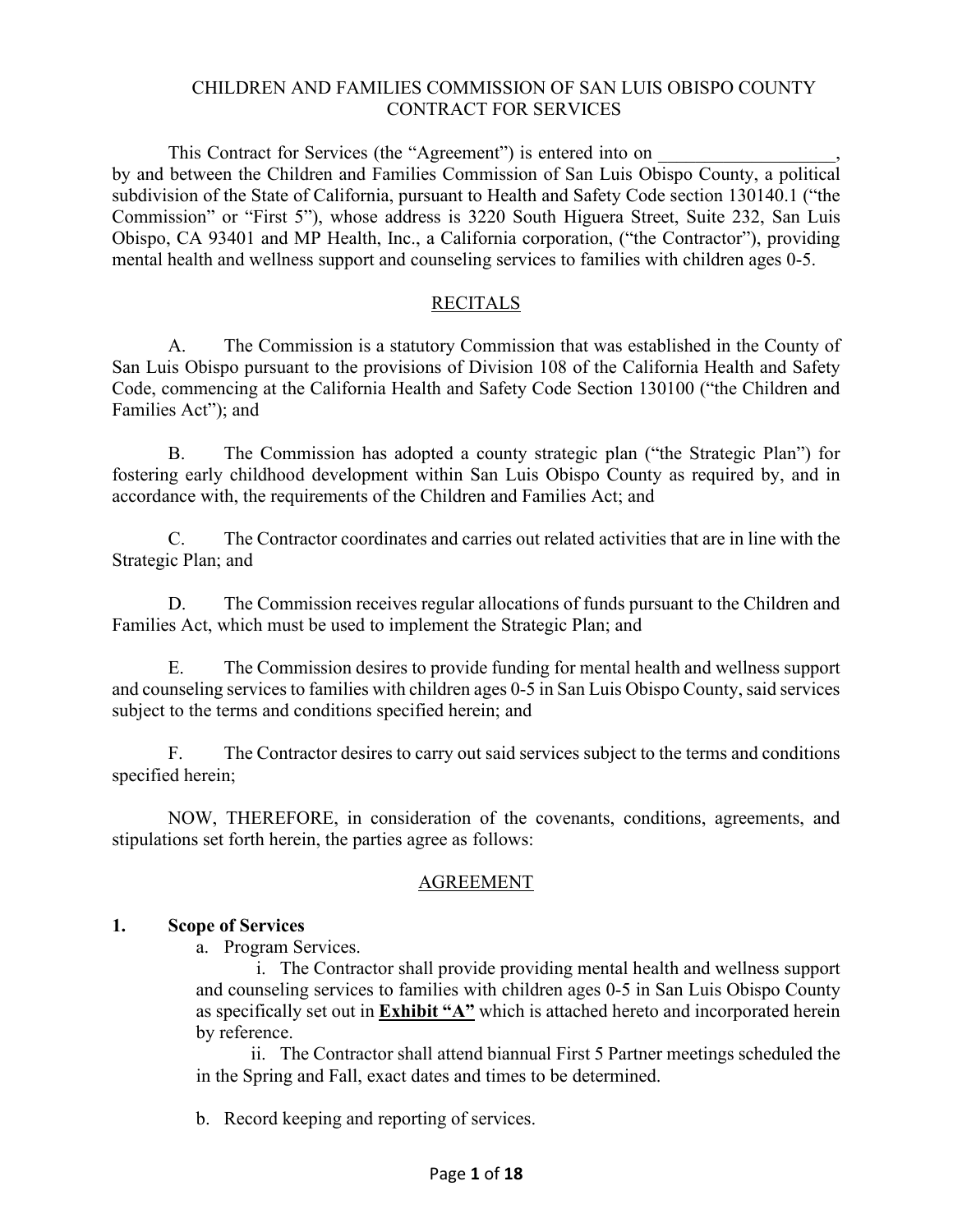#### CHILDREN AND FAMILIES COMMISSION OF SAN LUIS OBISPO COUNTY CONTRACT FOR SERVICES

This Contract for Services (the "Agreement") is entered into on by and between the Children and Families Commission of San Luis Obispo County, a political subdivision of the State of California, pursuant to Health and Safety Code section 130140.1 ("the Commission" or "First 5"), whose address is 3220 South Higuera Street, Suite 232, San Luis Obispo, CA 93401 and MP Health, Inc., a California corporation, ("the Contractor"), providing mental health and wellness support and counseling services to families with children ages 0-5.

#### RECITALS

A. The Commission is a statutory Commission that was established in the County of San Luis Obispo pursuant to the provisions of Division 108 of the California Health and Safety Code, commencing at the California Health and Safety Code Section 130100 ("the Children and Families Act"); and

B. The Commission has adopted a county strategic plan ("the Strategic Plan") for fostering early childhood development within San Luis Obispo County as required by, and in accordance with, the requirements of the Children and Families Act; and

C. The Contractor coordinates and carries out related activities that are in line with the Strategic Plan; and

D. The Commission receives regular allocations of funds pursuant to the Children and Families Act, which must be used to implement the Strategic Plan; and

E. The Commission desires to provide funding for mental health and wellness support and counseling services to families with children ages 0-5 in San Luis Obispo County, said services subject to the terms and conditions specified herein; and

F. The Contractor desires to carry out said services subject to the terms and conditions specified herein;

NOW, THEREFORE, in consideration of the covenants, conditions, agreements, and stipulations set forth herein, the parties agree as follows:

#### AGREEMENT

#### **1. Scope of Services**

a. Program Services.

i. The Contractor shall provide providing mental health and wellness support and counseling services to families with children ages 0-5 in San Luis Obispo County as specifically set out in **Exhibit "A"** which is attached hereto and incorporated herein by reference.

ii. The Contractor shall attend biannual First 5 Partner meetings scheduled the in the Spring and Fall, exact dates and times to be determined.

b. Record keeping and reporting of services.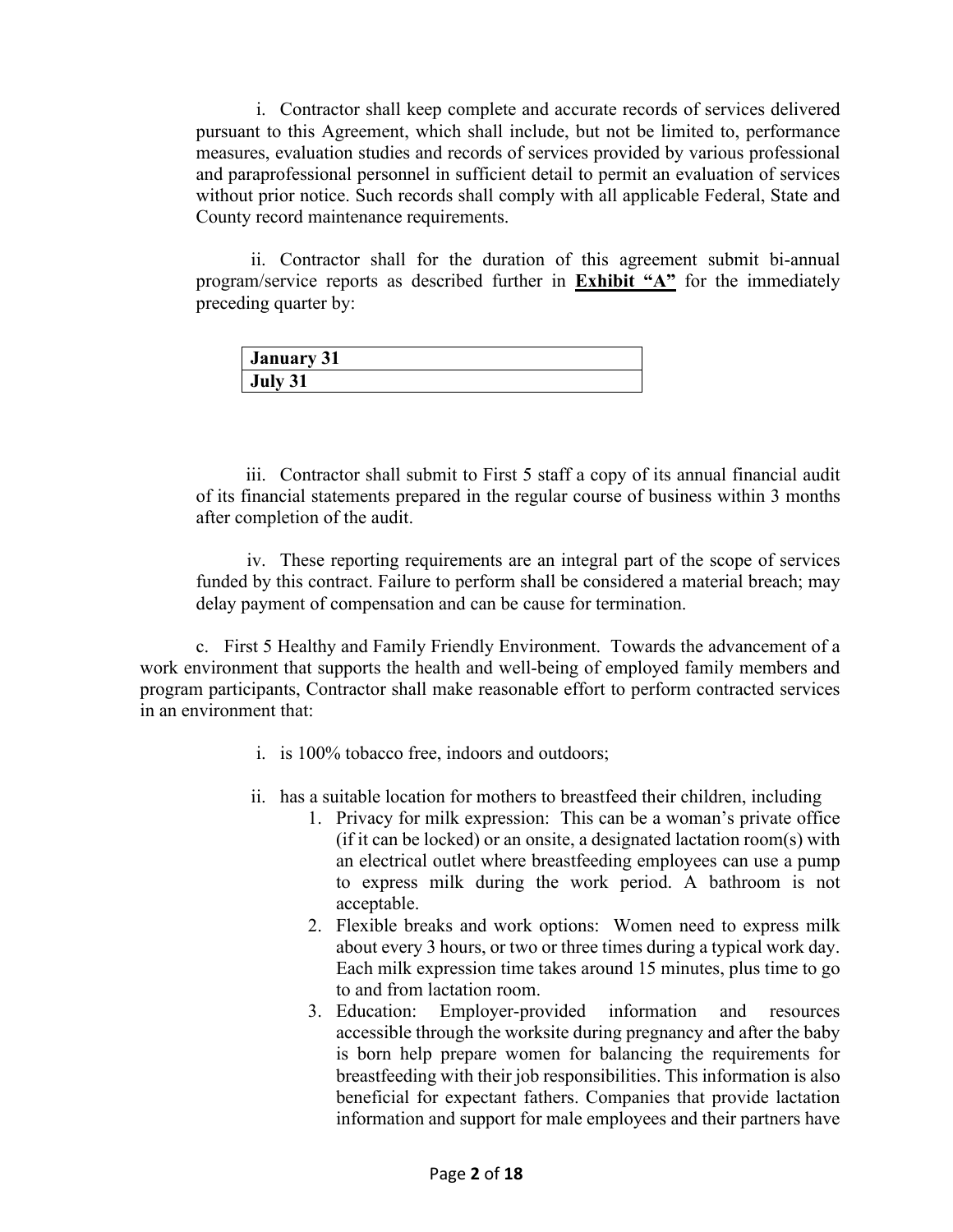i. Contractor shall keep complete and accurate records of services delivered pursuant to this Agreement, which shall include, but not be limited to, performance measures, evaluation studies and records of services provided by various professional and paraprofessional personnel in sufficient detail to permit an evaluation of services without prior notice. Such records shall comply with all applicable Federal, State and County record maintenance requirements.

ii. Contractor shall for the duration of this agreement submit bi-annual program/service reports as described further in **Exhibit "A"** for the immediately preceding quarter by:

| <b>January 31</b> |  |
|-------------------|--|
| July 31           |  |

iii. Contractor shall submit to First 5 staff a copy of its annual financial audit of its financial statements prepared in the regular course of business within 3 months after completion of the audit.

iv. These reporting requirements are an integral part of the scope of services funded by this contract. Failure to perform shall be considered a material breach; may delay payment of compensation and can be cause for termination.

c. First 5 Healthy and Family Friendly Environment. Towards the advancement of a work environment that supports the health and well-being of employed family members and program participants, Contractor shall make reasonable effort to perform contracted services in an environment that:

- i. is 100% tobacco free, indoors and outdoors;
- ii. has a suitable location for mothers to breastfeed their children, including
	- 1. Privacy for milk expression: This can be a woman's private office (if it can be locked) or an onsite, a designated lactation room(s) with an electrical outlet where breastfeeding employees can use a pump to express milk during the work period. A bathroom is not acceptable.
	- 2. Flexible breaks and work options: Women need to express milk about every 3 hours, or two or three times during a typical work day. Each milk expression time takes around 15 minutes, plus time to go to and from lactation room.
	- 3. Education: Employer-provided information and resources accessible through the worksite during pregnancy and after the baby is born help prepare women for balancing the requirements for breastfeeding with their job responsibilities. This information is also beneficial for expectant fathers. Companies that provide lactation information and support for male employees and their partners have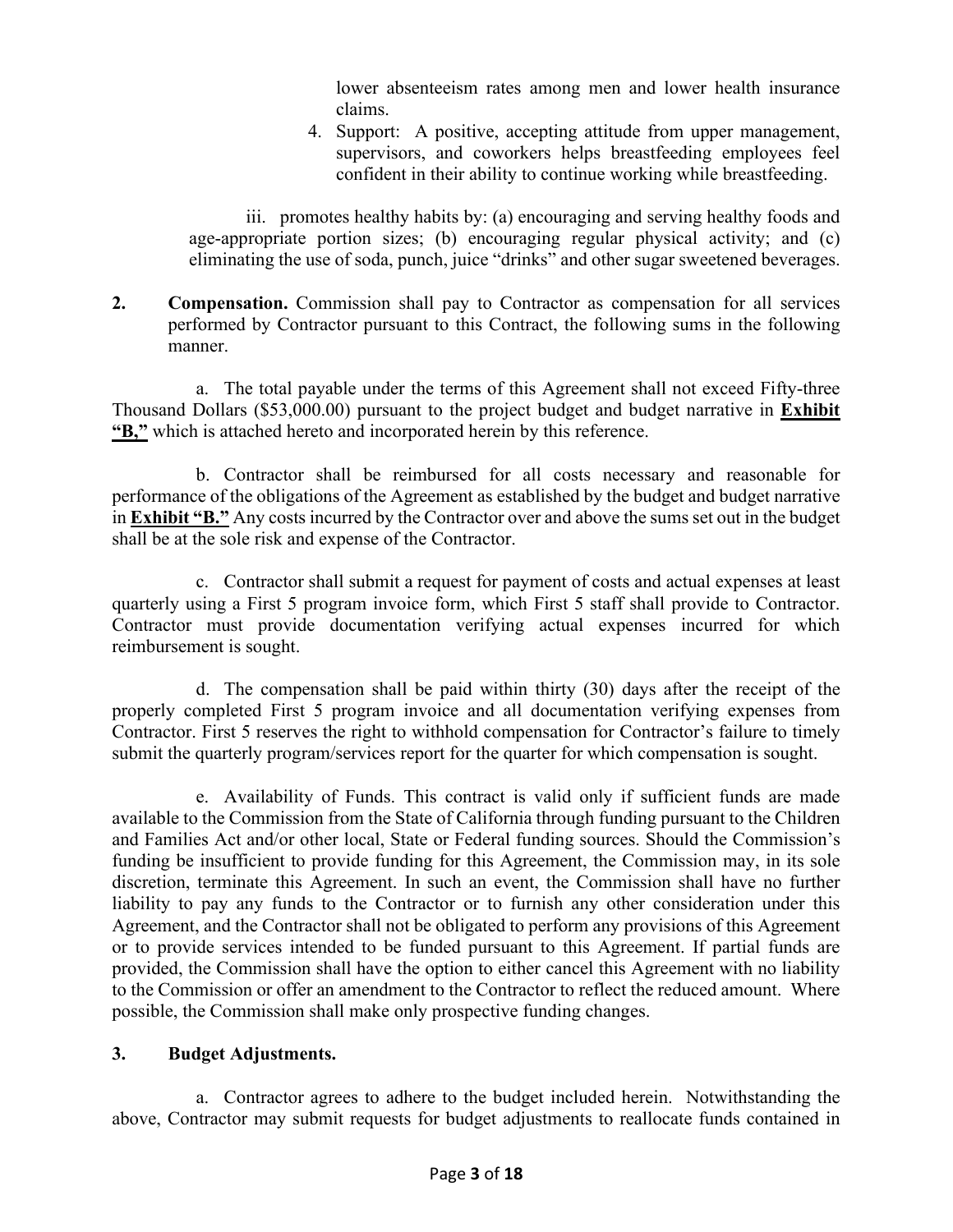lower absenteeism rates among men and lower health insurance claims.

4. Support: A positive, accepting attitude from upper management, supervisors, and coworkers helps breastfeeding employees feel confident in their ability to continue working while breastfeeding.

iii. promotes healthy habits by: (a) encouraging and serving healthy foods and age-appropriate portion sizes; (b) encouraging regular physical activity; and (c) eliminating the use of soda, punch, juice "drinks" and other sugar sweetened beverages.

**2. Compensation.** Commission shall pay to Contractor as compensation for all services performed by Contractor pursuant to this Contract, the following sums in the following manner.

a. The total payable under the terms of this Agreement shall not exceed Fifty-three Thousand Dollars (\$53,000.00) pursuant to the project budget and budget narrative in **Exhibit "B,"** which is attached hereto and incorporated herein by this reference.

b. Contractor shall be reimbursed for all costs necessary and reasonable for performance of the obligations of the Agreement as established by the budget and budget narrative in **Exhibit "B."** Any costs incurred by the Contractor over and above the sums set out in the budget shall be at the sole risk and expense of the Contractor.

c. Contractor shall submit a request for payment of costs and actual expenses at least quarterly using a First 5 program invoice form, which First 5 staff shall provide to Contractor. Contractor must provide documentation verifying actual expenses incurred for which reimbursement is sought.

d. The compensation shall be paid within thirty (30) days after the receipt of the properly completed First 5 program invoice and all documentation verifying expenses from Contractor. First 5 reserves the right to withhold compensation for Contractor's failure to timely submit the quarterly program/services report for the quarter for which compensation is sought.

e. Availability of Funds. This contract is valid only if sufficient funds are made available to the Commission from the State of California through funding pursuant to the Children and Families Act and/or other local, State or Federal funding sources. Should the Commission's funding be insufficient to provide funding for this Agreement, the Commission may, in its sole discretion, terminate this Agreement. In such an event, the Commission shall have no further liability to pay any funds to the Contractor or to furnish any other consideration under this Agreement, and the Contractor shall not be obligated to perform any provisions of this Agreement or to provide services intended to be funded pursuant to this Agreement. If partial funds are provided, the Commission shall have the option to either cancel this Agreement with no liability to the Commission or offer an amendment to the Contractor to reflect the reduced amount. Where possible, the Commission shall make only prospective funding changes.

# **3. Budget Adjustments.**

a. Contractor agrees to adhere to the budget included herein. Notwithstanding the above, Contractor may submit requests for budget adjustments to reallocate funds contained in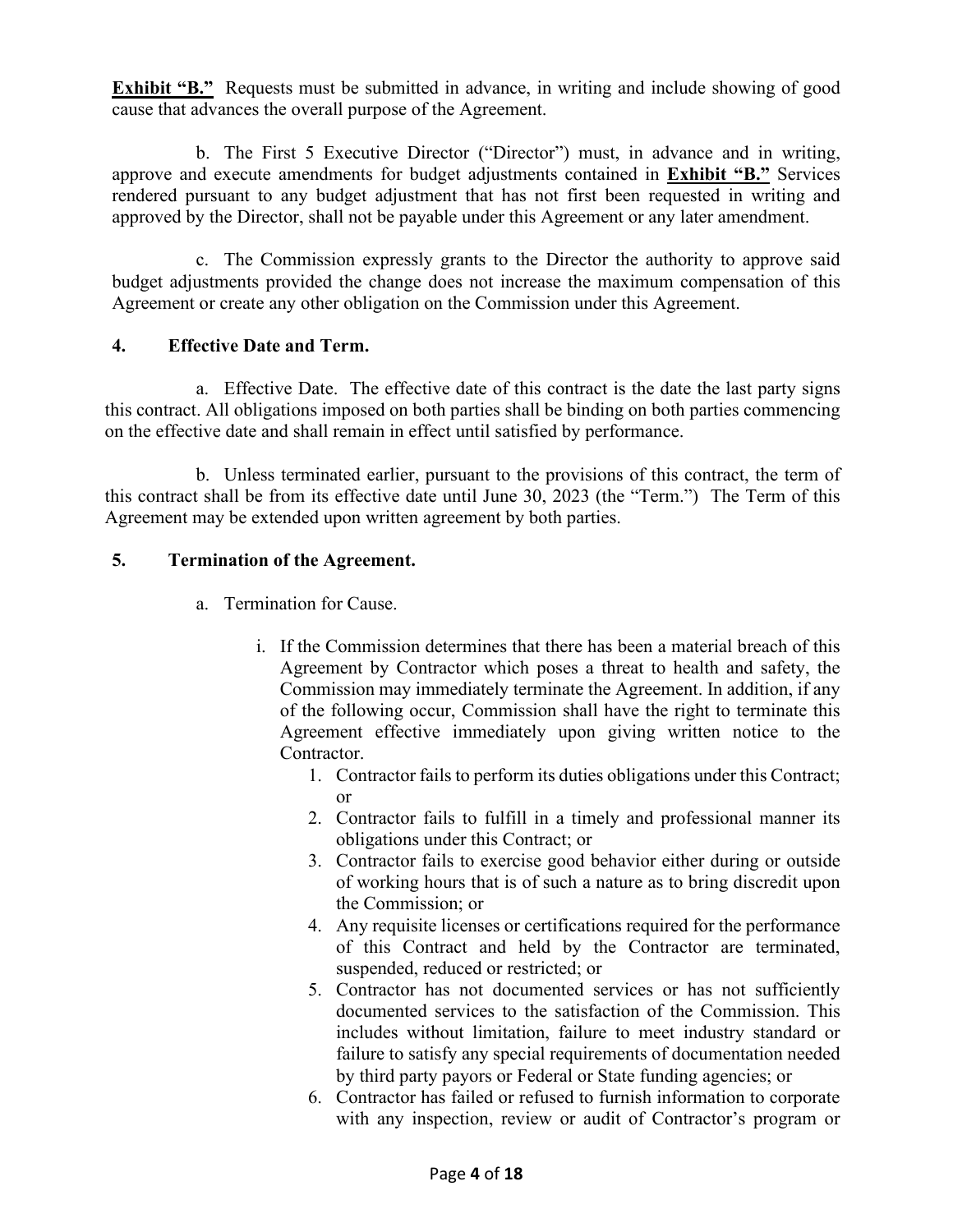**Exhibit "B."** Requests must be submitted in advance, in writing and include showing of good cause that advances the overall purpose of the Agreement.

b. The First 5 Executive Director ("Director") must, in advance and in writing, approve and execute amendments for budget adjustments contained in **Exhibit "B."** Services rendered pursuant to any budget adjustment that has not first been requested in writing and approved by the Director, shall not be payable under this Agreement or any later amendment.

c. The Commission expressly grants to the Director the authority to approve said budget adjustments provided the change does not increase the maximum compensation of this Agreement or create any other obligation on the Commission under this Agreement.

# **4. Effective Date and Term.**

a. Effective Date. The effective date of this contract is the date the last party signs this contract. All obligations imposed on both parties shall be binding on both parties commencing on the effective date and shall remain in effect until satisfied by performance.

b. Unless terminated earlier, pursuant to the provisions of this contract, the term of this contract shall be from its effective date until June 30, 2023 (the "Term.") The Term of this Agreement may be extended upon written agreement by both parties.

#### **5. Termination of the Agreement.**

- a. Termination for Cause.
	- i. If the Commission determines that there has been a material breach of this Agreement by Contractor which poses a threat to health and safety, the Commission may immediately terminate the Agreement. In addition, if any of the following occur, Commission shall have the right to terminate this Agreement effective immediately upon giving written notice to the Contractor.
		- 1. Contractor fails to perform its duties obligations under this Contract; or
		- 2. Contractor fails to fulfill in a timely and professional manner its obligations under this Contract; or
		- 3. Contractor fails to exercise good behavior either during or outside of working hours that is of such a nature as to bring discredit upon the Commission; or
		- 4. Any requisite licenses or certifications required for the performance of this Contract and held by the Contractor are terminated, suspended, reduced or restricted; or
		- 5. Contractor has not documented services or has not sufficiently documented services to the satisfaction of the Commission. This includes without limitation, failure to meet industry standard or failure to satisfy any special requirements of documentation needed by third party payors or Federal or State funding agencies; or
		- 6. Contractor has failed or refused to furnish information to corporate with any inspection, review or audit of Contractor's program or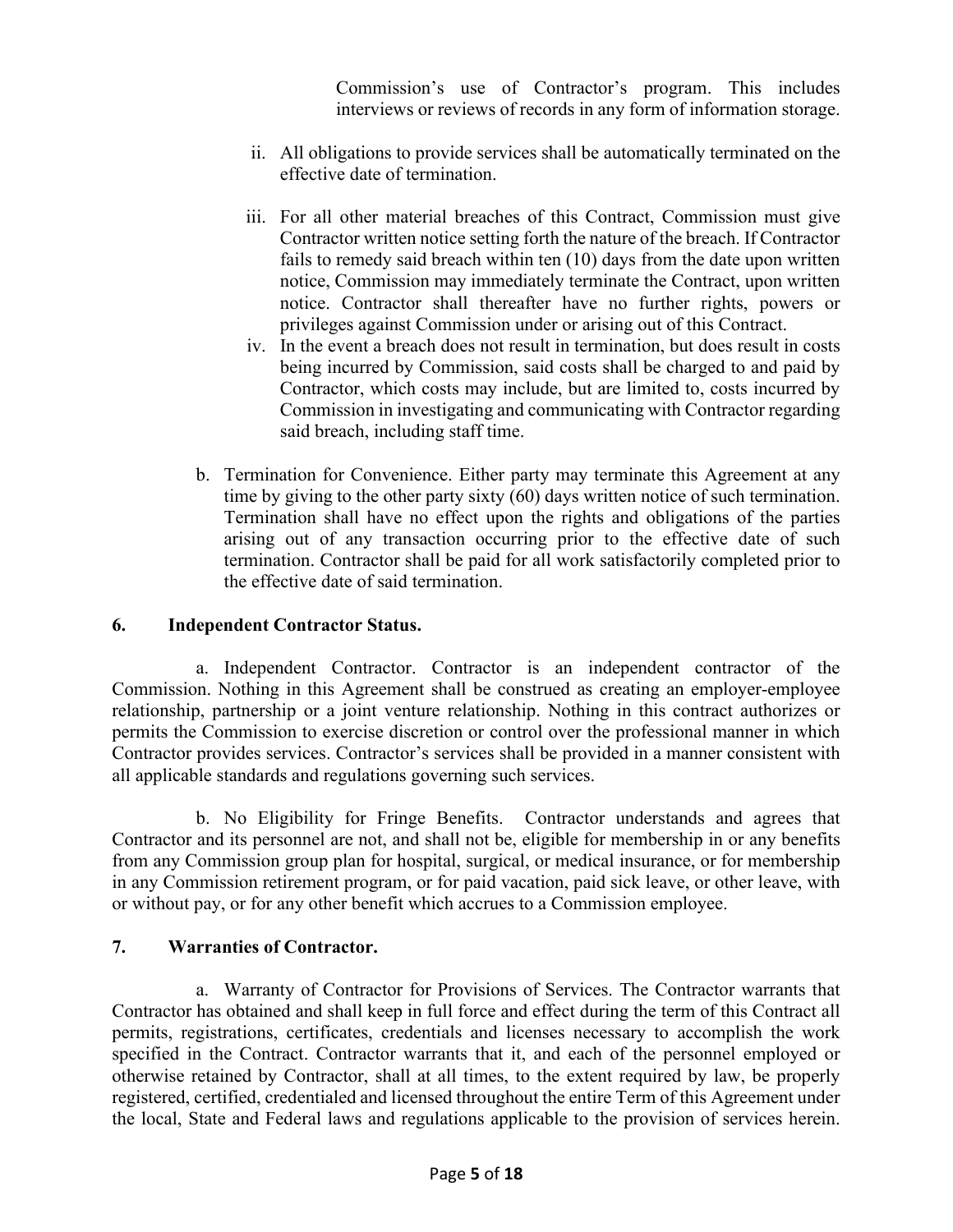Commission's use of Contractor's program. This includes interviews or reviews of records in any form of information storage.

- ii. All obligations to provide services shall be automatically terminated on the effective date of termination.
- iii. For all other material breaches of this Contract, Commission must give Contractor written notice setting forth the nature of the breach. If Contractor fails to remedy said breach within ten (10) days from the date upon written notice, Commission may immediately terminate the Contract, upon written notice. Contractor shall thereafter have no further rights, powers or privileges against Commission under or arising out of this Contract.
- iv. In the event a breach does not result in termination, but does result in costs being incurred by Commission, said costs shall be charged to and paid by Contractor, which costs may include, but are limited to, costs incurred by Commission in investigating and communicating with Contractor regarding said breach, including staff time.
- b. Termination for Convenience. Either party may terminate this Agreement at any time by giving to the other party sixty (60) days written notice of such termination. Termination shall have no effect upon the rights and obligations of the parties arising out of any transaction occurring prior to the effective date of such termination. Contractor shall be paid for all work satisfactorily completed prior to the effective date of said termination.

#### **6. Independent Contractor Status.**

a. Independent Contractor. Contractor is an independent contractor of the Commission. Nothing in this Agreement shall be construed as creating an employer-employee relationship, partnership or a joint venture relationship. Nothing in this contract authorizes or permits the Commission to exercise discretion or control over the professional manner in which Contractor provides services. Contractor's services shall be provided in a manner consistent with all applicable standards and regulations governing such services.

b. No Eligibility for Fringe Benefits. Contractor understands and agrees that Contractor and its personnel are not, and shall not be, eligible for membership in or any benefits from any Commission group plan for hospital, surgical, or medical insurance, or for membership in any Commission retirement program, or for paid vacation, paid sick leave, or other leave, with or without pay, or for any other benefit which accrues to a Commission employee.

#### **7. Warranties of Contractor.**

a. Warranty of Contractor for Provisions of Services. The Contractor warrants that Contractor has obtained and shall keep in full force and effect during the term of this Contract all permits, registrations, certificates, credentials and licenses necessary to accomplish the work specified in the Contract. Contractor warrants that it, and each of the personnel employed or otherwise retained by Contractor, shall at all times, to the extent required by law, be properly registered, certified, credentialed and licensed throughout the entire Term of this Agreement under the local, State and Federal laws and regulations applicable to the provision of services herein.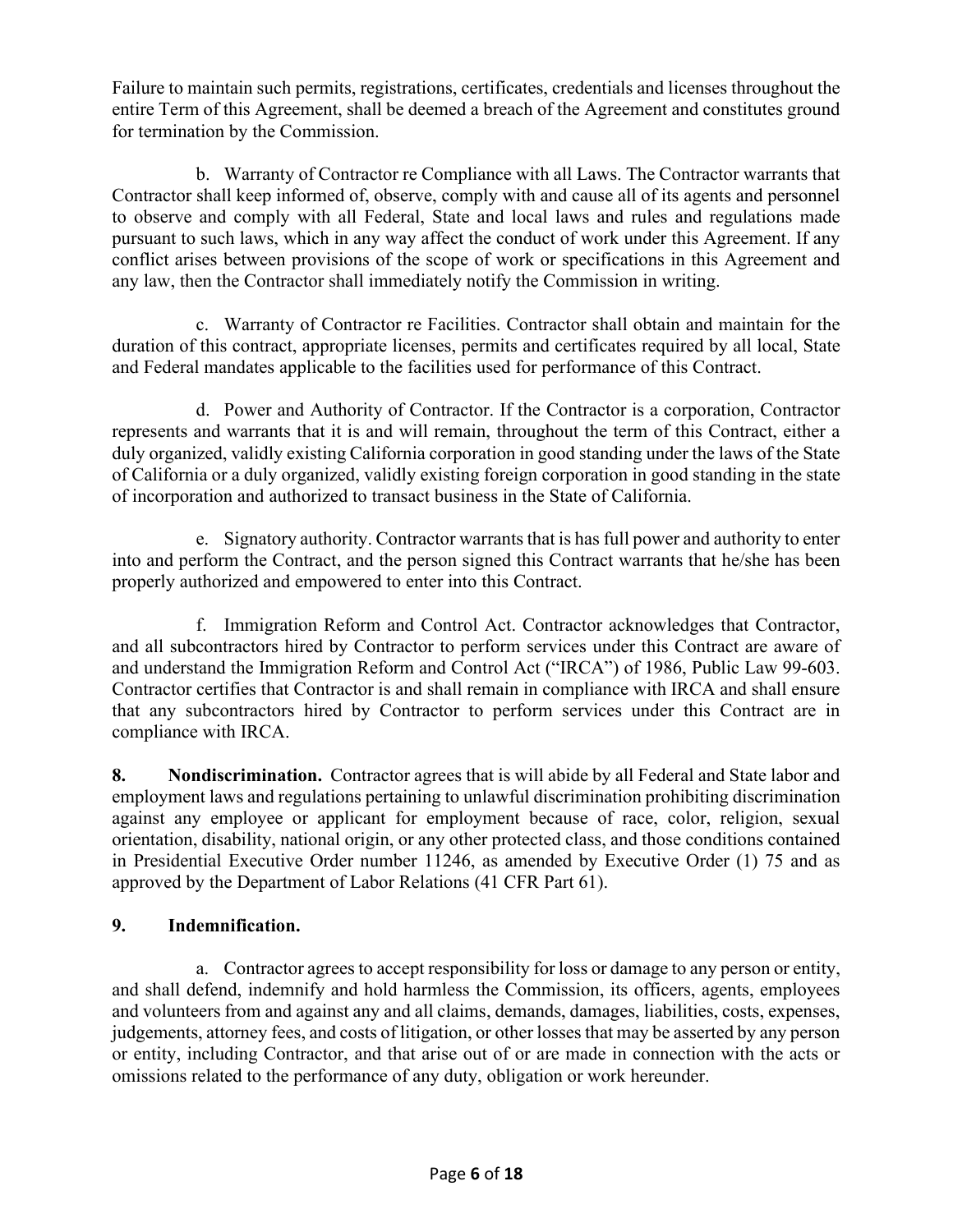Failure to maintain such permits, registrations, certificates, credentials and licenses throughout the entire Term of this Agreement, shall be deemed a breach of the Agreement and constitutes ground for termination by the Commission.

b. Warranty of Contractor re Compliance with all Laws. The Contractor warrants that Contractor shall keep informed of, observe, comply with and cause all of its agents and personnel to observe and comply with all Federal, State and local laws and rules and regulations made pursuant to such laws, which in any way affect the conduct of work under this Agreement. If any conflict arises between provisions of the scope of work or specifications in this Agreement and any law, then the Contractor shall immediately notify the Commission in writing.

c. Warranty of Contractor re Facilities. Contractor shall obtain and maintain for the duration of this contract, appropriate licenses, permits and certificates required by all local, State and Federal mandates applicable to the facilities used for performance of this Contract.

d. Power and Authority of Contractor. If the Contractor is a corporation, Contractor represents and warrants that it is and will remain, throughout the term of this Contract, either a duly organized, validly existing California corporation in good standing under the laws of the State of California or a duly organized, validly existing foreign corporation in good standing in the state of incorporation and authorized to transact business in the State of California.

e. Signatory authority. Contractor warrants that is has full power and authority to enter into and perform the Contract, and the person signed this Contract warrants that he/she has been properly authorized and empowered to enter into this Contract.

f. Immigration Reform and Control Act. Contractor acknowledges that Contractor, and all subcontractors hired by Contractor to perform services under this Contract are aware of and understand the Immigration Reform and Control Act ("IRCA") of 1986, Public Law 99-603. Contractor certifies that Contractor is and shall remain in compliance with IRCA and shall ensure that any subcontractors hired by Contractor to perform services under this Contract are in compliance with IRCA.

**8. Nondiscrimination.** Contractor agrees that is will abide by all Federal and State labor and employment laws and regulations pertaining to unlawful discrimination prohibiting discrimination against any employee or applicant for employment because of race, color, religion, sexual orientation, disability, national origin, or any other protected class, and those conditions contained in Presidential Executive Order number 11246, as amended by Executive Order (1) 75 and as approved by the Department of Labor Relations (41 CFR Part 61).

# **9. Indemnification.**

a. Contractor agrees to accept responsibility for loss or damage to any person or entity, and shall defend, indemnify and hold harmless the Commission, its officers, agents, employees and volunteers from and against any and all claims, demands, damages, liabilities, costs, expenses, judgements, attorney fees, and costs of litigation, or other losses that may be asserted by any person or entity, including Contractor, and that arise out of or are made in connection with the acts or omissions related to the performance of any duty, obligation or work hereunder.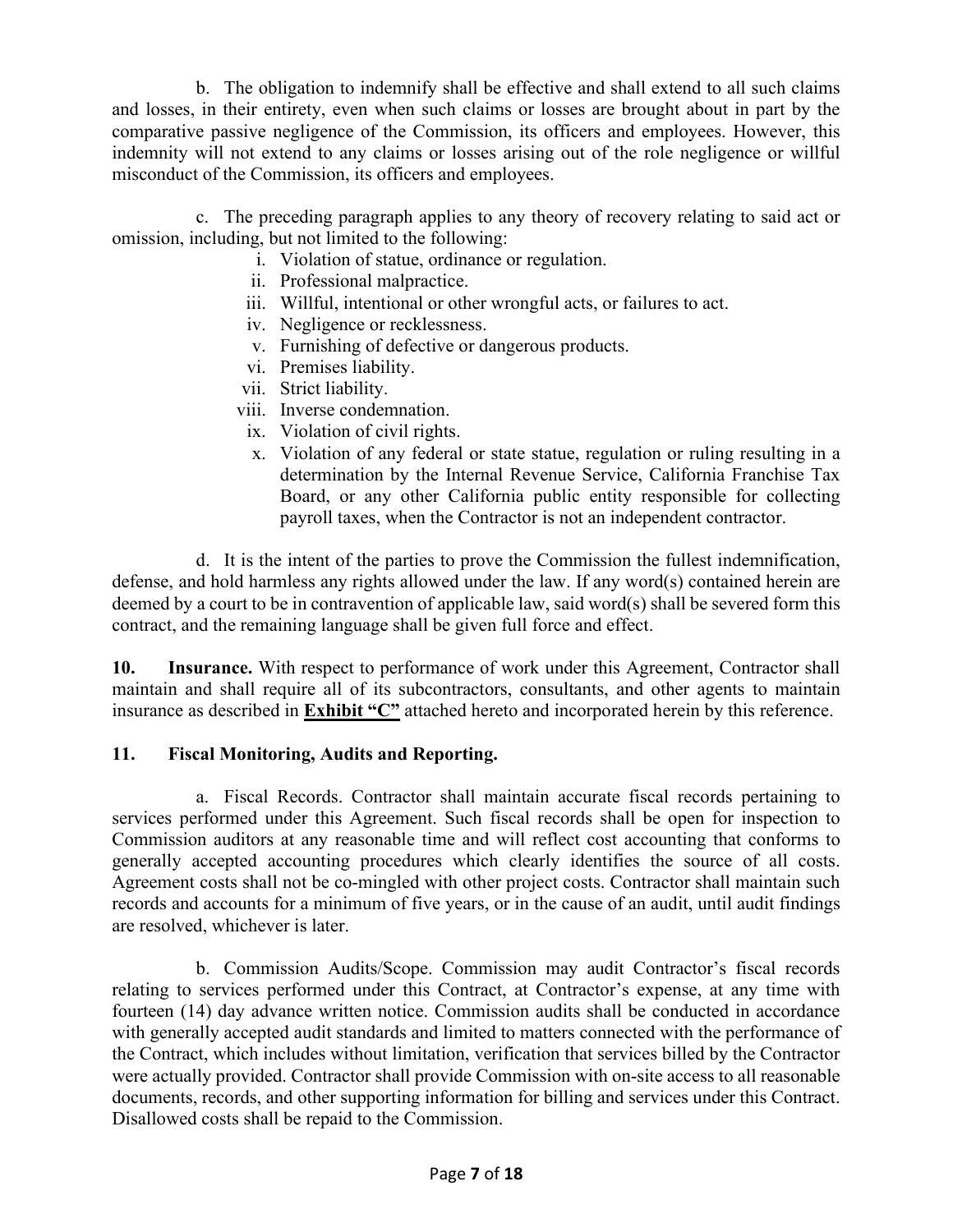b. The obligation to indemnify shall be effective and shall extend to all such claims and losses, in their entirety, even when such claims or losses are brought about in part by the comparative passive negligence of the Commission, its officers and employees. However, this indemnity will not extend to any claims or losses arising out of the role negligence or willful misconduct of the Commission, its officers and employees.

c. The preceding paragraph applies to any theory of recovery relating to said act or omission, including, but not limited to the following:

- i. Violation of statue, ordinance or regulation.
- ii. Professional malpractice.
- iii. Willful, intentional or other wrongful acts, or failures to act.
- iv. Negligence or recklessness.
- v. Furnishing of defective or dangerous products.
- vi. Premises liability.
- vii. Strict liability.
- viii. Inverse condemnation.
- ix. Violation of civil rights.
- x. Violation of any federal or state statue, regulation or ruling resulting in a determination by the Internal Revenue Service, California Franchise Tax Board, or any other California public entity responsible for collecting payroll taxes, when the Contractor is not an independent contractor.

d. It is the intent of the parties to prove the Commission the fullest indemnification, defense, and hold harmless any rights allowed under the law. If any word(s) contained herein are deemed by a court to be in contravention of applicable law, said word(s) shall be severed form this contract, and the remaining language shall be given full force and effect.

**10. Insurance.** With respect to performance of work under this Agreement, Contractor shall maintain and shall require all of its subcontractors, consultants, and other agents to maintain insurance as described in **Exhibit "C"** attached hereto and incorporated herein by this reference.

# **11. Fiscal Monitoring, Audits and Reporting.**

a. Fiscal Records. Contractor shall maintain accurate fiscal records pertaining to services performed under this Agreement. Such fiscal records shall be open for inspection to Commission auditors at any reasonable time and will reflect cost accounting that conforms to generally accepted accounting procedures which clearly identifies the source of all costs. Agreement costs shall not be co-mingled with other project costs. Contractor shall maintain such records and accounts for a minimum of five years, or in the cause of an audit, until audit findings are resolved, whichever is later.

b. Commission Audits/Scope. Commission may audit Contractor's fiscal records relating to services performed under this Contract, at Contractor's expense, at any time with fourteen (14) day advance written notice. Commission audits shall be conducted in accordance with generally accepted audit standards and limited to matters connected with the performance of the Contract, which includes without limitation, verification that services billed by the Contractor were actually provided. Contractor shall provide Commission with on-site access to all reasonable documents, records, and other supporting information for billing and services under this Contract. Disallowed costs shall be repaid to the Commission.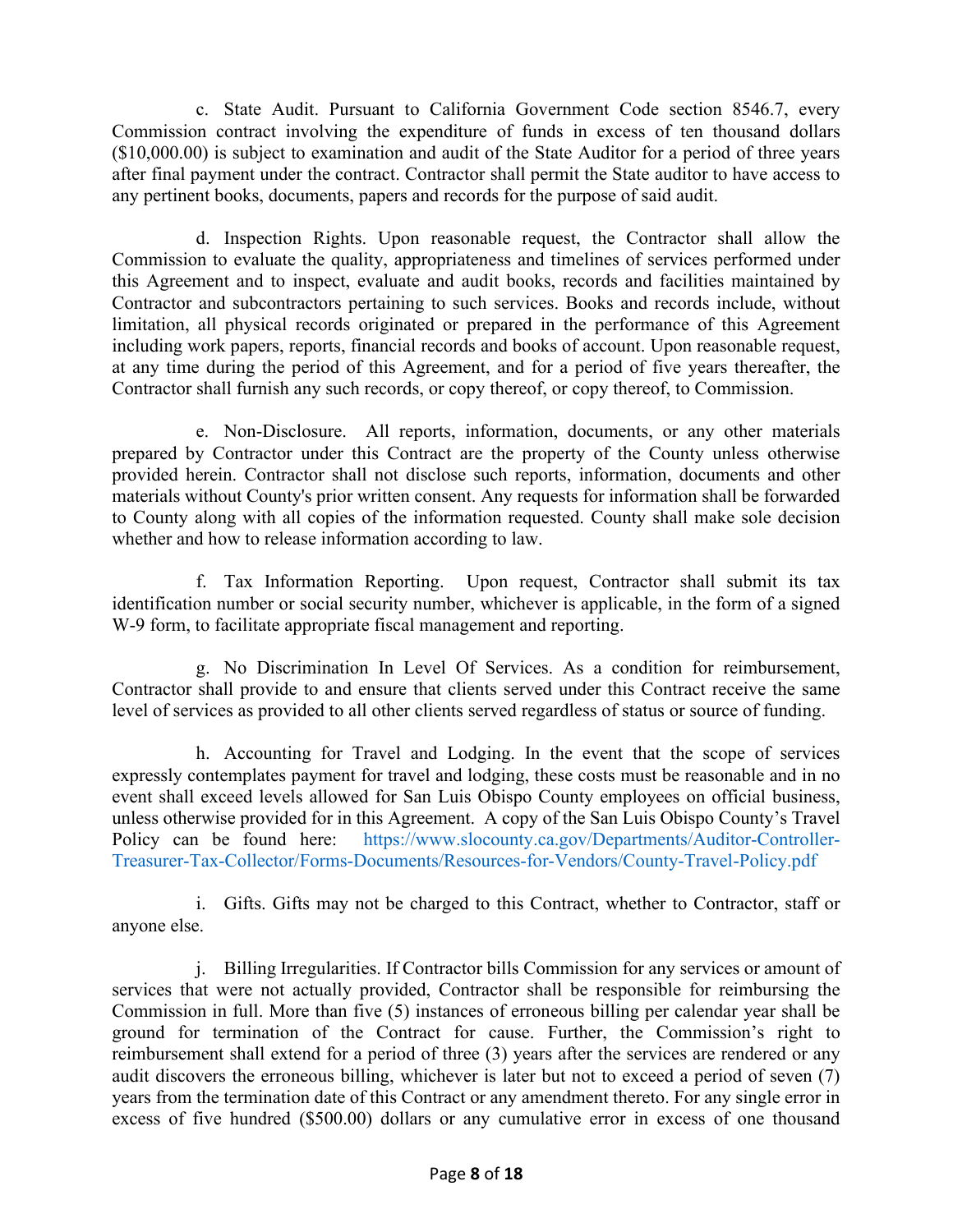c. State Audit. Pursuant to California Government Code section 8546.7, every Commission contract involving the expenditure of funds in excess of ten thousand dollars (\$10,000.00) is subject to examination and audit of the State Auditor for a period of three years after final payment under the contract. Contractor shall permit the State auditor to have access to any pertinent books, documents, papers and records for the purpose of said audit.

d. Inspection Rights. Upon reasonable request, the Contractor shall allow the Commission to evaluate the quality, appropriateness and timelines of services performed under this Agreement and to inspect, evaluate and audit books, records and facilities maintained by Contractor and subcontractors pertaining to such services. Books and records include, without limitation, all physical records originated or prepared in the performance of this Agreement including work papers, reports, financial records and books of account. Upon reasonable request, at any time during the period of this Agreement, and for a period of five years thereafter, the Contractor shall furnish any such records, or copy thereof, or copy thereof, to Commission.

e. Non-Disclosure. All reports, information, documents, or any other materials prepared by Contractor under this Contract are the property of the County unless otherwise provided herein. Contractor shall not disclose such reports, information, documents and other materials without County's prior written consent. Any requests for information shall be forwarded to County along with all copies of the information requested. County shall make sole decision whether and how to release information according to law.

f. Tax Information Reporting. Upon request, Contractor shall submit its tax identification number or social security number, whichever is applicable, in the form of a signed W-9 form, to facilitate appropriate fiscal management and reporting.

g. No Discrimination In Level Of Services. As a condition for reimbursement, Contractor shall provide to and ensure that clients served under this Contract receive the same level of services as provided to all other clients served regardless of status or source of funding.

h. Accounting for Travel and Lodging. In the event that the scope of services expressly contemplates payment for travel and lodging, these costs must be reasonable and in no event shall exceed levels allowed for San Luis Obispo County employees on official business, unless otherwise provided for in this Agreement. A copy of the San Luis Obispo County's Travel Policy can be found here: [https://www.slocounty.ca.gov/Departments/Auditor-Controller-](https://www.slocounty.ca.gov/Departments/Auditor-Controller-Treasurer-Tax-Collector/Forms-Documents/Resources-for-Vendors/County-Travel-Policy.pdf)[Treasurer-Tax-Collector/Forms-Documents/Resources-for-Vendors/County-Travel-Policy.pdf](https://www.slocounty.ca.gov/Departments/Auditor-Controller-Treasurer-Tax-Collector/Forms-Documents/Resources-for-Vendors/County-Travel-Policy.pdf)

i. Gifts. Gifts may not be charged to this Contract, whether to Contractor, staff or anyone else.

j. Billing Irregularities. If Contractor bills Commission for any services or amount of services that were not actually provided, Contractor shall be responsible for reimbursing the Commission in full. More than five (5) instances of erroneous billing per calendar year shall be ground for termination of the Contract for cause. Further, the Commission's right to reimbursement shall extend for a period of three (3) years after the services are rendered or any audit discovers the erroneous billing, whichever is later but not to exceed a period of seven (7) years from the termination date of this Contract or any amendment thereto. For any single error in excess of five hundred (\$500.00) dollars or any cumulative error in excess of one thousand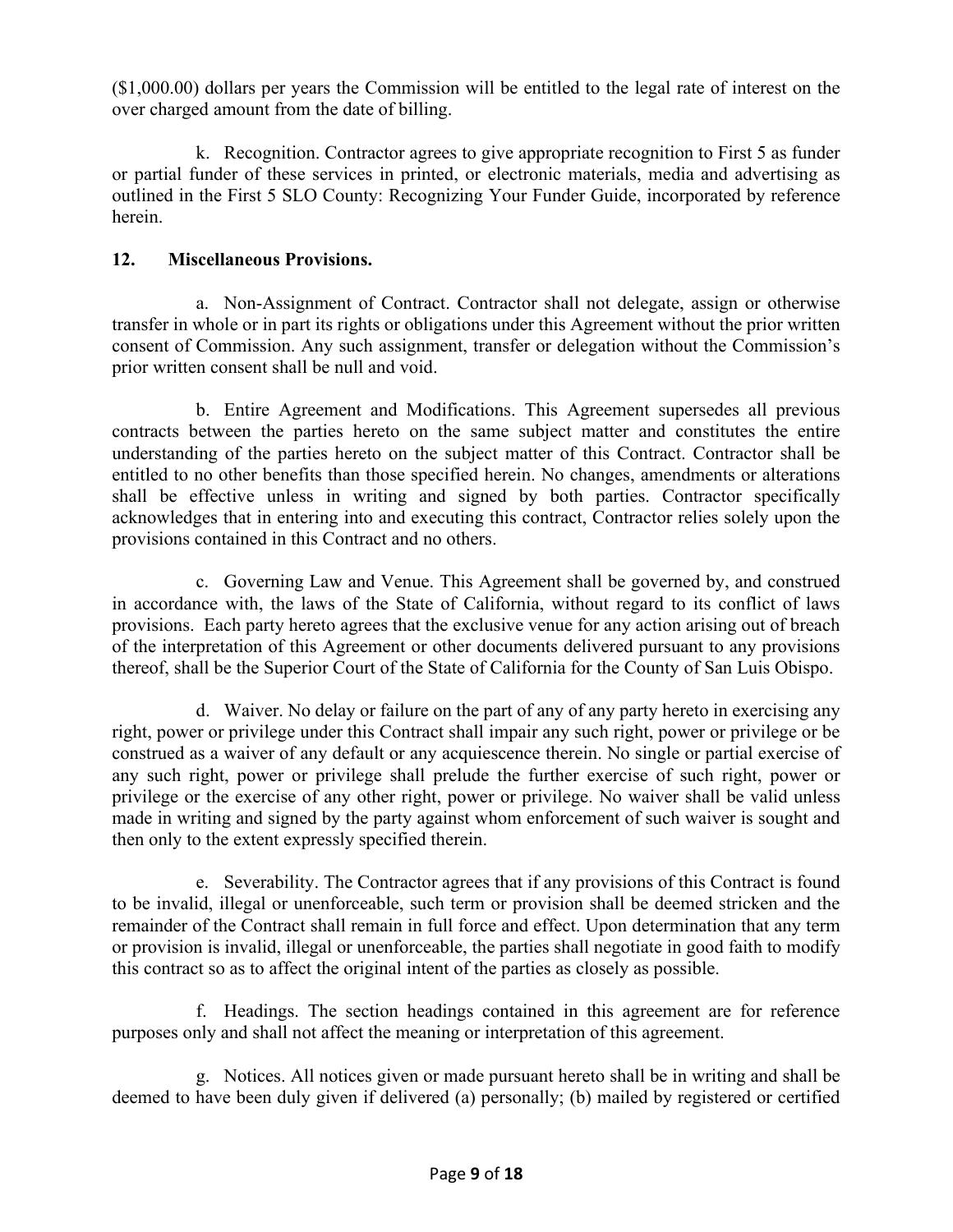(\$1,000.00) dollars per years the Commission will be entitled to the legal rate of interest on the over charged amount from the date of billing.

k. Recognition. Contractor agrees to give appropriate recognition to First 5 as funder or partial funder of these services in printed, or electronic materials, media and advertising as outlined in the First 5 SLO County: Recognizing Your Funder Guide, incorporated by reference herein.

# **12. Miscellaneous Provisions.**

a. Non-Assignment of Contract. Contractor shall not delegate, assign or otherwise transfer in whole or in part its rights or obligations under this Agreement without the prior written consent of Commission. Any such assignment, transfer or delegation without the Commission's prior written consent shall be null and void.

b. Entire Agreement and Modifications. This Agreement supersedes all previous contracts between the parties hereto on the same subject matter and constitutes the entire understanding of the parties hereto on the subject matter of this Contract. Contractor shall be entitled to no other benefits than those specified herein. No changes, amendments or alterations shall be effective unless in writing and signed by both parties. Contractor specifically acknowledges that in entering into and executing this contract, Contractor relies solely upon the provisions contained in this Contract and no others.

c. Governing Law and Venue. This Agreement shall be governed by, and construed in accordance with, the laws of the State of California, without regard to its conflict of laws provisions. Each party hereto agrees that the exclusive venue for any action arising out of breach of the interpretation of this Agreement or other documents delivered pursuant to any provisions thereof, shall be the Superior Court of the State of California for the County of San Luis Obispo.

d. Waiver. No delay or failure on the part of any of any party hereto in exercising any right, power or privilege under this Contract shall impair any such right, power or privilege or be construed as a waiver of any default or any acquiescence therein. No single or partial exercise of any such right, power or privilege shall prelude the further exercise of such right, power or privilege or the exercise of any other right, power or privilege. No waiver shall be valid unless made in writing and signed by the party against whom enforcement of such waiver is sought and then only to the extent expressly specified therein.

e. Severability. The Contractor agrees that if any provisions of this Contract is found to be invalid, illegal or unenforceable, such term or provision shall be deemed stricken and the remainder of the Contract shall remain in full force and effect. Upon determination that any term or provision is invalid, illegal or unenforceable, the parties shall negotiate in good faith to modify this contract so as to affect the original intent of the parties as closely as possible.

f. Headings. The section headings contained in this agreement are for reference purposes only and shall not affect the meaning or interpretation of this agreement.

g. Notices. All notices given or made pursuant hereto shall be in writing and shall be deemed to have been duly given if delivered (a) personally; (b) mailed by registered or certified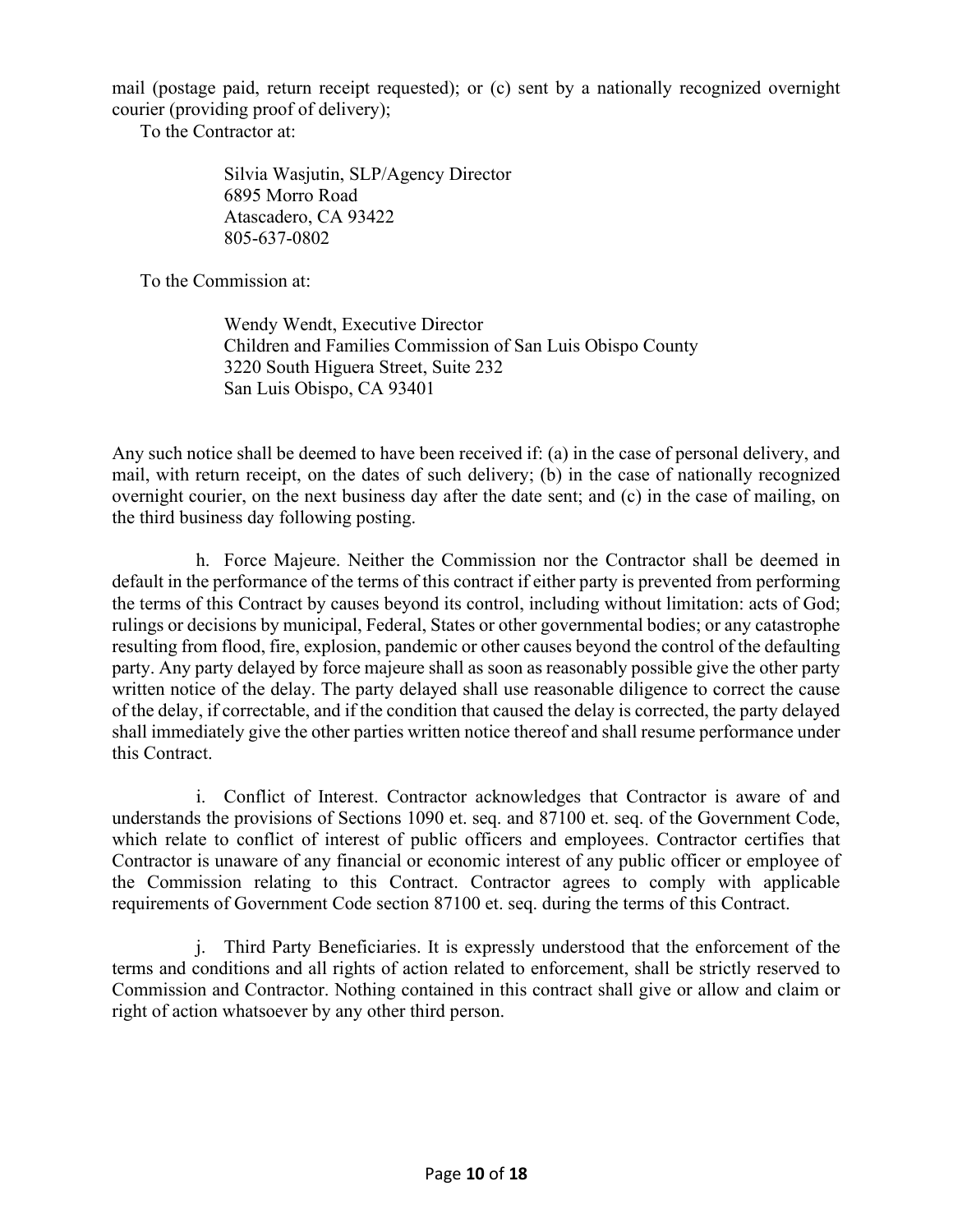mail (postage paid, return receipt requested); or (c) sent by a nationally recognized overnight courier (providing proof of delivery);

To the Contractor at:

Silvia Wasjutin, SLP/Agency Director 6895 Morro Road Atascadero, CA 93422 805-637-0802

To the Commission at:

Wendy Wendt, Executive Director Children and Families Commission of San Luis Obispo County 3220 South Higuera Street, Suite 232 San Luis Obispo, CA 93401

Any such notice shall be deemed to have been received if: (a) in the case of personal delivery, and mail, with return receipt, on the dates of such delivery; (b) in the case of nationally recognized overnight courier, on the next business day after the date sent; and (c) in the case of mailing, on the third business day following posting.

h. Force Majeure. Neither the Commission nor the Contractor shall be deemed in default in the performance of the terms of this contract if either party is prevented from performing the terms of this Contract by causes beyond its control, including without limitation: acts of God; rulings or decisions by municipal, Federal, States or other governmental bodies; or any catastrophe resulting from flood, fire, explosion, pandemic or other causes beyond the control of the defaulting party. Any party delayed by force majeure shall as soon as reasonably possible give the other party written notice of the delay. The party delayed shall use reasonable diligence to correct the cause of the delay, if correctable, and if the condition that caused the delay is corrected, the party delayed shall immediately give the other parties written notice thereof and shall resume performance under this Contract.

i. Conflict of Interest. Contractor acknowledges that Contractor is aware of and understands the provisions of Sections 1090 et. seq. and 87100 et. seq. of the Government Code, which relate to conflict of interest of public officers and employees. Contractor certifies that Contractor is unaware of any financial or economic interest of any public officer or employee of the Commission relating to this Contract. Contractor agrees to comply with applicable requirements of Government Code section 87100 et. seq. during the terms of this Contract.

j. Third Party Beneficiaries. It is expressly understood that the enforcement of the terms and conditions and all rights of action related to enforcement, shall be strictly reserved to Commission and Contractor. Nothing contained in this contract shall give or allow and claim or right of action whatsoever by any other third person.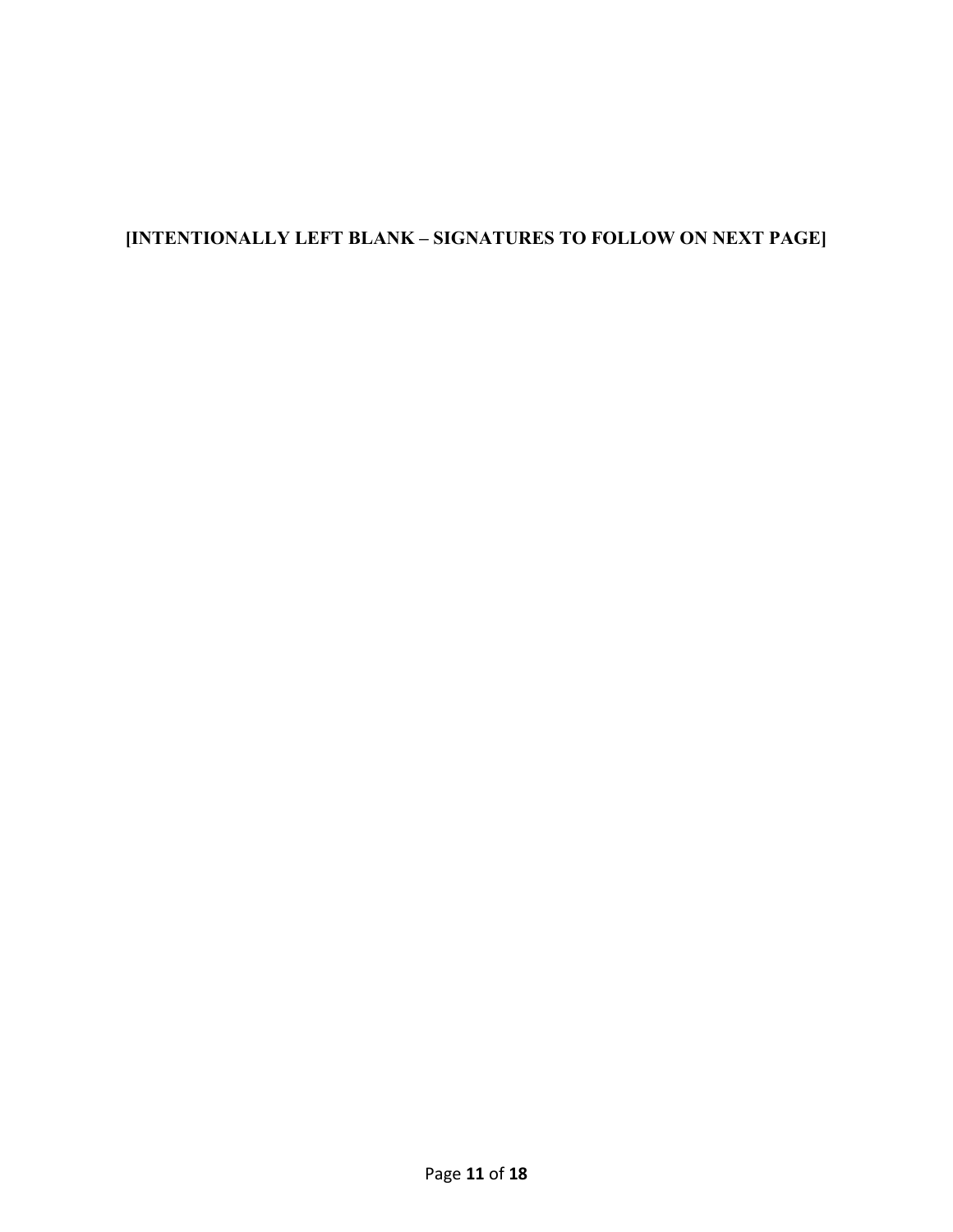# **[INTENTIONALLY LEFT BLANK – SIGNATURES TO FOLLOW ON NEXT PAGE]**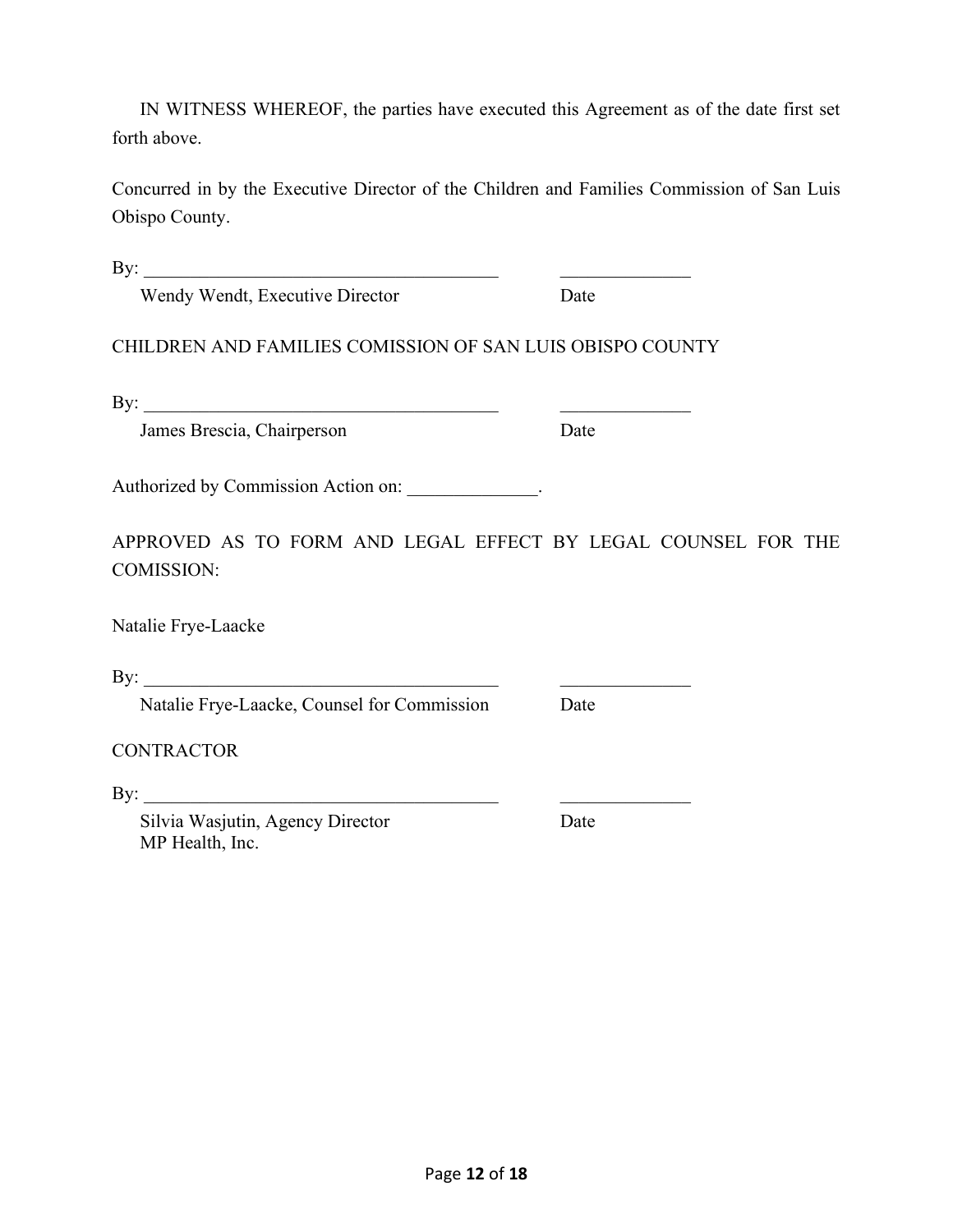IN WITNESS WHEREOF, the parties have executed this Agreement as of the date first set forth above.

Concurred in by the Executive Director of the Children and Families Commission of San Luis Obispo County.

By:  $\frac{1}{2}$ 

Wendy Wendt, Executive Director Date

CHILDREN AND FAMILIES COMISSION OF SAN LUIS OBISPO COUNTY

By:  $\frac{1}{2}$ 

James Brescia, Chairperson Date

Authorized by Commission Action on:

APPROVED AS TO FORM AND LEGAL EFFECT BY LEGAL COUNSEL FOR THE COMISSION:

Natalie Frye-Laacke

By: \_\_\_\_\_\_\_\_\_\_\_\_\_\_\_\_\_\_\_\_\_\_\_\_\_\_\_\_\_\_\_\_\_\_\_\_\_\_ \_\_\_\_\_\_\_\_\_\_\_\_\_\_

Natalie Frye-Laacke, Counsel for Commission Date

**CONTRACTOR** 

By: \_\_\_\_\_\_\_\_\_\_\_\_\_\_\_\_\_\_\_\_\_\_\_\_\_\_\_\_\_\_\_\_\_\_\_\_\_\_ \_\_\_\_\_\_\_\_\_\_\_\_\_\_

Silvia Wasjutin, Agency Director Date MP Health, Inc.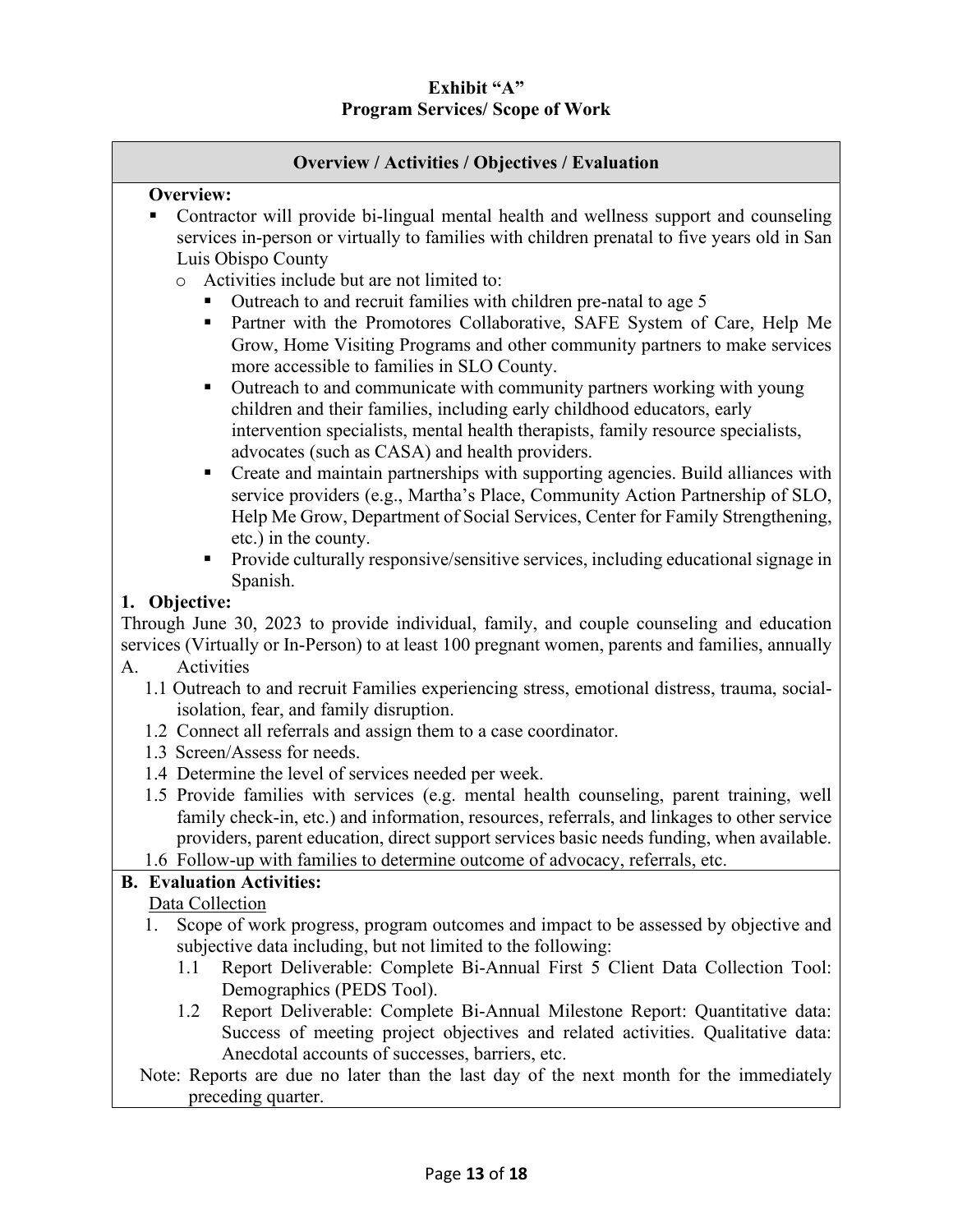# **Overview / Activities / Objectives / Evaluation**

#### **Overview:**

- Contractor will provide bi-lingual mental health and wellness support and counseling services in-person or virtually to families with children prenatal to five years old in San Luis Obispo County
	- o Activities include but are not limited to:
		- Outreach to and recruit families with children pre-natal to age 5
		- Partner with the Promotores Collaborative, SAFE System of Care, Help Me Grow, Home Visiting Programs and other community partners to make services more accessible to families in SLO County.
		- Outreach to and communicate with community partners working with young children and their families, including early childhood educators, early intervention specialists, mental health therapists, family resource specialists, advocates (such as CASA) and health providers.
		- Create and maintain partnerships with supporting agencies. Build alliances with service providers (e.g., Martha's Place, Community Action Partnership of SLO, Help Me Grow, Department of Social Services, Center for Family Strengthening, etc.) in the county.
		- **Provide culturally responsive/sensitive services, including educational signage in** Spanish.

#### **1. Objective:**

Through June 30, 2023 to provide individual, family, and couple counseling and education services (Virtually or In-Person) to at least 100 pregnant women, parents and families, annually A. Activities

- - 1.1 Outreach to and recruit Families experiencing stress, emotional distress, trauma, socialisolation, fear, and family disruption.
	- 1.2 Connect all referrals and assign them to a case coordinator.
	- 1.3 Screen/Assess for needs.
	- 1.4 Determine the level of services needed per week.
	- 1.5 Provide families with services (e.g. mental health counseling, parent training, well family check-in, etc.) and information, resources, referrals, and linkages to other service providers, parent education, direct support services basic needs funding, when available.
	- 1.6 Follow-up with families to determine outcome of advocacy, referrals, etc.

# **B. Evaluation Activities:**

# Data Collection

- 1. Scope of work progress, program outcomes and impact to be assessed by objective and subjective data including, but not limited to the following:
	- 1.1 Report Deliverable: Complete Bi-Annual First 5 Client Data Collection Tool: Demographics (PEDS Tool).
	- 1.2 Report Deliverable: Complete Bi-Annual Milestone Report: Quantitative data: Success of meeting project objectives and related activities. Qualitative data: Anecdotal accounts of successes, barriers, etc.
- Note: Reports are due no later than the last day of the next month for the immediately preceding quarter.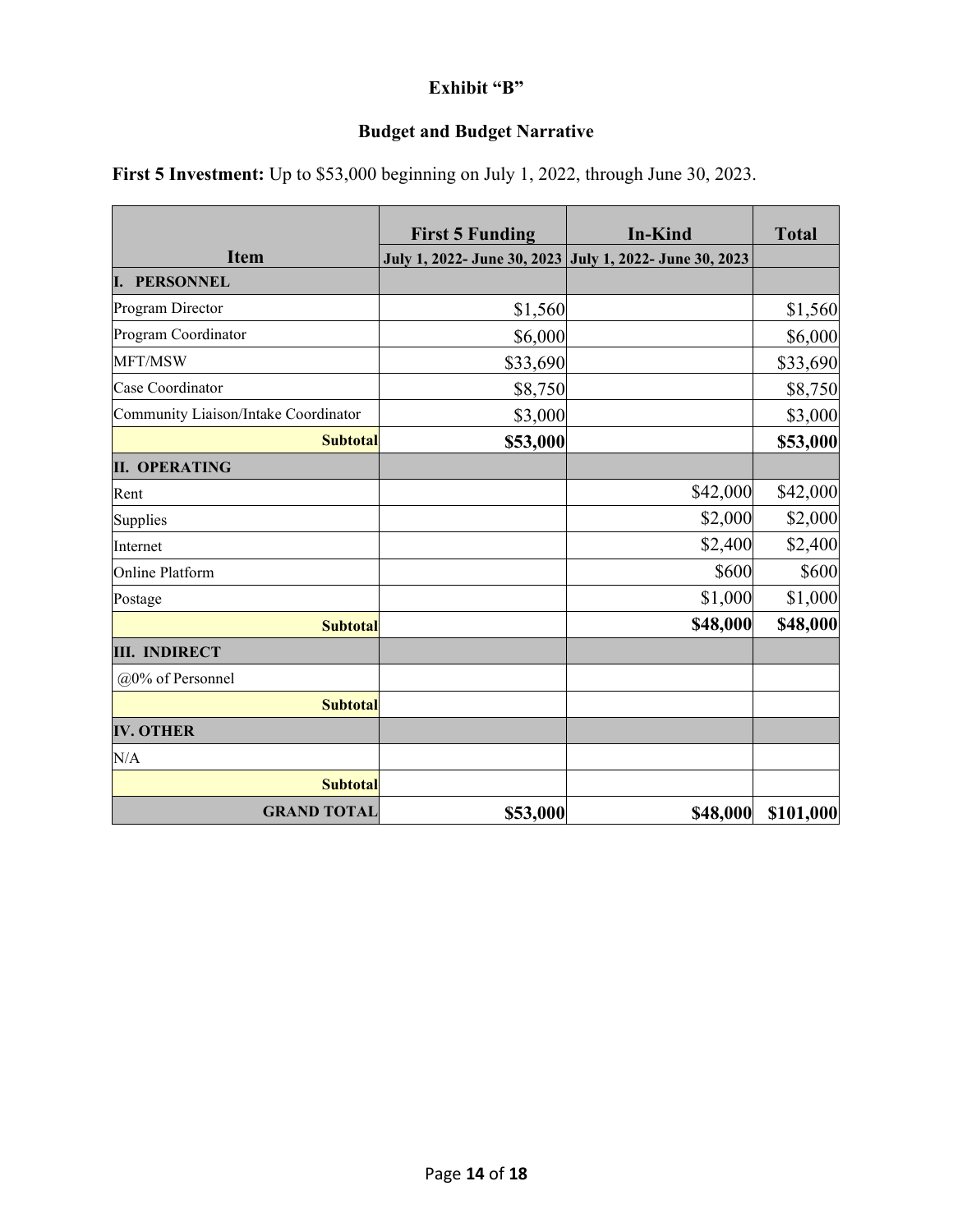# **Exhibit "B"**

# **Budget and Budget Narrative**

|                                      | <b>First 5 Funding</b>                                  | <b>In-Kind</b> | <b>Total</b> |
|--------------------------------------|---------------------------------------------------------|----------------|--------------|
| <b>Item</b>                          | July 1, 2022- June 30, 2023 July 1, 2022- June 30, 2023 |                |              |
| I. PERSONNEL                         |                                                         |                |              |
| Program Director                     | \$1,560                                                 |                | \$1,560      |
| Program Coordinator                  | \$6,000                                                 |                | \$6,000      |
| MFT/MSW                              | \$33,690                                                |                | \$33,690     |
| Case Coordinator                     | \$8,750                                                 |                | \$8,750      |
| Community Liaison/Intake Coordinator | \$3,000                                                 |                | \$3,000      |
| <b>Subtotal</b>                      | \$53,000                                                |                | \$53,000     |
| <b>II. OPERATING</b>                 |                                                         |                |              |
| Rent                                 |                                                         | \$42,000       | \$42,000     |
| Supplies                             |                                                         | \$2,000        | \$2,000      |
| Internet                             |                                                         | \$2,400        | \$2,400      |
| Online Platform                      |                                                         | \$600          | \$600        |
| Postage                              |                                                         | \$1,000        | \$1,000      |
| <b>Subtotal</b>                      |                                                         | \$48,000       | \$48,000     |
| <b>III. INDIRECT</b>                 |                                                         |                |              |
| @0% of Personnel                     |                                                         |                |              |
| <b>Subtotal</b>                      |                                                         |                |              |
| <b>IV. OTHER</b>                     |                                                         |                |              |
| N/A                                  |                                                         |                |              |
| <b>Subtotal</b>                      |                                                         |                |              |
| <b>GRAND TOTAL</b>                   | \$53,000                                                | \$48,000       | \$101,000    |

**First 5 Investment:** Up to \$53,000 beginning on July 1, 2022, through June 30, 2023.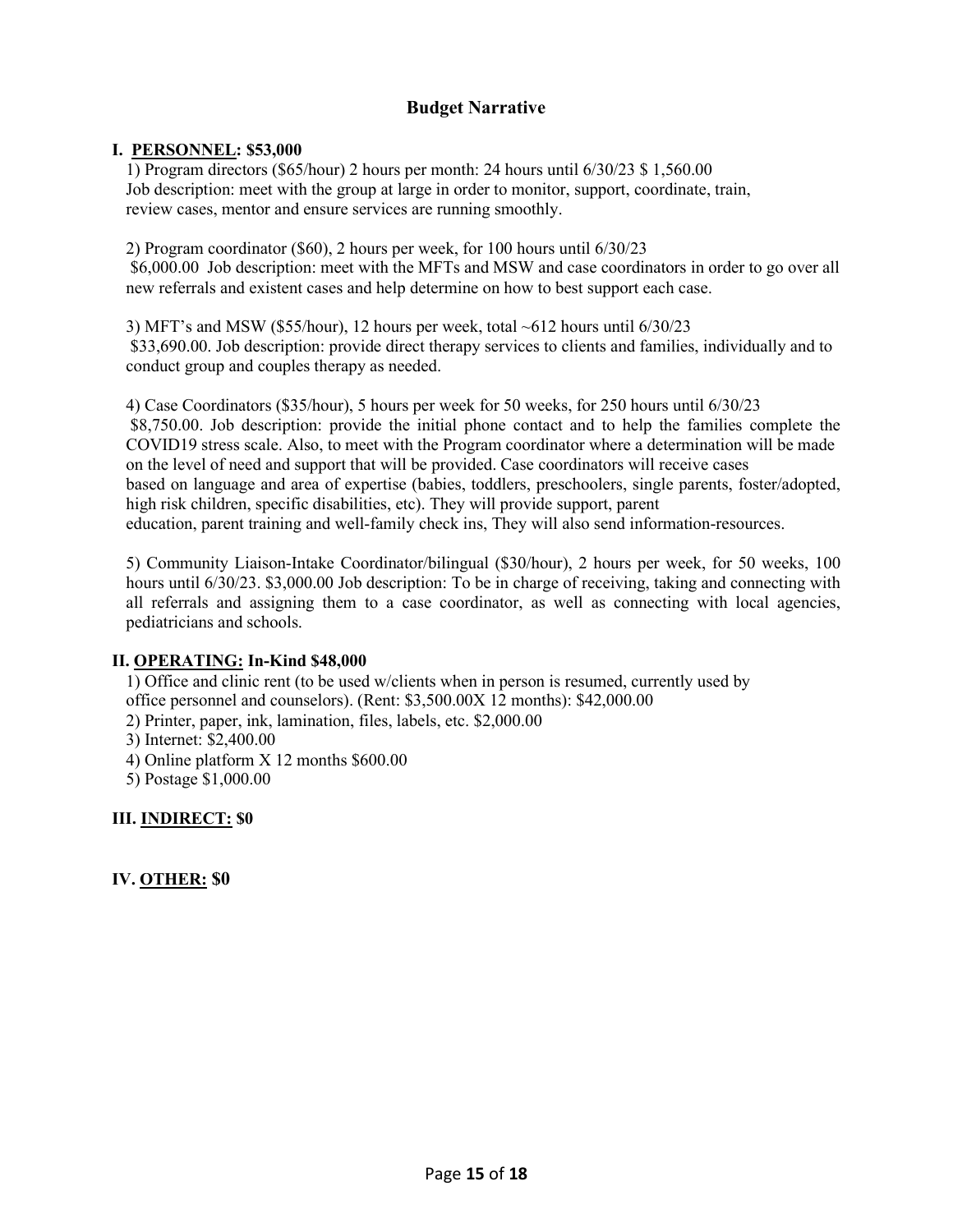# **Budget Narrative**

#### **I. PERSONNEL: \$53,000**

1) Program directors (\$65/hour) 2 hours per month: 24 hours until 6/30/23 \$ 1,560.00 Job description: meet with the group at large in order to monitor, support, coordinate, train, review cases, mentor and ensure services are running smoothly.

2) Program coordinator (\$60), 2 hours per week, for 100 hours until 6/30/23 \$6,000.00 Job description: meet with the MFTs and MSW and case coordinators in order to go over all new referrals and existent cases and help determine on how to best support each case.

3) MFT's and MSW (\$55/hour), 12 hours per week, total ~612 hours until 6/30/23 \$33,690.00. Job description: provide direct therapy services to clients and families, individually and to conduct group and couples therapy as needed.

4) Case Coordinators (\$35/hour), 5 hours per week for 50 weeks, for 250 hours until 6/30/23 \$8,750.00. Job description: provide the initial phone contact and to help the families complete the COVID19 stress scale. Also, to meet with the Program coordinator where a determination will be made on the level of need and support that will be provided. Case coordinators will receive cases based on language and area of expertise (babies, toddlers, preschoolers, single parents, foster/adopted, high risk children, specific disabilities, etc). They will provide support, parent education, parent training and well-family check ins, They will also send information-resources.

5) Community Liaison-Intake Coordinator/bilingual (\$30/hour), 2 hours per week, for 50 weeks, 100 hours until 6/30/23. \$3,000.00 Job description: To be in charge of receiving, taking and connecting with all referrals and assigning them to a case coordinator, as well as connecting with local agencies, pediatricians and schools.

#### **II. OPERATING: In-Kind \$48,000**

1) Office and clinic rent (to be used w/clients when in person is resumed, currently used by office personnel and counselors). (Rent: \$3,500.00X 12 months): \$42,000.00

- 2) Printer, paper, ink, lamination, files, labels, etc. \$2,000.00
- 3) Internet: \$2,400.00
- 4) Online platform X 12 months \$600.00
- 5) Postage \$1,000.00

#### **III. INDIRECT: \$0**

**IV. OTHER: \$0**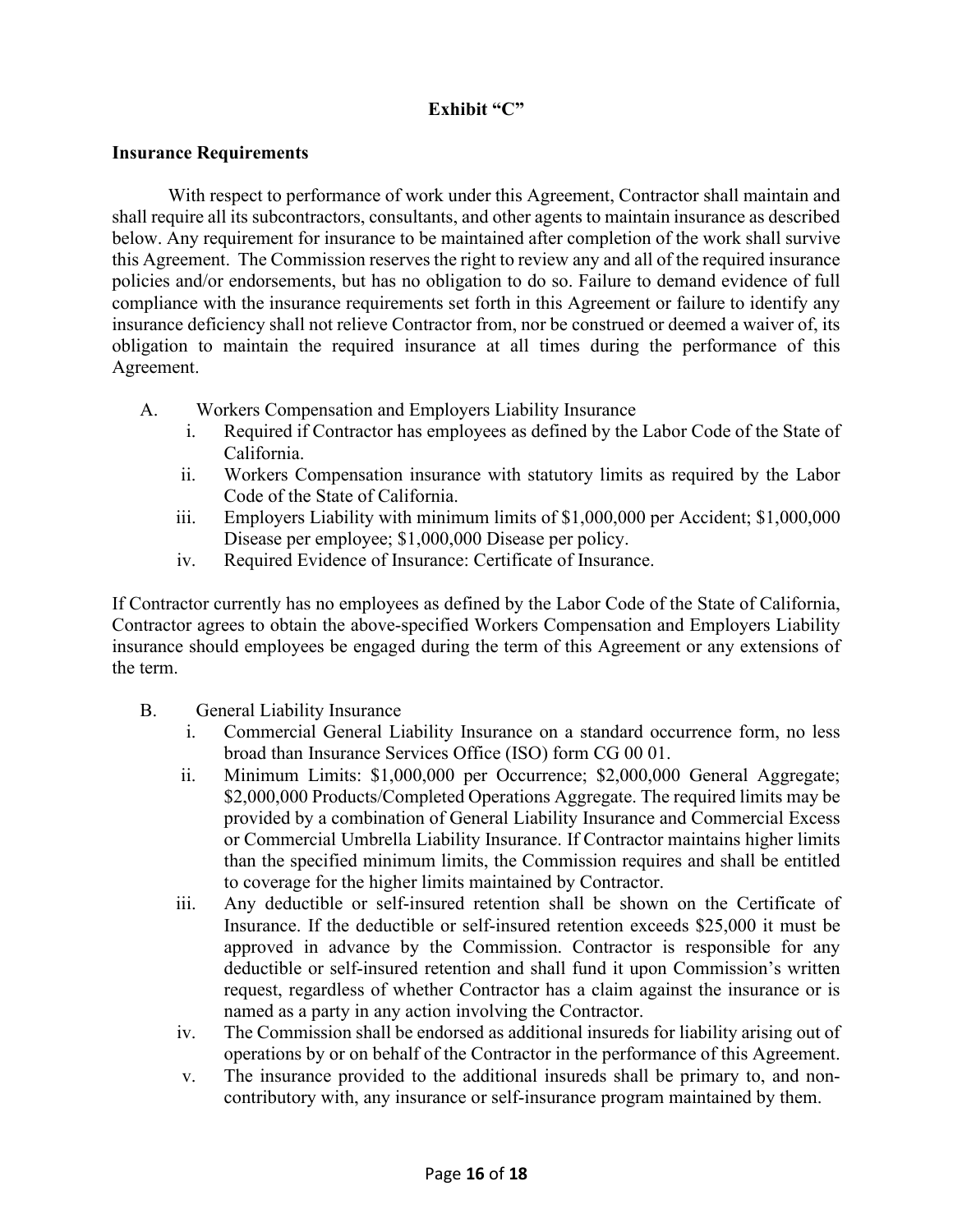# **Exhibit "C"**

#### **Insurance Requirements**

With respect to performance of work under this Agreement, Contractor shall maintain and shall require all its subcontractors, consultants, and other agents to maintain insurance as described below. Any requirement for insurance to be maintained after completion of the work shall survive this Agreement. The Commission reserves the right to review any and all of the required insurance policies and/or endorsements, but has no obligation to do so. Failure to demand evidence of full compliance with the insurance requirements set forth in this Agreement or failure to identify any insurance deficiency shall not relieve Contractor from, nor be construed or deemed a waiver of, its obligation to maintain the required insurance at all times during the performance of this Agreement.

- A. Workers Compensation and Employers Liability Insurance
	- i. Required if Contractor has employees as defined by the Labor Code of the State of California.
	- ii. Workers Compensation insurance with statutory limits as required by the Labor Code of the State of California.
	- iii. Employers Liability with minimum limits of \$1,000,000 per Accident; \$1,000,000 Disease per employee; \$1,000,000 Disease per policy.
	- iv. Required Evidence of Insurance: Certificate of Insurance.

If Contractor currently has no employees as defined by the Labor Code of the State of California, Contractor agrees to obtain the above-specified Workers Compensation and Employers Liability insurance should employees be engaged during the term of this Agreement or any extensions of the term.

- B. General Liability Insurance
	- i. Commercial General Liability Insurance on a standard occurrence form, no less broad than Insurance Services Office (ISO) form CG 00 01.
	- ii. Minimum Limits: \$1,000,000 per Occurrence; \$2,000,000 General Aggregate; \$2,000,000 Products/Completed Operations Aggregate. The required limits may be provided by a combination of General Liability Insurance and Commercial Excess or Commercial Umbrella Liability Insurance. If Contractor maintains higher limits than the specified minimum limits, the Commission requires and shall be entitled to coverage for the higher limits maintained by Contractor.
	- iii. Any deductible or self-insured retention shall be shown on the Certificate of Insurance. If the deductible or self-insured retention exceeds \$25,000 it must be approved in advance by the Commission. Contractor is responsible for any deductible or self-insured retention and shall fund it upon Commission's written request, regardless of whether Contractor has a claim against the insurance or is named as a party in any action involving the Contractor.
	- iv. The Commission shall be endorsed as additional insureds for liability arising out of operations by or on behalf of the Contractor in the performance of this Agreement.
	- v. The insurance provided to the additional insureds shall be primary to, and noncontributory with, any insurance or self-insurance program maintained by them.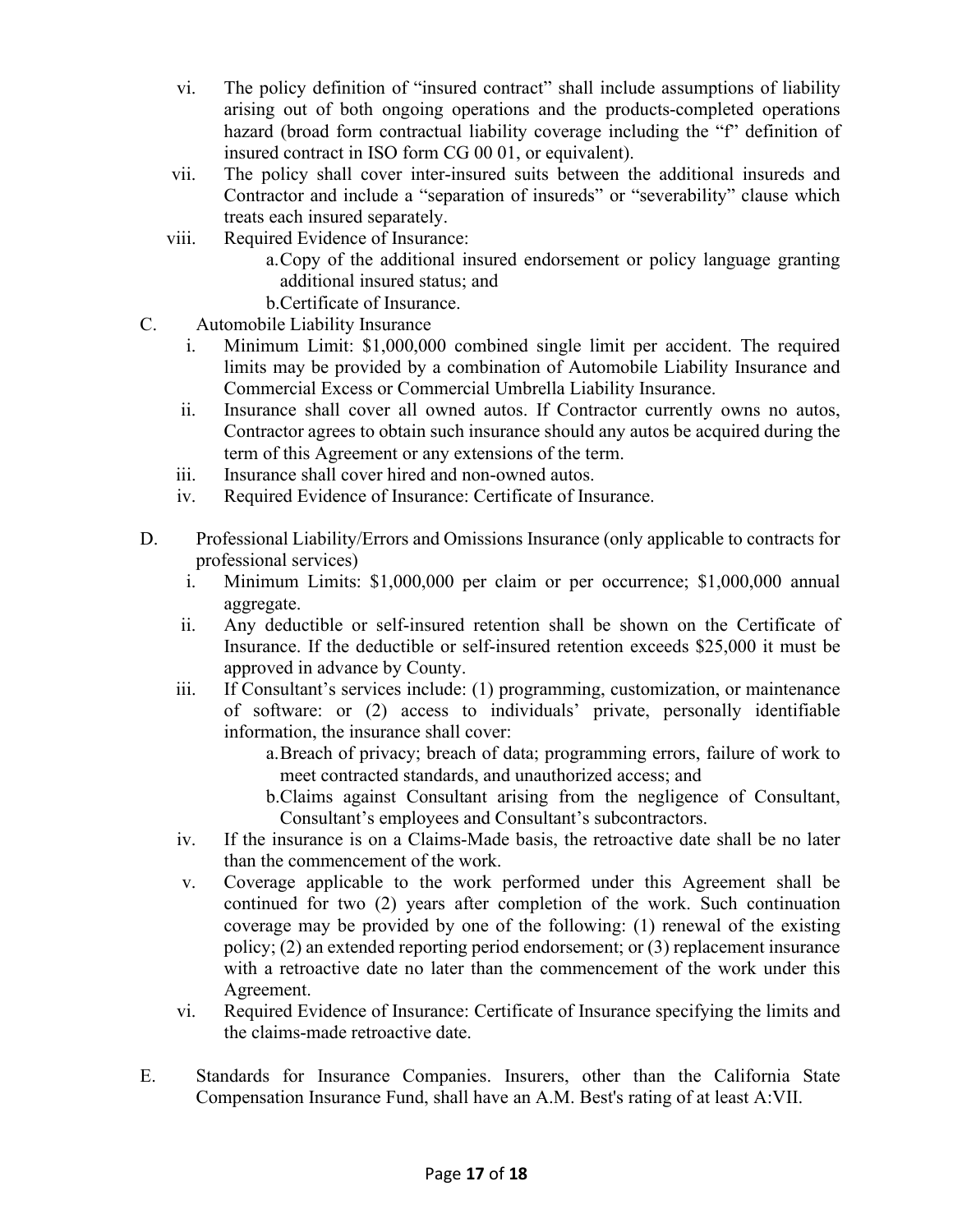- vi. The policy definition of "insured contract" shall include assumptions of liability arising out of both ongoing operations and the products-completed operations hazard (broad form contractual liability coverage including the "f" definition of insured contract in ISO form CG 00 01, or equivalent).
- vii. The policy shall cover inter-insured suits between the additional insureds and Contractor and include a "separation of insureds" or "severability" clause which treats each insured separately.
- viii. Required Evidence of Insurance:
	- a.Copy of the additional insured endorsement or policy language granting additional insured status; and
	- b.Certificate of Insurance.
- C. Automobile Liability Insurance
	- i. Minimum Limit: \$1,000,000 combined single limit per accident. The required limits may be provided by a combination of Automobile Liability Insurance and Commercial Excess or Commercial Umbrella Liability Insurance.
	- ii. Insurance shall cover all owned autos. If Contractor currently owns no autos, Contractor agrees to obtain such insurance should any autos be acquired during the term of this Agreement or any extensions of the term.
	- iii. Insurance shall cover hired and non-owned autos.
	- iv. Required Evidence of Insurance: Certificate of Insurance.
- D. Professional Liability/Errors and Omissions Insurance (only applicable to contracts for professional services)
	- i. Minimum Limits: \$1,000,000 per claim or per occurrence; \$1,000,000 annual aggregate.
	- ii. Any deductible or self-insured retention shall be shown on the Certificate of Insurance. If the deductible or self-insured retention exceeds \$25,000 it must be approved in advance by County.
	- iii. If Consultant's services include: (1) programming, customization, or maintenance of software: or (2) access to individuals' private, personally identifiable information, the insurance shall cover:
		- a.Breach of privacy; breach of data; programming errors, failure of work to meet contracted standards, and unauthorized access; and
		- b.Claims against Consultant arising from the negligence of Consultant, Consultant's employees and Consultant's subcontractors.
	- iv. If the insurance is on a Claims-Made basis, the retroactive date shall be no later than the commencement of the work.
	- v. Coverage applicable to the work performed under this Agreement shall be continued for two (2) years after completion of the work. Such continuation coverage may be provided by one of the following: (1) renewal of the existing policy; (2) an extended reporting period endorsement; or (3) replacement insurance with a retroactive date no later than the commencement of the work under this Agreement.
	- vi. Required Evidence of Insurance: Certificate of Insurance specifying the limits and the claims-made retroactive date.
- E. Standards for Insurance Companies. Insurers, other than the California State Compensation Insurance Fund, shall have an A.M. Best's rating of at least A:VII.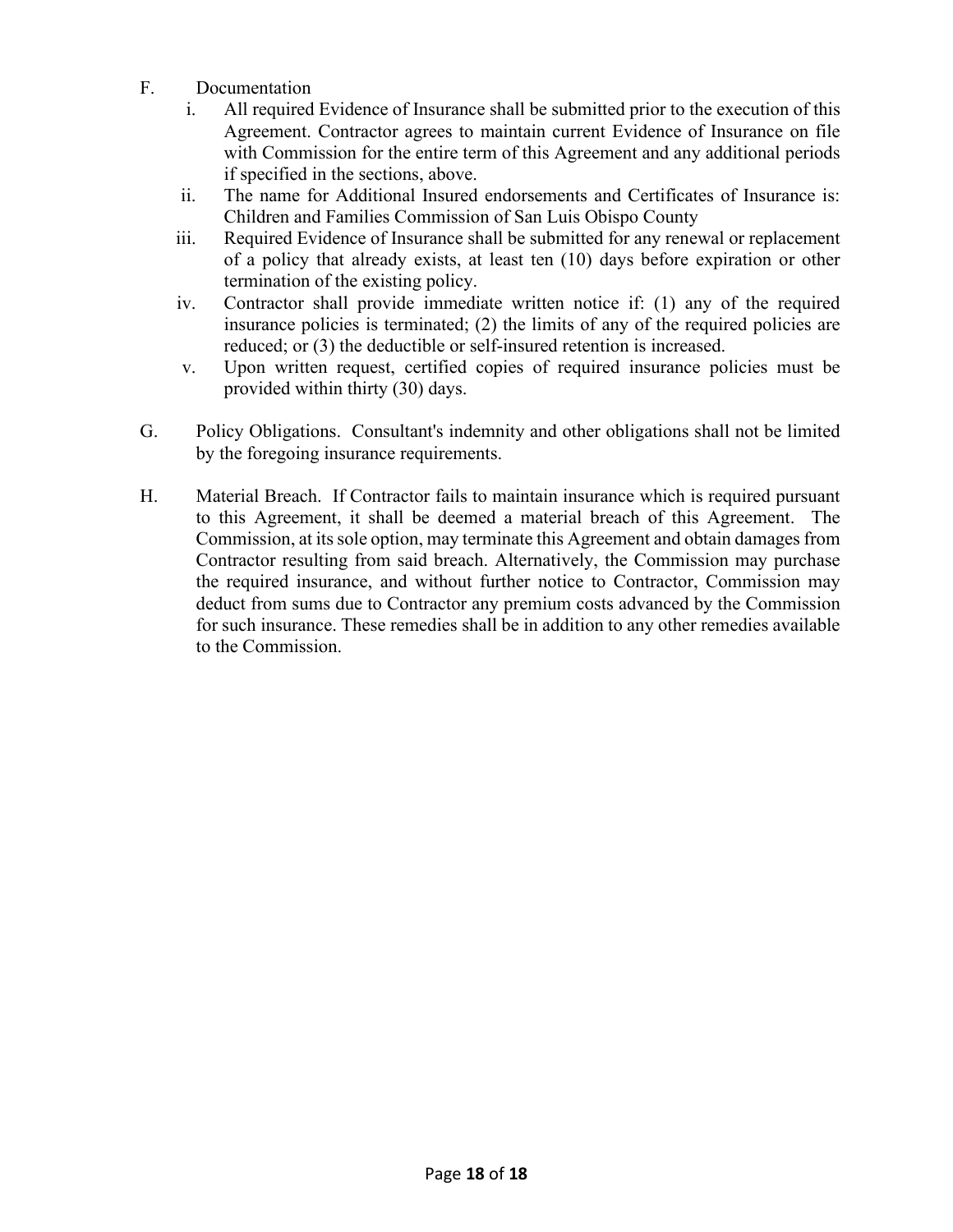- F. Documentation
	- i. All required Evidence of Insurance shall be submitted prior to the execution of this Agreement. Contractor agrees to maintain current Evidence of Insurance on file with Commission for the entire term of this Agreement and any additional periods if specified in the sections, above.
	- ii. The name for Additional Insured endorsements and Certificates of Insurance is: Children and Families Commission of San Luis Obispo County
	- iii. Required Evidence of Insurance shall be submitted for any renewal or replacement of a policy that already exists, at least ten (10) days before expiration or other termination of the existing policy.
	- iv. Contractor shall provide immediate written notice if: (1) any of the required insurance policies is terminated; (2) the limits of any of the required policies are reduced; or (3) the deductible or self-insured retention is increased.
	- v. Upon written request, certified copies of required insurance policies must be provided within thirty (30) days.
- G. Policy Obligations. Consultant's indemnity and other obligations shall not be limited by the foregoing insurance requirements.
- H. Material Breach. If Contractor fails to maintain insurance which is required pursuant to this Agreement, it shall be deemed a material breach of this Agreement. The Commission, at its sole option, may terminate this Agreement and obtain damages from Contractor resulting from said breach. Alternatively, the Commission may purchase the required insurance, and without further notice to Contractor, Commission may deduct from sums due to Contractor any premium costs advanced by the Commission for such insurance. These remedies shall be in addition to any other remedies available to the Commission.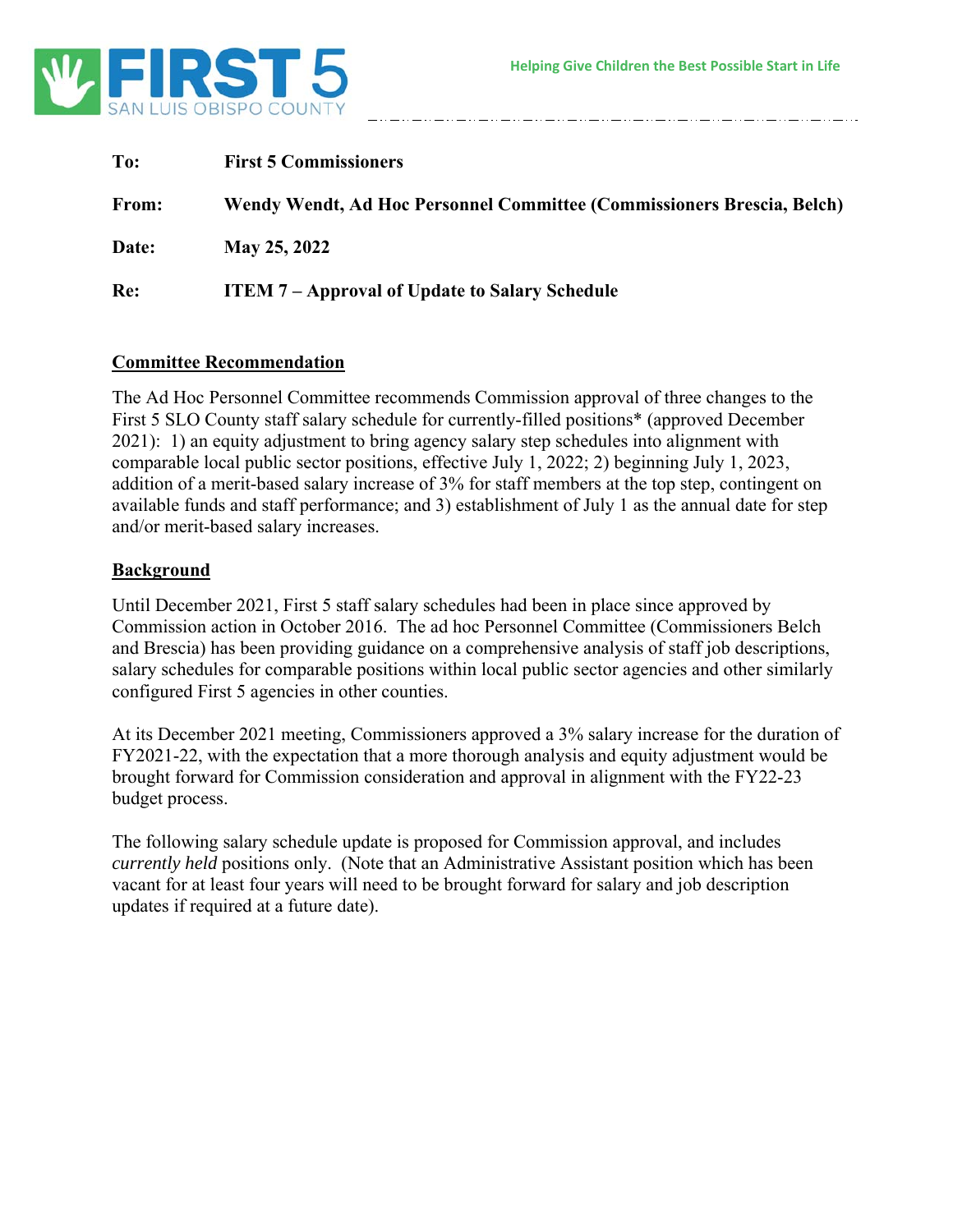

| To:   | <b>First 5 Commissioners</b>                                           |
|-------|------------------------------------------------------------------------|
| From: | Wendy Wendt, Ad Hoc Personnel Committee (Commissioners Brescia, Belch) |
| Date: | May 25, 2022                                                           |
| Re:   | <b>ITEM 7-Approval of Update to Salary Schedule</b>                    |

#### **Committee Recommendation**

The Ad Hoc Personnel Committee recommends Commission approval of three changes to the First 5 SLO County staff salary schedule for currently-filled positions\* (approved December 2021): 1) an equity adjustment to bring agency salary step schedules into alignment with comparable local public sector positions, effective July 1, 2022; 2) beginning July 1, 2023, addition of a merit-based salary increase of 3% for staff members at the top step, contingent on available funds and staff performance; and 3) establishment of July 1 as the annual date for step and/or merit-based salary increases.

#### **Background**

Until December 2021, First 5 staff salary schedules had been in place since approved by Commission action in October 2016. The ad hoc Personnel Committee (Commissioners Belch and Brescia) has been providing guidance on a comprehensive analysis of staff job descriptions, salary schedules for comparable positions within local public sector agencies and other similarly configured First 5 agencies in other counties.

At its December 2021 meeting, Commissioners approved a 3% salary increase for the duration of FY2021-22, with the expectation that a more thorough analysis and equity adjustment would be brought forward for Commission consideration and approval in alignment with the FY22-23 budget process.

The following salary schedule update is proposed for Commission approval, and includes *currently held* positions only. (Note that an Administrative Assistant position which has been vacant for at least four years will need to be brought forward for salary and job description updates if required at a future date).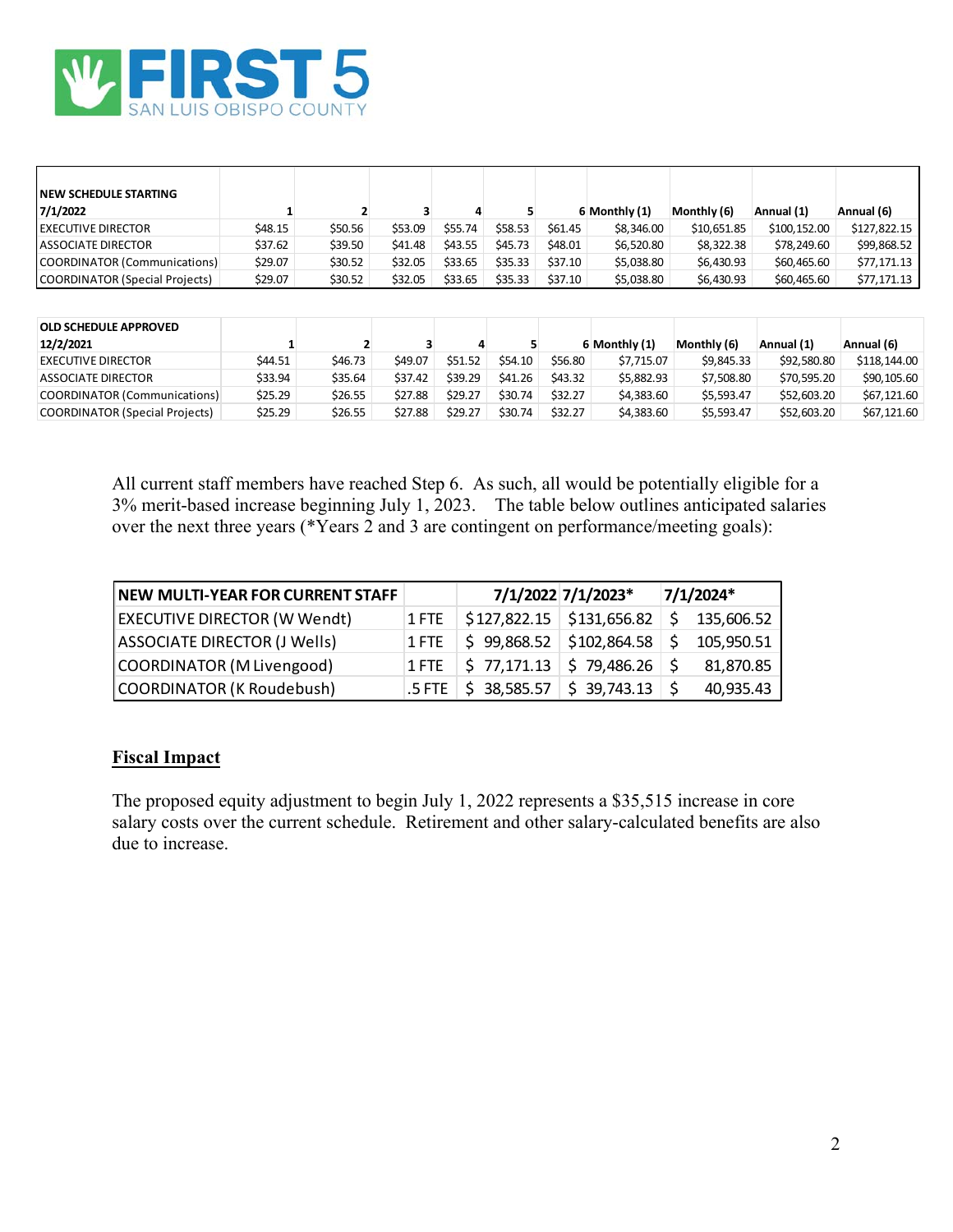

| <b>INEW SCHEDULE STARTING</b><br>7/1/2022 |         |         |         |         |         |         | 6 Monthly (1) | Monthly (6) | Annual (1)   | Annual (6)   |
|-------------------------------------------|---------|---------|---------|---------|---------|---------|---------------|-------------|--------------|--------------|
| <b>IEXECUTIVE DIRECTOR</b>                | \$48.15 | \$50.56 | \$53.09 | \$55.74 | \$58.53 | \$61.45 | \$8,346.00    | \$10,651.85 | \$100,152.00 | \$127,822.15 |
| <b>LASSOCIATE DIRECTOR</b>                | \$37.62 | \$39.50 | \$41.48 | \$43.55 | \$45.73 | \$48.01 | \$6,520.80    | \$8,322.38  | \$78.249.60  | \$99,868.52  |
| COORDINATOR (Communications)              | \$29.07 | \$30.52 | \$32.05 | \$33.65 | \$35.33 | \$37.10 | \$5.038.80    | \$6,430.93  | \$60,465,60  | \$77,171.13  |
| COORDINATOR (Special Projects)            | \$29.07 | \$30.52 | \$32.05 | \$33.65 | \$35.33 | \$37.10 | \$5,038.80    | \$6,430.93  | \$60,465,60  | \$77,171.13  |

| <b>OLD SCHEDULE APPROVED</b>          |         |         |         |         |         |         |               |             |             |              |
|---------------------------------------|---------|---------|---------|---------|---------|---------|---------------|-------------|-------------|--------------|
| 12/2/2021                             |         |         |         |         |         |         | 6 Monthly (1) | Monthly (6) | Annual (1)  | Annual (6)   |
| <b>EXECUTIVE DIRECTOR</b>             | \$44.51 | \$46.73 | \$49.07 | \$51.52 | \$54.10 | \$56.80 | \$7.715.07    | \$9.845.33  | \$92,580.80 | \$118,144,00 |
| ASSOCIATE DIRECTOR                    | \$33.94 | \$35.64 | \$37.42 | \$39.29 | \$41.26 | \$43.32 | \$5.882.93    | \$7.508.80  | \$70,595.20 | \$90,105.60  |
| <b>COORDINATOR (Communications)</b>   | \$25.29 | \$26.55 | \$27.88 | \$29.27 | \$30.74 | \$32.27 | \$4,383.60    | \$5.593.47  | \$52,603.20 | \$67,121,60  |
| <b>COORDINATOR (Special Projects)</b> | \$25.29 | \$26.55 | \$27.88 | \$29.27 | \$30.74 | \$32.27 | \$4,383,60    | \$5.593.47  | \$52,603.20 | \$67,121.60  |

All current staff members have reached Step 6. As such, all would be potentially eligible for a 3% merit-based increase beginning July 1, 2023. The table below outlines anticipated salaries over the next three years ( $\sqrt*Y$ ears 2 and 3 are contingent on performance/meeting goals):

| NEW MULTI-YEAR FOR CURRENT STAFF    |                                                                                      | 7/1/2022 7/1/2023* | 7/1/2024* |
|-------------------------------------|--------------------------------------------------------------------------------------|--------------------|-----------|
| <b>EXECUTIVE DIRECTOR (W Wendt)</b> | 1 FTE $\frac{1}{2}$ \$127,822.15 $\frac{1}{2}$ \$131,656.82 $\frac{1}{2}$ 135,606.52 |                    |           |
| ASSOCIATE DIRECTOR (J Wells)        | 1 FTE $\frac{1}{5}$ 99,868.52 $\frac{1}{5}$ 102,864.58 $\frac{1}{5}$ 105,950.51      |                    |           |
| COORDINATOR (M Livengood)           | 1 FTE $\frac{1}{5}$ 77,171.13 $\frac{1}{5}$ 79,486.26 $\frac{1}{5}$                  |                    | 81,870.85 |
| COORDINATOR (K Roudebush)           | $5$ FTE $\frac{1}{5}$ 38,585.57 $\frac{1}{5}$ 39,743.13 $\frac{1}{5}$                |                    | 40,935.43 |

#### **Fiscal Impact**

The proposed equity adjustment to begin July 1, 2022 represents a \$35,515 increase in core salary costs over the current schedule. Retirement and other salary-calculated benefits are also due to increase.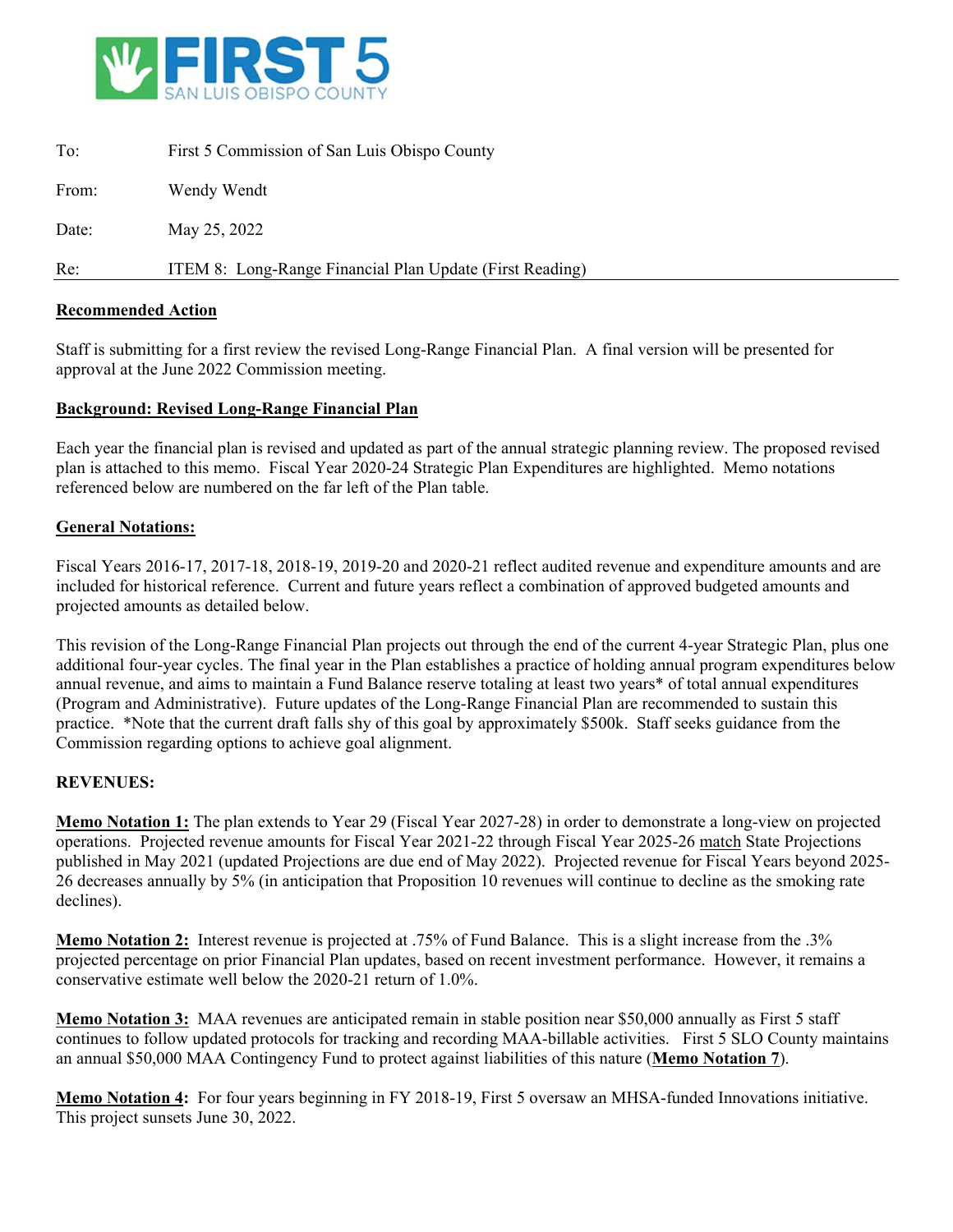

| To:   | First 5 Commission of San Luis Obispo County             |
|-------|----------------------------------------------------------|
| From: | Wendy Wendt                                              |
| Date: | May 25, 2022                                             |
| Re:   | ITEM 8: Long-Range Financial Plan Update (First Reading) |

#### **Recommended Action**

Staff is submitting for a first review the revised Long-Range Financial Plan. A final version will be presented for approval at the June 2022 Commission meeting.

#### **Background: Revised Long-Range Financial Plan**

Each year the financial plan is revised and updated as part of the annual strategic planning review. The proposed revised plan is attached to this memo. Fiscal Year 2020-24 Strategic Plan Expenditures are highlighted. Memo notations referenced below are numbered on the far left of the Plan table.

#### **General Notations:**

Fiscal Years 2016-17, 2017-18, 2018-19, 2019-20 and 2020-21 reflect audited revenue and expenditure amounts and are included for historical reference. Current and future years reflect a combination of approved budgeted amounts and projected amounts as detailed below.

This revision of the Long-Range Financial Plan projects out through the end of the current 4-year Strategic Plan, plus one additional four-year cycles. The final year in the Plan establishes a practice of holding annual program expenditures below annual revenue, and aims to maintain a Fund Balance reserve totaling at least two years\* of total annual expenditures (Program and Administrative). Future updates of the Long-Range Financial Plan are recommended to sustain this practice. \*Note that the current draft falls shy of this goal by approximately \$500k. Staff seeks guidance from the Commission regarding options to achieve goal alignment.

#### **REVENUES:**

**Memo Notation 1:** The plan extends to Year 29 (Fiscal Year 2027-28) in order to demonstrate a long-view on projected operations. Projected revenue amounts for Fiscal Year 2021-22 through Fiscal Year 2025-26 match State Projections published in May 2021 (updated Projections are due end of May 2022). Projected revenue for Fiscal Years beyond 2025- 26 decreases annually by 5% (in anticipation that Proposition 10 revenues will continue to decline as the smoking rate declines).

**Memo Notation 2:** Interest revenue is projected at .75% of Fund Balance. This is a slight increase from the .3% projected percentage on prior Financial Plan updates, based on recent investment performance. However, it remains a conservative estimate well below the 2020-21 return of 1.0%.

**Memo Notation 3:** MAA revenues are anticipated remain in stable position near \$50,000 annually as First 5 staff continues to follow updated protocols for tracking and recording MAA-billable activities. First 5 SLO County maintains an annual \$50,000 MAA Contingency Fund to protect against liabilities of this nature (**Memo Notation 7**).

**Memo Notation 4:** For four years beginning in FY 2018-19, First 5 oversaw an MHSA-funded Innovations initiative. This project sunsets June 30, 2022.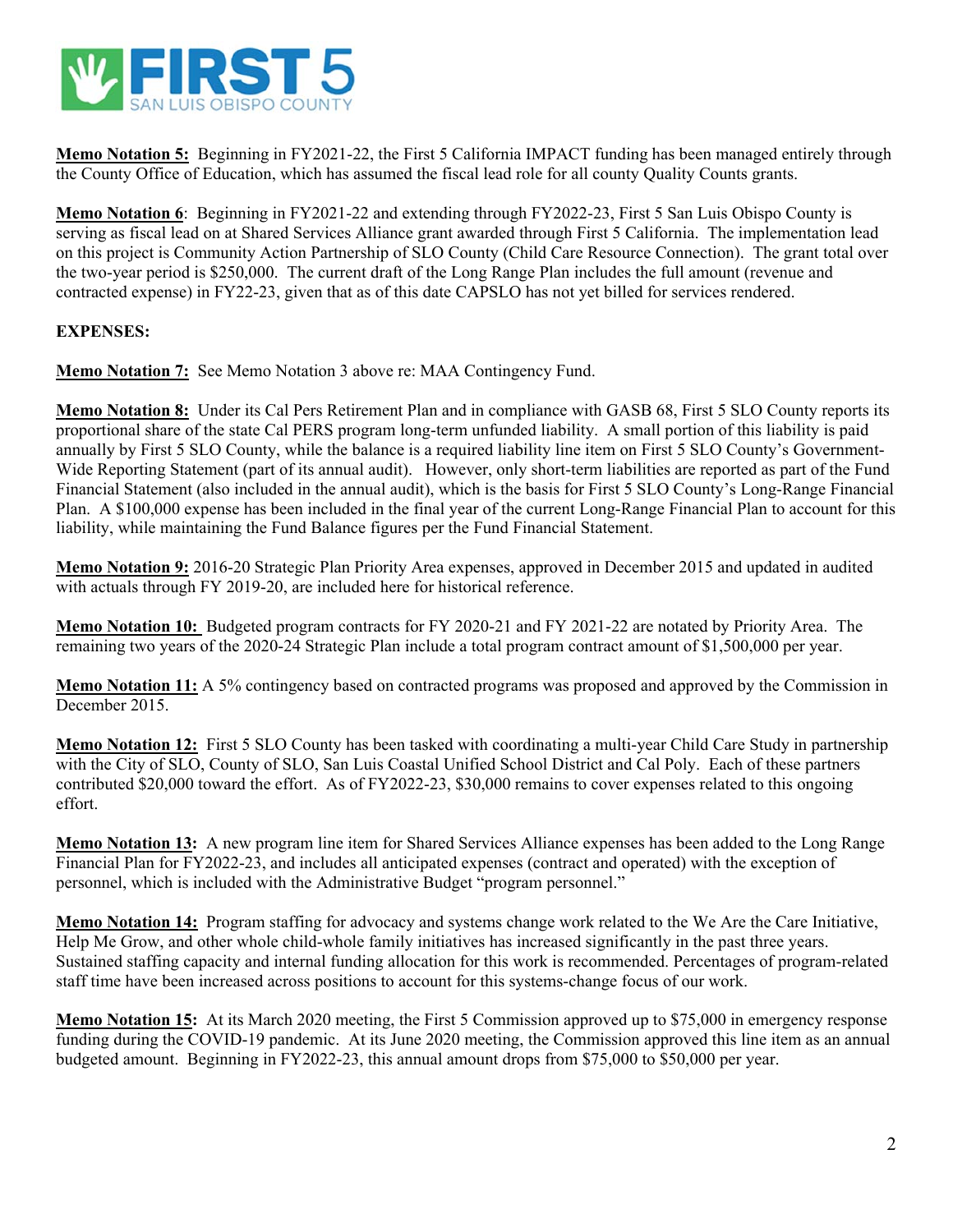

**Memo Notation 5:** Beginning in FY2021-22, the First 5 California IMPACT funding has been managed entirely through the County Office of Education, which has assumed the fiscal lead role for all county Quality Counts grants.

**Memo Notation 6**: Beginning in FY2021-22 and extending through FY2022-23, First 5 San Luis Obispo County is serving as fiscal lead on at Shared Services Alliance grant awarded through First 5 California. The implementation lead on this project is Community Action Partnership of SLO County (Child Care Resource Connection). The grant total over the two-year period is \$250,000. The current draft of the Long Range Plan includes the full amount (revenue and contracted expense) in FY22-23, given that as of this date CAPSLO has not yet billed for services rendered.

#### **EXPENSES:**

**Memo Notation 7:** See Memo Notation 3 above re: MAA Contingency Fund.

**Memo Notation 8:** Under its Cal Pers Retirement Plan and in compliance with GASB 68, First 5 SLO County reports its proportional share of the state Cal PERS program long-term unfunded liability. A small portion of this liability is paid annually by First 5 SLO County, while the balance is a required liability line item on First 5 SLO County's Government-Wide Reporting Statement (part of its annual audit). However, only short-term liabilities are reported as part of the Fund Financial Statement (also included in the annual audit), which is the basis for First 5 SLO County's Long-Range Financial Plan. A \$100,000 expense has been included in the final year of the current Long-Range Financial Plan to account for this liability, while maintaining the Fund Balance figures per the Fund Financial Statement.

**Memo Notation 9:** 2016-20 Strategic Plan Priority Area expenses, approved in December 2015 and updated in audited with actuals through FY 2019-20, are included here for historical reference.

**Memo Notation 10:** Budgeted program contracts for FY 2020-21 and FY 2021-22 are notated by Priority Area. The remaining two years of the 2020-24 Strategic Plan include a total program contract amount of \$1,500,000 per year.

**Memo Notation 11:** A 5% contingency based on contracted programs was proposed and approved by the Commission in December 2015.

**Memo Notation 12:** First 5 SLO County has been tasked with coordinating a multi-year Child Care Study in partnership with the City of SLO, County of SLO, San Luis Coastal Unified School District and Cal Poly. Each of these partners contributed \$20,000 toward the effort. As of FY2022-23, \$30,000 remains to cover expenses related to this ongoing effort.

**Memo Notation 13:** A new program line item for Shared Services Alliance expenses has been added to the Long Range Financial Plan for FY2022-23, and includes all anticipated expenses (contract and operated) with the exception of personnel, which is included with the Administrative Budget "program personnel."

**Memo Notation 14:** Program staffing for advocacy and systems change work related to the We Are the Care Initiative, Help Me Grow, and other whole child-whole family initiatives has increased significantly in the past three years. Sustained staffing capacity and internal funding allocation for this work is recommended. Percentages of program-related staff time have been increased across positions to account for this systems-change focus of our work.

**Memo Notation 15:** At its March 2020 meeting, the First 5 Commission approved up to \$75,000 in emergency response funding during the COVID-19 pandemic. At its June 2020 meeting, the Commission approved this line item as an annual budgeted amount. Beginning in FY2022-23, this annual amount drops from \$75,000 to \$50,000 per year.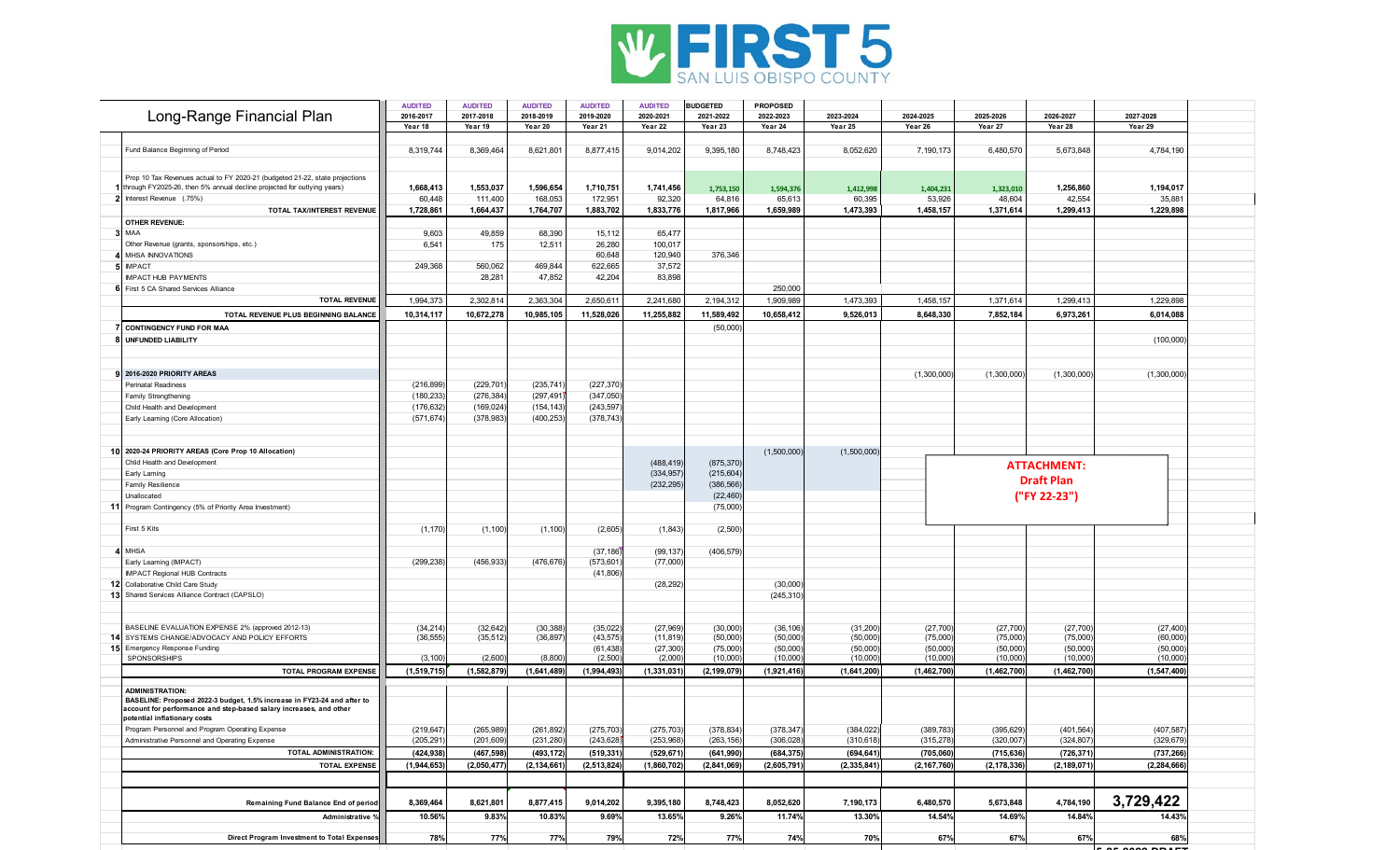

| Year 18<br>Year 19<br>Year 20<br>Year 21<br>Year 22<br>Year 23<br>Year 24<br>Year 25<br>Year 27<br>Year 28<br>Year 29<br>Year 26<br>8,877,415<br>8,052,620<br>Fund Balance Beginning of Period<br>8,319,744<br>8,369,464<br>8,621,801<br>9,014,202<br>9,395,180<br>8,748,423<br>7,190,173<br>6,480,570<br>5,673,848<br>4,784,190<br>Prop 10 Tax Revenues actual to FY 2020-21 (budgeted 21-22, state projections<br>through FY2025-26, then 5% annual decline projected for outlying years)<br>1,553,037<br>1,710,751<br>1,256,860<br>1,668,413<br>1,596,654<br>1,741,456<br>1,194,017<br>1,753,150<br>1,594,376<br>1,412,998<br>1,404,231<br>1,323,010<br>168,053<br>172,951<br>92,320<br>48,604<br>42,554<br>35,88'<br>Interest Revenue (.75%)<br>60,448<br>111,400<br>64,816<br>65,613<br>60,395<br>53,926<br>TOTAL TAX/INTEREST REVENUE<br>1,728,861<br>1,664,437<br>1,764,707<br>1,883,702<br>1,833,776<br>1,817,966<br>1,473,393<br>1,458,157<br>1,371,614<br>1,229,898<br>1,659,989<br>1,299,413<br><b>OTHER REVENUE:</b><br>MAA<br>9,603<br>49,859<br>68,390<br>15,112<br>65,477<br>6,54<br>26,280<br>Other Revenue (grants, sponsorships, etc.)<br>175<br>12,511<br>100,017<br>120,940<br>MHSA INNOVATIONS<br>60,648<br>376,346<br><b>IMPACT</b><br>249,368<br>469,844<br>622,665<br>37,572<br>560,062<br>28,28<br>47,852<br>42,204<br>83,898<br><b>IMPACT HUB PAYMENTS</b><br>6 First 5 CA Shared Services Alliance<br>250,000<br>2,241,680<br>1,994,37<br>2,302,81<br>2,363,304<br>2,650,611<br>2,194,312<br>1,909,989<br>1,473,393<br>1,458,157<br>1,371,614<br>1,299,41<br>1,229,898<br><b>TOTAL REVENUE</b><br>TOTAL REVENUE PLUS BEGINNING BALANCE<br>10,672,278<br>10,985,105<br>11,528,026<br>11,255,882<br>11,589,492<br>9,526,013<br>8,648,330<br>6,014,088<br>10,314,117<br>10,658,412<br>7,852,184<br>6,973,261<br>(50,000)<br><b>CONTINGENCY FUND FOR MAA</b><br><b>UNFUNDED LIABILITY</b><br>(100,000)<br>2016-2020 PRIORITY AREAS<br>(1,300,000)<br>(1,300,000)<br>(1,300,000)<br>(1,300,000)<br>(229, 701)<br>(235, 741)<br>(227, 370)<br>(216, 899)<br><b>Perinatal Readiness</b><br>(276, 384)<br>(297, 491)<br>Family Strengthening<br>(180, 233)<br>(347,050)<br>(169, 024)<br>(243, 597)<br>Child Health and Development<br>(176, 632)<br>(154, 143)<br>(378, 743)<br>Early Learning (Core Allocation)<br>(571, 674)<br>(378, 983)<br>(400, 253)<br>(1,500,000)<br>(1,500,000)<br>10 2020-24 PRIORITY AREAS (Core Prop 10 Allocation)<br>(488, 419)<br>(875, 370)<br>Chlid Health and Development<br><b>ATTACHMENT:</b><br>(334, 957)<br>(215, 604)<br>Early Larning<br><b>Draft Plan</b><br>(386, 566)<br>Family Resilience<br>(232, 295)<br>("FY 22-23")<br>Unallocated<br>(22, 460)<br>11<br>Program Contingency (5% of Priority Area Investment)<br>(75,000)<br>First 5 Kits<br>(1, 170)<br>(1, 100)<br>(2,605)<br>(1,843)<br>(2,500)<br>(1, 100)<br>(406, 579)<br><b>MHSA</b><br>(37, 186)<br>(99, 137)<br>Early Learning (IMPACT)<br>(299, 238)<br>(456, 933)<br>(476,676<br>(77,000)<br>(573, 601<br><b>IMPACT Regional HUB Contracts</b><br>(41, 806)<br>Collaborative Child Care Study<br>(28, 292)<br>(30,000)<br>12<br>13<br>Shared Services Alliance Contract (CAPSLO)<br>(245, 310)<br>(34, 214)<br>BASELINE EVALUATION EXPENSE 2% (approved 2012-13)<br>(32, 642)<br>(30, 388)<br>(35, 022)<br>(27, 969)<br>(30,000)<br>(36, 106)<br>(31, 200)<br>(27, 700)<br>(27, 700)<br>(27, 700)<br>(27, 400)<br>SYSTEMS CHANGE/ADVOCACY AND POLICY EFFORTS<br>(35, 512)<br>(36, 897)<br>(43, 575)<br>(50,000)<br>(75,000)<br>(60,000)<br>14<br>(36, 555)<br>(11, 819)<br>(50,000)<br>(50,000)<br>(75,000<br>(75,000)<br>15<br>(27, 300)<br>(50,000)<br>(50,000)<br>(61, 438)<br>(75,000)<br>(50,000)<br>(50,000)<br>(50,000)<br>(50,000)<br><b>Emergency Response Funding</b><br>SPONSORSHIPS<br>(2,600)<br>(8,800)<br>(2,500)<br>(2,000)<br>(10,000)<br>(10,000)<br>(10,000)<br>(10,000)<br>(10,000)<br>(10,000)<br>(3, 100)<br>(10,000)<br><b>TOTAL PROGRAM EXPENSE</b><br>(1,994,493)<br>(1,462,700)<br>(1,582,879)<br>(1,641,489)<br>(1, 331, 031)<br>(2, 199, 079)<br>(1,921,416)<br>(1,462,700)<br>(1,547,400)<br>(1,519,715)<br>(1,641,200)<br>(1,462,700)<br><b>ADMINISTRATION:</b><br>BASELINE: Proposed 2022-3 budget, 1.5% increase in FY23-24 and after to<br>account for performance and step-based salary increases, and other<br>potential inflationary costs<br>(407, 587)<br>Program Personnel and Program Operating Expense<br>(219, 647)<br>(265, 989)<br>(261, 892)<br>(275, 703)<br>(275, 703)<br>(378, 834)<br>(378, 347)<br>(384, 022)<br>(389, 783)<br>(395, 629)<br>(401, 564)<br>(205, 291)<br>(201, 609)<br>(231, 280)<br>(243, 628)<br>(253,968)<br>(263, 156)<br>(306, 028)<br>(315, 278)<br>(324, 807)<br>(329, 679)<br>Administrative Personnel and Operating Expense<br>(310, 618)<br>(320,007)<br>(424,938<br>(467, 598)<br>(493, 172)<br>(519, 331)<br>(529, 671)<br>(641, 990)<br>(684, 375)<br>(694, 641)<br>(715, 636)<br>(726, 371)<br>(737, 266)<br><b>TOTAL ADMINISTRATION:</b><br>(705,060)<br><b>TOTAL EXPENSE</b><br>1,944,653<br>(2,050,477)<br>(2, 134, 661)<br>(2, 513, 824)<br>(1,860,702)<br>(2,841,069)<br>(2, 335, 841)<br>(2, 178, 336)<br>(2, 189, 071)<br>(2, 284, 666)<br>(2,605,791)<br>(2, 167, 760)<br>3,729,422<br>8,369,464<br>8,621,801<br>8,877,415<br>9,014,202<br>9,395,180<br>8,748,423<br>8,052,620<br>7,190,173<br>6,480,570<br>5,673,848<br>4,784,190<br>Remaining Fund Balance End of period<br>9.83%<br>10.83%<br>9.69%<br>13.65%<br>9.26%<br>11.74%<br>14.54%<br>14.69%<br>Administrative %<br>10.56%<br>13.30%<br>14.84%<br>14.43%<br>Direct Program Investment to Total Expenses<br>78%<br>77%<br>77%<br>79%<br>72%<br>77%<br>74%<br>70%<br>67%<br>67%<br>67%<br>68% |                           | <b>AUDITED</b> | <b>AUDITED</b> | <b>AUDITED</b> | <b>AUDITED</b> | <b>AUDITED</b> | <b>BUDGETED</b> | <b>PROPOSED</b> |           |           |           |           |           |  |
|--------------------------------------------------------------------------------------------------------------------------------------------------------------------------------------------------------------------------------------------------------------------------------------------------------------------------------------------------------------------------------------------------------------------------------------------------------------------------------------------------------------------------------------------------------------------------------------------------------------------------------------------------------------------------------------------------------------------------------------------------------------------------------------------------------------------------------------------------------------------------------------------------------------------------------------------------------------------------------------------------------------------------------------------------------------------------------------------------------------------------------------------------------------------------------------------------------------------------------------------------------------------------------------------------------------------------------------------------------------------------------------------------------------------------------------------------------------------------------------------------------------------------------------------------------------------------------------------------------------------------------------------------------------------------------------------------------------------------------------------------------------------------------------------------------------------------------------------------------------------------------------------------------------------------------------------------------------------------------------------------------------------------------------------------------------------------------------------------------------------------------------------------------------------------------------------------------------------------------------------------------------------------------------------------------------------------------------------------------------------------------------------------------------------------------------------------------------------------------------------------------------------------------------------------------------------------------------------------------------------------------------------------------------------------------------------------------------------------------------------------------------------------------------------------------------------------------------------------------------------------------------------------------------------------------------------------------------------------------------------------------------------------------------------------------------------------------------------------------------------------------------------------------------------------------------------------------------------------------------------------------------------------------------------------------------------------------------------------------------------------------------------------------------------------------------------------------------------------------------------------------------------------------------------------------------------------------------------------------------------------------------------------------------------------------------------------------------------------------------------------------------------------------------------------------------------------------------------------------------------------------------------------------------------------------------------------------------------------------------------------------------------------------------------------------------------------------------------------------------------------------------------------------------------------------------------------------------------------------------------------------------------------------------------------------------------------------------------------------------------------------------------------------------------------------------------------------------------------------------------------------------------------------------------------------------------------------------------------------------------------------------------------------------------------------------------------------------------------------------------------------------------------------------------------------------------------------------------------------------------------------------------------------------------------------------------------------------------------------------------------------------------------------------------------------------------------------------------------------------------------------------------------------------------------------------------------------------------------------------------------------------------------------------------------------------------------------------------------------------------------------------------------------------------------------------------------------------------------------------------------------------------------------------------------------------------------------------------------------------------------------------------------------------------------------------------------------------------------------------------------------------------------------|---------------------------|----------------|----------------|----------------|----------------|----------------|-----------------|-----------------|-----------|-----------|-----------|-----------|-----------|--|
|                                                                                                                                                                                                                                                                                                                                                                                                                                                                                                                                                                                                                                                                                                                                                                                                                                                                                                                                                                                                                                                                                                                                                                                                                                                                                                                                                                                                                                                                                                                                                                                                                                                                                                                                                                                                                                                                                                                                                                                                                                                                                                                                                                                                                                                                                                                                                                                                                                                                                                                                                                                                                                                                                                                                                                                                                                                                                                                                                                                                                                                                                                                                                                                                                                                                                                                                                                                                                                                                                                                                                                                                                                                                                                                                                                                                                                                                                                                                                                                                                                                                                                                                                                                                                                                                                                                                                                                                                                                                                                                                                                                                                                                                                                                                                                                                                                                                                                                                                                                                                                                                                                                                                                                                                                                                                                                                                                                                                                                                                                                                                                                                                                                                                                                                                                                | Long-Range Financial Plan | 2016-2017      | 2017-2018      | 2018-2019      | 2019-2020      | 2020-2021      | 2021-2022       | 2022-2023       | 2023-2024 | 2024-2025 | 2025-2026 | 2026-2027 | 2027-2028 |  |
|                                                                                                                                                                                                                                                                                                                                                                                                                                                                                                                                                                                                                                                                                                                                                                                                                                                                                                                                                                                                                                                                                                                                                                                                                                                                                                                                                                                                                                                                                                                                                                                                                                                                                                                                                                                                                                                                                                                                                                                                                                                                                                                                                                                                                                                                                                                                                                                                                                                                                                                                                                                                                                                                                                                                                                                                                                                                                                                                                                                                                                                                                                                                                                                                                                                                                                                                                                                                                                                                                                                                                                                                                                                                                                                                                                                                                                                                                                                                                                                                                                                                                                                                                                                                                                                                                                                                                                                                                                                                                                                                                                                                                                                                                                                                                                                                                                                                                                                                                                                                                                                                                                                                                                                                                                                                                                                                                                                                                                                                                                                                                                                                                                                                                                                                                                                |                           |                |                |                |                |                |                 |                 |           |           |           |           |           |  |
|                                                                                                                                                                                                                                                                                                                                                                                                                                                                                                                                                                                                                                                                                                                                                                                                                                                                                                                                                                                                                                                                                                                                                                                                                                                                                                                                                                                                                                                                                                                                                                                                                                                                                                                                                                                                                                                                                                                                                                                                                                                                                                                                                                                                                                                                                                                                                                                                                                                                                                                                                                                                                                                                                                                                                                                                                                                                                                                                                                                                                                                                                                                                                                                                                                                                                                                                                                                                                                                                                                                                                                                                                                                                                                                                                                                                                                                                                                                                                                                                                                                                                                                                                                                                                                                                                                                                                                                                                                                                                                                                                                                                                                                                                                                                                                                                                                                                                                                                                                                                                                                                                                                                                                                                                                                                                                                                                                                                                                                                                                                                                                                                                                                                                                                                                                                |                           |                |                |                |                |                |                 |                 |           |           |           |           |           |  |
|                                                                                                                                                                                                                                                                                                                                                                                                                                                                                                                                                                                                                                                                                                                                                                                                                                                                                                                                                                                                                                                                                                                                                                                                                                                                                                                                                                                                                                                                                                                                                                                                                                                                                                                                                                                                                                                                                                                                                                                                                                                                                                                                                                                                                                                                                                                                                                                                                                                                                                                                                                                                                                                                                                                                                                                                                                                                                                                                                                                                                                                                                                                                                                                                                                                                                                                                                                                                                                                                                                                                                                                                                                                                                                                                                                                                                                                                                                                                                                                                                                                                                                                                                                                                                                                                                                                                                                                                                                                                                                                                                                                                                                                                                                                                                                                                                                                                                                                                                                                                                                                                                                                                                                                                                                                                                                                                                                                                                                                                                                                                                                                                                                                                                                                                                                                |                           |                |                |                |                |                |                 |                 |           |           |           |           |           |  |
|                                                                                                                                                                                                                                                                                                                                                                                                                                                                                                                                                                                                                                                                                                                                                                                                                                                                                                                                                                                                                                                                                                                                                                                                                                                                                                                                                                                                                                                                                                                                                                                                                                                                                                                                                                                                                                                                                                                                                                                                                                                                                                                                                                                                                                                                                                                                                                                                                                                                                                                                                                                                                                                                                                                                                                                                                                                                                                                                                                                                                                                                                                                                                                                                                                                                                                                                                                                                                                                                                                                                                                                                                                                                                                                                                                                                                                                                                                                                                                                                                                                                                                                                                                                                                                                                                                                                                                                                                                                                                                                                                                                                                                                                                                                                                                                                                                                                                                                                                                                                                                                                                                                                                                                                                                                                                                                                                                                                                                                                                                                                                                                                                                                                                                                                                                                |                           |                |                |                |                |                |                 |                 |           |           |           |           |           |  |
|                                                                                                                                                                                                                                                                                                                                                                                                                                                                                                                                                                                                                                                                                                                                                                                                                                                                                                                                                                                                                                                                                                                                                                                                                                                                                                                                                                                                                                                                                                                                                                                                                                                                                                                                                                                                                                                                                                                                                                                                                                                                                                                                                                                                                                                                                                                                                                                                                                                                                                                                                                                                                                                                                                                                                                                                                                                                                                                                                                                                                                                                                                                                                                                                                                                                                                                                                                                                                                                                                                                                                                                                                                                                                                                                                                                                                                                                                                                                                                                                                                                                                                                                                                                                                                                                                                                                                                                                                                                                                                                                                                                                                                                                                                                                                                                                                                                                                                                                                                                                                                                                                                                                                                                                                                                                                                                                                                                                                                                                                                                                                                                                                                                                                                                                                                                |                           |                |                |                |                |                |                 |                 |           |           |           |           |           |  |
|                                                                                                                                                                                                                                                                                                                                                                                                                                                                                                                                                                                                                                                                                                                                                                                                                                                                                                                                                                                                                                                                                                                                                                                                                                                                                                                                                                                                                                                                                                                                                                                                                                                                                                                                                                                                                                                                                                                                                                                                                                                                                                                                                                                                                                                                                                                                                                                                                                                                                                                                                                                                                                                                                                                                                                                                                                                                                                                                                                                                                                                                                                                                                                                                                                                                                                                                                                                                                                                                                                                                                                                                                                                                                                                                                                                                                                                                                                                                                                                                                                                                                                                                                                                                                                                                                                                                                                                                                                                                                                                                                                                                                                                                                                                                                                                                                                                                                                                                                                                                                                                                                                                                                                                                                                                                                                                                                                                                                                                                                                                                                                                                                                                                                                                                                                                |                           |                |                |                |                |                |                 |                 |           |           |           |           |           |  |
|                                                                                                                                                                                                                                                                                                                                                                                                                                                                                                                                                                                                                                                                                                                                                                                                                                                                                                                                                                                                                                                                                                                                                                                                                                                                                                                                                                                                                                                                                                                                                                                                                                                                                                                                                                                                                                                                                                                                                                                                                                                                                                                                                                                                                                                                                                                                                                                                                                                                                                                                                                                                                                                                                                                                                                                                                                                                                                                                                                                                                                                                                                                                                                                                                                                                                                                                                                                                                                                                                                                                                                                                                                                                                                                                                                                                                                                                                                                                                                                                                                                                                                                                                                                                                                                                                                                                                                                                                                                                                                                                                                                                                                                                                                                                                                                                                                                                                                                                                                                                                                                                                                                                                                                                                                                                                                                                                                                                                                                                                                                                                                                                                                                                                                                                                                                |                           |                |                |                |                |                |                 |                 |           |           |           |           |           |  |
|                                                                                                                                                                                                                                                                                                                                                                                                                                                                                                                                                                                                                                                                                                                                                                                                                                                                                                                                                                                                                                                                                                                                                                                                                                                                                                                                                                                                                                                                                                                                                                                                                                                                                                                                                                                                                                                                                                                                                                                                                                                                                                                                                                                                                                                                                                                                                                                                                                                                                                                                                                                                                                                                                                                                                                                                                                                                                                                                                                                                                                                                                                                                                                                                                                                                                                                                                                                                                                                                                                                                                                                                                                                                                                                                                                                                                                                                                                                                                                                                                                                                                                                                                                                                                                                                                                                                                                                                                                                                                                                                                                                                                                                                                                                                                                                                                                                                                                                                                                                                                                                                                                                                                                                                                                                                                                                                                                                                                                                                                                                                                                                                                                                                                                                                                                                |                           |                |                |                |                |                |                 |                 |           |           |           |           |           |  |
|                                                                                                                                                                                                                                                                                                                                                                                                                                                                                                                                                                                                                                                                                                                                                                                                                                                                                                                                                                                                                                                                                                                                                                                                                                                                                                                                                                                                                                                                                                                                                                                                                                                                                                                                                                                                                                                                                                                                                                                                                                                                                                                                                                                                                                                                                                                                                                                                                                                                                                                                                                                                                                                                                                                                                                                                                                                                                                                                                                                                                                                                                                                                                                                                                                                                                                                                                                                                                                                                                                                                                                                                                                                                                                                                                                                                                                                                                                                                                                                                                                                                                                                                                                                                                                                                                                                                                                                                                                                                                                                                                                                                                                                                                                                                                                                                                                                                                                                                                                                                                                                                                                                                                                                                                                                                                                                                                                                                                                                                                                                                                                                                                                                                                                                                                                                |                           |                |                |                |                |                |                 |                 |           |           |           |           |           |  |
|                                                                                                                                                                                                                                                                                                                                                                                                                                                                                                                                                                                                                                                                                                                                                                                                                                                                                                                                                                                                                                                                                                                                                                                                                                                                                                                                                                                                                                                                                                                                                                                                                                                                                                                                                                                                                                                                                                                                                                                                                                                                                                                                                                                                                                                                                                                                                                                                                                                                                                                                                                                                                                                                                                                                                                                                                                                                                                                                                                                                                                                                                                                                                                                                                                                                                                                                                                                                                                                                                                                                                                                                                                                                                                                                                                                                                                                                                                                                                                                                                                                                                                                                                                                                                                                                                                                                                                                                                                                                                                                                                                                                                                                                                                                                                                                                                                                                                                                                                                                                                                                                                                                                                                                                                                                                                                                                                                                                                                                                                                                                                                                                                                                                                                                                                                                |                           |                |                |                |                |                |                 |                 |           |           |           |           |           |  |
|                                                                                                                                                                                                                                                                                                                                                                                                                                                                                                                                                                                                                                                                                                                                                                                                                                                                                                                                                                                                                                                                                                                                                                                                                                                                                                                                                                                                                                                                                                                                                                                                                                                                                                                                                                                                                                                                                                                                                                                                                                                                                                                                                                                                                                                                                                                                                                                                                                                                                                                                                                                                                                                                                                                                                                                                                                                                                                                                                                                                                                                                                                                                                                                                                                                                                                                                                                                                                                                                                                                                                                                                                                                                                                                                                                                                                                                                                                                                                                                                                                                                                                                                                                                                                                                                                                                                                                                                                                                                                                                                                                                                                                                                                                                                                                                                                                                                                                                                                                                                                                                                                                                                                                                                                                                                                                                                                                                                                                                                                                                                                                                                                                                                                                                                                                                |                           |                |                |                |                |                |                 |                 |           |           |           |           |           |  |
|                                                                                                                                                                                                                                                                                                                                                                                                                                                                                                                                                                                                                                                                                                                                                                                                                                                                                                                                                                                                                                                                                                                                                                                                                                                                                                                                                                                                                                                                                                                                                                                                                                                                                                                                                                                                                                                                                                                                                                                                                                                                                                                                                                                                                                                                                                                                                                                                                                                                                                                                                                                                                                                                                                                                                                                                                                                                                                                                                                                                                                                                                                                                                                                                                                                                                                                                                                                                                                                                                                                                                                                                                                                                                                                                                                                                                                                                                                                                                                                                                                                                                                                                                                                                                                                                                                                                                                                                                                                                                                                                                                                                                                                                                                                                                                                                                                                                                                                                                                                                                                                                                                                                                                                                                                                                                                                                                                                                                                                                                                                                                                                                                                                                                                                                                                                |                           |                |                |                |                |                |                 |                 |           |           |           |           |           |  |
|                                                                                                                                                                                                                                                                                                                                                                                                                                                                                                                                                                                                                                                                                                                                                                                                                                                                                                                                                                                                                                                                                                                                                                                                                                                                                                                                                                                                                                                                                                                                                                                                                                                                                                                                                                                                                                                                                                                                                                                                                                                                                                                                                                                                                                                                                                                                                                                                                                                                                                                                                                                                                                                                                                                                                                                                                                                                                                                                                                                                                                                                                                                                                                                                                                                                                                                                                                                                                                                                                                                                                                                                                                                                                                                                                                                                                                                                                                                                                                                                                                                                                                                                                                                                                                                                                                                                                                                                                                                                                                                                                                                                                                                                                                                                                                                                                                                                                                                                                                                                                                                                                                                                                                                                                                                                                                                                                                                                                                                                                                                                                                                                                                                                                                                                                                                |                           |                |                |                |                |                |                 |                 |           |           |           |           |           |  |
|                                                                                                                                                                                                                                                                                                                                                                                                                                                                                                                                                                                                                                                                                                                                                                                                                                                                                                                                                                                                                                                                                                                                                                                                                                                                                                                                                                                                                                                                                                                                                                                                                                                                                                                                                                                                                                                                                                                                                                                                                                                                                                                                                                                                                                                                                                                                                                                                                                                                                                                                                                                                                                                                                                                                                                                                                                                                                                                                                                                                                                                                                                                                                                                                                                                                                                                                                                                                                                                                                                                                                                                                                                                                                                                                                                                                                                                                                                                                                                                                                                                                                                                                                                                                                                                                                                                                                                                                                                                                                                                                                                                                                                                                                                                                                                                                                                                                                                                                                                                                                                                                                                                                                                                                                                                                                                                                                                                                                                                                                                                                                                                                                                                                                                                                                                                |                           |                |                |                |                |                |                 |                 |           |           |           |           |           |  |
|                                                                                                                                                                                                                                                                                                                                                                                                                                                                                                                                                                                                                                                                                                                                                                                                                                                                                                                                                                                                                                                                                                                                                                                                                                                                                                                                                                                                                                                                                                                                                                                                                                                                                                                                                                                                                                                                                                                                                                                                                                                                                                                                                                                                                                                                                                                                                                                                                                                                                                                                                                                                                                                                                                                                                                                                                                                                                                                                                                                                                                                                                                                                                                                                                                                                                                                                                                                                                                                                                                                                                                                                                                                                                                                                                                                                                                                                                                                                                                                                                                                                                                                                                                                                                                                                                                                                                                                                                                                                                                                                                                                                                                                                                                                                                                                                                                                                                                                                                                                                                                                                                                                                                                                                                                                                                                                                                                                                                                                                                                                                                                                                                                                                                                                                                                                |                           |                |                |                |                |                |                 |                 |           |           |           |           |           |  |
|                                                                                                                                                                                                                                                                                                                                                                                                                                                                                                                                                                                                                                                                                                                                                                                                                                                                                                                                                                                                                                                                                                                                                                                                                                                                                                                                                                                                                                                                                                                                                                                                                                                                                                                                                                                                                                                                                                                                                                                                                                                                                                                                                                                                                                                                                                                                                                                                                                                                                                                                                                                                                                                                                                                                                                                                                                                                                                                                                                                                                                                                                                                                                                                                                                                                                                                                                                                                                                                                                                                                                                                                                                                                                                                                                                                                                                                                                                                                                                                                                                                                                                                                                                                                                                                                                                                                                                                                                                                                                                                                                                                                                                                                                                                                                                                                                                                                                                                                                                                                                                                                                                                                                                                                                                                                                                                                                                                                                                                                                                                                                                                                                                                                                                                                                                                |                           |                |                |                |                |                |                 |                 |           |           |           |           |           |  |
|                                                                                                                                                                                                                                                                                                                                                                                                                                                                                                                                                                                                                                                                                                                                                                                                                                                                                                                                                                                                                                                                                                                                                                                                                                                                                                                                                                                                                                                                                                                                                                                                                                                                                                                                                                                                                                                                                                                                                                                                                                                                                                                                                                                                                                                                                                                                                                                                                                                                                                                                                                                                                                                                                                                                                                                                                                                                                                                                                                                                                                                                                                                                                                                                                                                                                                                                                                                                                                                                                                                                                                                                                                                                                                                                                                                                                                                                                                                                                                                                                                                                                                                                                                                                                                                                                                                                                                                                                                                                                                                                                                                                                                                                                                                                                                                                                                                                                                                                                                                                                                                                                                                                                                                                                                                                                                                                                                                                                                                                                                                                                                                                                                                                                                                                                                                |                           |                |                |                |                |                |                 |                 |           |           |           |           |           |  |
|                                                                                                                                                                                                                                                                                                                                                                                                                                                                                                                                                                                                                                                                                                                                                                                                                                                                                                                                                                                                                                                                                                                                                                                                                                                                                                                                                                                                                                                                                                                                                                                                                                                                                                                                                                                                                                                                                                                                                                                                                                                                                                                                                                                                                                                                                                                                                                                                                                                                                                                                                                                                                                                                                                                                                                                                                                                                                                                                                                                                                                                                                                                                                                                                                                                                                                                                                                                                                                                                                                                                                                                                                                                                                                                                                                                                                                                                                                                                                                                                                                                                                                                                                                                                                                                                                                                                                                                                                                                                                                                                                                                                                                                                                                                                                                                                                                                                                                                                                                                                                                                                                                                                                                                                                                                                                                                                                                                                                                                                                                                                                                                                                                                                                                                                                                                |                           |                |                |                |                |                |                 |                 |           |           |           |           |           |  |
|                                                                                                                                                                                                                                                                                                                                                                                                                                                                                                                                                                                                                                                                                                                                                                                                                                                                                                                                                                                                                                                                                                                                                                                                                                                                                                                                                                                                                                                                                                                                                                                                                                                                                                                                                                                                                                                                                                                                                                                                                                                                                                                                                                                                                                                                                                                                                                                                                                                                                                                                                                                                                                                                                                                                                                                                                                                                                                                                                                                                                                                                                                                                                                                                                                                                                                                                                                                                                                                                                                                                                                                                                                                                                                                                                                                                                                                                                                                                                                                                                                                                                                                                                                                                                                                                                                                                                                                                                                                                                                                                                                                                                                                                                                                                                                                                                                                                                                                                                                                                                                                                                                                                                                                                                                                                                                                                                                                                                                                                                                                                                                                                                                                                                                                                                                                |                           |                |                |                |                |                |                 |                 |           |           |           |           |           |  |
|                                                                                                                                                                                                                                                                                                                                                                                                                                                                                                                                                                                                                                                                                                                                                                                                                                                                                                                                                                                                                                                                                                                                                                                                                                                                                                                                                                                                                                                                                                                                                                                                                                                                                                                                                                                                                                                                                                                                                                                                                                                                                                                                                                                                                                                                                                                                                                                                                                                                                                                                                                                                                                                                                                                                                                                                                                                                                                                                                                                                                                                                                                                                                                                                                                                                                                                                                                                                                                                                                                                                                                                                                                                                                                                                                                                                                                                                                                                                                                                                                                                                                                                                                                                                                                                                                                                                                                                                                                                                                                                                                                                                                                                                                                                                                                                                                                                                                                                                                                                                                                                                                                                                                                                                                                                                                                                                                                                                                                                                                                                                                                                                                                                                                                                                                                                |                           |                |                |                |                |                |                 |                 |           |           |           |           |           |  |
|                                                                                                                                                                                                                                                                                                                                                                                                                                                                                                                                                                                                                                                                                                                                                                                                                                                                                                                                                                                                                                                                                                                                                                                                                                                                                                                                                                                                                                                                                                                                                                                                                                                                                                                                                                                                                                                                                                                                                                                                                                                                                                                                                                                                                                                                                                                                                                                                                                                                                                                                                                                                                                                                                                                                                                                                                                                                                                                                                                                                                                                                                                                                                                                                                                                                                                                                                                                                                                                                                                                                                                                                                                                                                                                                                                                                                                                                                                                                                                                                                                                                                                                                                                                                                                                                                                                                                                                                                                                                                                                                                                                                                                                                                                                                                                                                                                                                                                                                                                                                                                                                                                                                                                                                                                                                                                                                                                                                                                                                                                                                                                                                                                                                                                                                                                                |                           |                |                |                |                |                |                 |                 |           |           |           |           |           |  |
|                                                                                                                                                                                                                                                                                                                                                                                                                                                                                                                                                                                                                                                                                                                                                                                                                                                                                                                                                                                                                                                                                                                                                                                                                                                                                                                                                                                                                                                                                                                                                                                                                                                                                                                                                                                                                                                                                                                                                                                                                                                                                                                                                                                                                                                                                                                                                                                                                                                                                                                                                                                                                                                                                                                                                                                                                                                                                                                                                                                                                                                                                                                                                                                                                                                                                                                                                                                                                                                                                                                                                                                                                                                                                                                                                                                                                                                                                                                                                                                                                                                                                                                                                                                                                                                                                                                                                                                                                                                                                                                                                                                                                                                                                                                                                                                                                                                                                                                                                                                                                                                                                                                                                                                                                                                                                                                                                                                                                                                                                                                                                                                                                                                                                                                                                                                |                           |                |                |                |                |                |                 |                 |           |           |           |           |           |  |
|                                                                                                                                                                                                                                                                                                                                                                                                                                                                                                                                                                                                                                                                                                                                                                                                                                                                                                                                                                                                                                                                                                                                                                                                                                                                                                                                                                                                                                                                                                                                                                                                                                                                                                                                                                                                                                                                                                                                                                                                                                                                                                                                                                                                                                                                                                                                                                                                                                                                                                                                                                                                                                                                                                                                                                                                                                                                                                                                                                                                                                                                                                                                                                                                                                                                                                                                                                                                                                                                                                                                                                                                                                                                                                                                                                                                                                                                                                                                                                                                                                                                                                                                                                                                                                                                                                                                                                                                                                                                                                                                                                                                                                                                                                                                                                                                                                                                                                                                                                                                                                                                                                                                                                                                                                                                                                                                                                                                                                                                                                                                                                                                                                                                                                                                                                                |                           |                |                |                |                |                |                 |                 |           |           |           |           |           |  |
|                                                                                                                                                                                                                                                                                                                                                                                                                                                                                                                                                                                                                                                                                                                                                                                                                                                                                                                                                                                                                                                                                                                                                                                                                                                                                                                                                                                                                                                                                                                                                                                                                                                                                                                                                                                                                                                                                                                                                                                                                                                                                                                                                                                                                                                                                                                                                                                                                                                                                                                                                                                                                                                                                                                                                                                                                                                                                                                                                                                                                                                                                                                                                                                                                                                                                                                                                                                                                                                                                                                                                                                                                                                                                                                                                                                                                                                                                                                                                                                                                                                                                                                                                                                                                                                                                                                                                                                                                                                                                                                                                                                                                                                                                                                                                                                                                                                                                                                                                                                                                                                                                                                                                                                                                                                                                                                                                                                                                                                                                                                                                                                                                                                                                                                                                                                |                           |                |                |                |                |                |                 |                 |           |           |           |           |           |  |
|                                                                                                                                                                                                                                                                                                                                                                                                                                                                                                                                                                                                                                                                                                                                                                                                                                                                                                                                                                                                                                                                                                                                                                                                                                                                                                                                                                                                                                                                                                                                                                                                                                                                                                                                                                                                                                                                                                                                                                                                                                                                                                                                                                                                                                                                                                                                                                                                                                                                                                                                                                                                                                                                                                                                                                                                                                                                                                                                                                                                                                                                                                                                                                                                                                                                                                                                                                                                                                                                                                                                                                                                                                                                                                                                                                                                                                                                                                                                                                                                                                                                                                                                                                                                                                                                                                                                                                                                                                                                                                                                                                                                                                                                                                                                                                                                                                                                                                                                                                                                                                                                                                                                                                                                                                                                                                                                                                                                                                                                                                                                                                                                                                                                                                                                                                                |                           |                |                |                |                |                |                 |                 |           |           |           |           |           |  |
|                                                                                                                                                                                                                                                                                                                                                                                                                                                                                                                                                                                                                                                                                                                                                                                                                                                                                                                                                                                                                                                                                                                                                                                                                                                                                                                                                                                                                                                                                                                                                                                                                                                                                                                                                                                                                                                                                                                                                                                                                                                                                                                                                                                                                                                                                                                                                                                                                                                                                                                                                                                                                                                                                                                                                                                                                                                                                                                                                                                                                                                                                                                                                                                                                                                                                                                                                                                                                                                                                                                                                                                                                                                                                                                                                                                                                                                                                                                                                                                                                                                                                                                                                                                                                                                                                                                                                                                                                                                                                                                                                                                                                                                                                                                                                                                                                                                                                                                                                                                                                                                                                                                                                                                                                                                                                                                                                                                                                                                                                                                                                                                                                                                                                                                                                                                |                           |                |                |                |                |                |                 |                 |           |           |           |           |           |  |
|                                                                                                                                                                                                                                                                                                                                                                                                                                                                                                                                                                                                                                                                                                                                                                                                                                                                                                                                                                                                                                                                                                                                                                                                                                                                                                                                                                                                                                                                                                                                                                                                                                                                                                                                                                                                                                                                                                                                                                                                                                                                                                                                                                                                                                                                                                                                                                                                                                                                                                                                                                                                                                                                                                                                                                                                                                                                                                                                                                                                                                                                                                                                                                                                                                                                                                                                                                                                                                                                                                                                                                                                                                                                                                                                                                                                                                                                                                                                                                                                                                                                                                                                                                                                                                                                                                                                                                                                                                                                                                                                                                                                                                                                                                                                                                                                                                                                                                                                                                                                                                                                                                                                                                                                                                                                                                                                                                                                                                                                                                                                                                                                                                                                                                                                                                                |                           |                |                |                |                |                |                 |                 |           |           |           |           |           |  |
|                                                                                                                                                                                                                                                                                                                                                                                                                                                                                                                                                                                                                                                                                                                                                                                                                                                                                                                                                                                                                                                                                                                                                                                                                                                                                                                                                                                                                                                                                                                                                                                                                                                                                                                                                                                                                                                                                                                                                                                                                                                                                                                                                                                                                                                                                                                                                                                                                                                                                                                                                                                                                                                                                                                                                                                                                                                                                                                                                                                                                                                                                                                                                                                                                                                                                                                                                                                                                                                                                                                                                                                                                                                                                                                                                                                                                                                                                                                                                                                                                                                                                                                                                                                                                                                                                                                                                                                                                                                                                                                                                                                                                                                                                                                                                                                                                                                                                                                                                                                                                                                                                                                                                                                                                                                                                                                                                                                                                                                                                                                                                                                                                                                                                                                                                                                |                           |                |                |                |                |                |                 |                 |           |           |           |           |           |  |
|                                                                                                                                                                                                                                                                                                                                                                                                                                                                                                                                                                                                                                                                                                                                                                                                                                                                                                                                                                                                                                                                                                                                                                                                                                                                                                                                                                                                                                                                                                                                                                                                                                                                                                                                                                                                                                                                                                                                                                                                                                                                                                                                                                                                                                                                                                                                                                                                                                                                                                                                                                                                                                                                                                                                                                                                                                                                                                                                                                                                                                                                                                                                                                                                                                                                                                                                                                                                                                                                                                                                                                                                                                                                                                                                                                                                                                                                                                                                                                                                                                                                                                                                                                                                                                                                                                                                                                                                                                                                                                                                                                                                                                                                                                                                                                                                                                                                                                                                                                                                                                                                                                                                                                                                                                                                                                                                                                                                                                                                                                                                                                                                                                                                                                                                                                                |                           |                |                |                |                |                |                 |                 |           |           |           |           |           |  |
|                                                                                                                                                                                                                                                                                                                                                                                                                                                                                                                                                                                                                                                                                                                                                                                                                                                                                                                                                                                                                                                                                                                                                                                                                                                                                                                                                                                                                                                                                                                                                                                                                                                                                                                                                                                                                                                                                                                                                                                                                                                                                                                                                                                                                                                                                                                                                                                                                                                                                                                                                                                                                                                                                                                                                                                                                                                                                                                                                                                                                                                                                                                                                                                                                                                                                                                                                                                                                                                                                                                                                                                                                                                                                                                                                                                                                                                                                                                                                                                                                                                                                                                                                                                                                                                                                                                                                                                                                                                                                                                                                                                                                                                                                                                                                                                                                                                                                                                                                                                                                                                                                                                                                                                                                                                                                                                                                                                                                                                                                                                                                                                                                                                                                                                                                                                |                           |                |                |                |                |                |                 |                 |           |           |           |           |           |  |
|                                                                                                                                                                                                                                                                                                                                                                                                                                                                                                                                                                                                                                                                                                                                                                                                                                                                                                                                                                                                                                                                                                                                                                                                                                                                                                                                                                                                                                                                                                                                                                                                                                                                                                                                                                                                                                                                                                                                                                                                                                                                                                                                                                                                                                                                                                                                                                                                                                                                                                                                                                                                                                                                                                                                                                                                                                                                                                                                                                                                                                                                                                                                                                                                                                                                                                                                                                                                                                                                                                                                                                                                                                                                                                                                                                                                                                                                                                                                                                                                                                                                                                                                                                                                                                                                                                                                                                                                                                                                                                                                                                                                                                                                                                                                                                                                                                                                                                                                                                                                                                                                                                                                                                                                                                                                                                                                                                                                                                                                                                                                                                                                                                                                                                                                                                                |                           |                |                |                |                |                |                 |                 |           |           |           |           |           |  |
|                                                                                                                                                                                                                                                                                                                                                                                                                                                                                                                                                                                                                                                                                                                                                                                                                                                                                                                                                                                                                                                                                                                                                                                                                                                                                                                                                                                                                                                                                                                                                                                                                                                                                                                                                                                                                                                                                                                                                                                                                                                                                                                                                                                                                                                                                                                                                                                                                                                                                                                                                                                                                                                                                                                                                                                                                                                                                                                                                                                                                                                                                                                                                                                                                                                                                                                                                                                                                                                                                                                                                                                                                                                                                                                                                                                                                                                                                                                                                                                                                                                                                                                                                                                                                                                                                                                                                                                                                                                                                                                                                                                                                                                                                                                                                                                                                                                                                                                                                                                                                                                                                                                                                                                                                                                                                                                                                                                                                                                                                                                                                                                                                                                                                                                                                                                |                           |                |                |                |                |                |                 |                 |           |           |           |           |           |  |
|                                                                                                                                                                                                                                                                                                                                                                                                                                                                                                                                                                                                                                                                                                                                                                                                                                                                                                                                                                                                                                                                                                                                                                                                                                                                                                                                                                                                                                                                                                                                                                                                                                                                                                                                                                                                                                                                                                                                                                                                                                                                                                                                                                                                                                                                                                                                                                                                                                                                                                                                                                                                                                                                                                                                                                                                                                                                                                                                                                                                                                                                                                                                                                                                                                                                                                                                                                                                                                                                                                                                                                                                                                                                                                                                                                                                                                                                                                                                                                                                                                                                                                                                                                                                                                                                                                                                                                                                                                                                                                                                                                                                                                                                                                                                                                                                                                                                                                                                                                                                                                                                                                                                                                                                                                                                                                                                                                                                                                                                                                                                                                                                                                                                                                                                                                                |                           |                |                |                |                |                |                 |                 |           |           |           |           |           |  |
|                                                                                                                                                                                                                                                                                                                                                                                                                                                                                                                                                                                                                                                                                                                                                                                                                                                                                                                                                                                                                                                                                                                                                                                                                                                                                                                                                                                                                                                                                                                                                                                                                                                                                                                                                                                                                                                                                                                                                                                                                                                                                                                                                                                                                                                                                                                                                                                                                                                                                                                                                                                                                                                                                                                                                                                                                                                                                                                                                                                                                                                                                                                                                                                                                                                                                                                                                                                                                                                                                                                                                                                                                                                                                                                                                                                                                                                                                                                                                                                                                                                                                                                                                                                                                                                                                                                                                                                                                                                                                                                                                                                                                                                                                                                                                                                                                                                                                                                                                                                                                                                                                                                                                                                                                                                                                                                                                                                                                                                                                                                                                                                                                                                                                                                                                                                |                           |                |                |                |                |                |                 |                 |           |           |           |           |           |  |
|                                                                                                                                                                                                                                                                                                                                                                                                                                                                                                                                                                                                                                                                                                                                                                                                                                                                                                                                                                                                                                                                                                                                                                                                                                                                                                                                                                                                                                                                                                                                                                                                                                                                                                                                                                                                                                                                                                                                                                                                                                                                                                                                                                                                                                                                                                                                                                                                                                                                                                                                                                                                                                                                                                                                                                                                                                                                                                                                                                                                                                                                                                                                                                                                                                                                                                                                                                                                                                                                                                                                                                                                                                                                                                                                                                                                                                                                                                                                                                                                                                                                                                                                                                                                                                                                                                                                                                                                                                                                                                                                                                                                                                                                                                                                                                                                                                                                                                                                                                                                                                                                                                                                                                                                                                                                                                                                                                                                                                                                                                                                                                                                                                                                                                                                                                                |                           |                |                |                |                |                |                 |                 |           |           |           |           |           |  |
|                                                                                                                                                                                                                                                                                                                                                                                                                                                                                                                                                                                                                                                                                                                                                                                                                                                                                                                                                                                                                                                                                                                                                                                                                                                                                                                                                                                                                                                                                                                                                                                                                                                                                                                                                                                                                                                                                                                                                                                                                                                                                                                                                                                                                                                                                                                                                                                                                                                                                                                                                                                                                                                                                                                                                                                                                                                                                                                                                                                                                                                                                                                                                                                                                                                                                                                                                                                                                                                                                                                                                                                                                                                                                                                                                                                                                                                                                                                                                                                                                                                                                                                                                                                                                                                                                                                                                                                                                                                                                                                                                                                                                                                                                                                                                                                                                                                                                                                                                                                                                                                                                                                                                                                                                                                                                                                                                                                                                                                                                                                                                                                                                                                                                                                                                                                |                           |                |                |                |                |                |                 |                 |           |           |           |           |           |  |
|                                                                                                                                                                                                                                                                                                                                                                                                                                                                                                                                                                                                                                                                                                                                                                                                                                                                                                                                                                                                                                                                                                                                                                                                                                                                                                                                                                                                                                                                                                                                                                                                                                                                                                                                                                                                                                                                                                                                                                                                                                                                                                                                                                                                                                                                                                                                                                                                                                                                                                                                                                                                                                                                                                                                                                                                                                                                                                                                                                                                                                                                                                                                                                                                                                                                                                                                                                                                                                                                                                                                                                                                                                                                                                                                                                                                                                                                                                                                                                                                                                                                                                                                                                                                                                                                                                                                                                                                                                                                                                                                                                                                                                                                                                                                                                                                                                                                                                                                                                                                                                                                                                                                                                                                                                                                                                                                                                                                                                                                                                                                                                                                                                                                                                                                                                                |                           |                |                |                |                |                |                 |                 |           |           |           |           |           |  |
|                                                                                                                                                                                                                                                                                                                                                                                                                                                                                                                                                                                                                                                                                                                                                                                                                                                                                                                                                                                                                                                                                                                                                                                                                                                                                                                                                                                                                                                                                                                                                                                                                                                                                                                                                                                                                                                                                                                                                                                                                                                                                                                                                                                                                                                                                                                                                                                                                                                                                                                                                                                                                                                                                                                                                                                                                                                                                                                                                                                                                                                                                                                                                                                                                                                                                                                                                                                                                                                                                                                                                                                                                                                                                                                                                                                                                                                                                                                                                                                                                                                                                                                                                                                                                                                                                                                                                                                                                                                                                                                                                                                                                                                                                                                                                                                                                                                                                                                                                                                                                                                                                                                                                                                                                                                                                                                                                                                                                                                                                                                                                                                                                                                                                                                                                                                |                           |                |                |                |                |                |                 |                 |           |           |           |           |           |  |
|                                                                                                                                                                                                                                                                                                                                                                                                                                                                                                                                                                                                                                                                                                                                                                                                                                                                                                                                                                                                                                                                                                                                                                                                                                                                                                                                                                                                                                                                                                                                                                                                                                                                                                                                                                                                                                                                                                                                                                                                                                                                                                                                                                                                                                                                                                                                                                                                                                                                                                                                                                                                                                                                                                                                                                                                                                                                                                                                                                                                                                                                                                                                                                                                                                                                                                                                                                                                                                                                                                                                                                                                                                                                                                                                                                                                                                                                                                                                                                                                                                                                                                                                                                                                                                                                                                                                                                                                                                                                                                                                                                                                                                                                                                                                                                                                                                                                                                                                                                                                                                                                                                                                                                                                                                                                                                                                                                                                                                                                                                                                                                                                                                                                                                                                                                                |                           |                |                |                |                |                |                 |                 |           |           |           |           |           |  |
|                                                                                                                                                                                                                                                                                                                                                                                                                                                                                                                                                                                                                                                                                                                                                                                                                                                                                                                                                                                                                                                                                                                                                                                                                                                                                                                                                                                                                                                                                                                                                                                                                                                                                                                                                                                                                                                                                                                                                                                                                                                                                                                                                                                                                                                                                                                                                                                                                                                                                                                                                                                                                                                                                                                                                                                                                                                                                                                                                                                                                                                                                                                                                                                                                                                                                                                                                                                                                                                                                                                                                                                                                                                                                                                                                                                                                                                                                                                                                                                                                                                                                                                                                                                                                                                                                                                                                                                                                                                                                                                                                                                                                                                                                                                                                                                                                                                                                                                                                                                                                                                                                                                                                                                                                                                                                                                                                                                                                                                                                                                                                                                                                                                                                                                                                                                |                           |                |                |                |                |                |                 |                 |           |           |           |           |           |  |
|                                                                                                                                                                                                                                                                                                                                                                                                                                                                                                                                                                                                                                                                                                                                                                                                                                                                                                                                                                                                                                                                                                                                                                                                                                                                                                                                                                                                                                                                                                                                                                                                                                                                                                                                                                                                                                                                                                                                                                                                                                                                                                                                                                                                                                                                                                                                                                                                                                                                                                                                                                                                                                                                                                                                                                                                                                                                                                                                                                                                                                                                                                                                                                                                                                                                                                                                                                                                                                                                                                                                                                                                                                                                                                                                                                                                                                                                                                                                                                                                                                                                                                                                                                                                                                                                                                                                                                                                                                                                                                                                                                                                                                                                                                                                                                                                                                                                                                                                                                                                                                                                                                                                                                                                                                                                                                                                                                                                                                                                                                                                                                                                                                                                                                                                                                                |                           |                |                |                |                |                |                 |                 |           |           |           |           |           |  |
|                                                                                                                                                                                                                                                                                                                                                                                                                                                                                                                                                                                                                                                                                                                                                                                                                                                                                                                                                                                                                                                                                                                                                                                                                                                                                                                                                                                                                                                                                                                                                                                                                                                                                                                                                                                                                                                                                                                                                                                                                                                                                                                                                                                                                                                                                                                                                                                                                                                                                                                                                                                                                                                                                                                                                                                                                                                                                                                                                                                                                                                                                                                                                                                                                                                                                                                                                                                                                                                                                                                                                                                                                                                                                                                                                                                                                                                                                                                                                                                                                                                                                                                                                                                                                                                                                                                                                                                                                                                                                                                                                                                                                                                                                                                                                                                                                                                                                                                                                                                                                                                                                                                                                                                                                                                                                                                                                                                                                                                                                                                                                                                                                                                                                                                                                                                |                           |                |                |                |                |                |                 |                 |           |           |           |           |           |  |
|                                                                                                                                                                                                                                                                                                                                                                                                                                                                                                                                                                                                                                                                                                                                                                                                                                                                                                                                                                                                                                                                                                                                                                                                                                                                                                                                                                                                                                                                                                                                                                                                                                                                                                                                                                                                                                                                                                                                                                                                                                                                                                                                                                                                                                                                                                                                                                                                                                                                                                                                                                                                                                                                                                                                                                                                                                                                                                                                                                                                                                                                                                                                                                                                                                                                                                                                                                                                                                                                                                                                                                                                                                                                                                                                                                                                                                                                                                                                                                                                                                                                                                                                                                                                                                                                                                                                                                                                                                                                                                                                                                                                                                                                                                                                                                                                                                                                                                                                                                                                                                                                                                                                                                                                                                                                                                                                                                                                                                                                                                                                                                                                                                                                                                                                                                                |                           |                |                |                |                |                |                 |                 |           |           |           |           |           |  |
|                                                                                                                                                                                                                                                                                                                                                                                                                                                                                                                                                                                                                                                                                                                                                                                                                                                                                                                                                                                                                                                                                                                                                                                                                                                                                                                                                                                                                                                                                                                                                                                                                                                                                                                                                                                                                                                                                                                                                                                                                                                                                                                                                                                                                                                                                                                                                                                                                                                                                                                                                                                                                                                                                                                                                                                                                                                                                                                                                                                                                                                                                                                                                                                                                                                                                                                                                                                                                                                                                                                                                                                                                                                                                                                                                                                                                                                                                                                                                                                                                                                                                                                                                                                                                                                                                                                                                                                                                                                                                                                                                                                                                                                                                                                                                                                                                                                                                                                                                                                                                                                                                                                                                                                                                                                                                                                                                                                                                                                                                                                                                                                                                                                                                                                                                                                |                           |                |                |                |                |                |                 |                 |           |           |           |           |           |  |
|                                                                                                                                                                                                                                                                                                                                                                                                                                                                                                                                                                                                                                                                                                                                                                                                                                                                                                                                                                                                                                                                                                                                                                                                                                                                                                                                                                                                                                                                                                                                                                                                                                                                                                                                                                                                                                                                                                                                                                                                                                                                                                                                                                                                                                                                                                                                                                                                                                                                                                                                                                                                                                                                                                                                                                                                                                                                                                                                                                                                                                                                                                                                                                                                                                                                                                                                                                                                                                                                                                                                                                                                                                                                                                                                                                                                                                                                                                                                                                                                                                                                                                                                                                                                                                                                                                                                                                                                                                                                                                                                                                                                                                                                                                                                                                                                                                                                                                                                                                                                                                                                                                                                                                                                                                                                                                                                                                                                                                                                                                                                                                                                                                                                                                                                                                                |                           |                |                |                |                |                |                 |                 |           |           |           |           |           |  |
|                                                                                                                                                                                                                                                                                                                                                                                                                                                                                                                                                                                                                                                                                                                                                                                                                                                                                                                                                                                                                                                                                                                                                                                                                                                                                                                                                                                                                                                                                                                                                                                                                                                                                                                                                                                                                                                                                                                                                                                                                                                                                                                                                                                                                                                                                                                                                                                                                                                                                                                                                                                                                                                                                                                                                                                                                                                                                                                                                                                                                                                                                                                                                                                                                                                                                                                                                                                                                                                                                                                                                                                                                                                                                                                                                                                                                                                                                                                                                                                                                                                                                                                                                                                                                                                                                                                                                                                                                                                                                                                                                                                                                                                                                                                                                                                                                                                                                                                                                                                                                                                                                                                                                                                                                                                                                                                                                                                                                                                                                                                                                                                                                                                                                                                                                                                |                           |                |                |                |                |                |                 |                 |           |           |           |           |           |  |
|                                                                                                                                                                                                                                                                                                                                                                                                                                                                                                                                                                                                                                                                                                                                                                                                                                                                                                                                                                                                                                                                                                                                                                                                                                                                                                                                                                                                                                                                                                                                                                                                                                                                                                                                                                                                                                                                                                                                                                                                                                                                                                                                                                                                                                                                                                                                                                                                                                                                                                                                                                                                                                                                                                                                                                                                                                                                                                                                                                                                                                                                                                                                                                                                                                                                                                                                                                                                                                                                                                                                                                                                                                                                                                                                                                                                                                                                                                                                                                                                                                                                                                                                                                                                                                                                                                                                                                                                                                                                                                                                                                                                                                                                                                                                                                                                                                                                                                                                                                                                                                                                                                                                                                                                                                                                                                                                                                                                                                                                                                                                                                                                                                                                                                                                                                                |                           |                |                |                |                |                |                 |                 |           |           |           |           |           |  |
|                                                                                                                                                                                                                                                                                                                                                                                                                                                                                                                                                                                                                                                                                                                                                                                                                                                                                                                                                                                                                                                                                                                                                                                                                                                                                                                                                                                                                                                                                                                                                                                                                                                                                                                                                                                                                                                                                                                                                                                                                                                                                                                                                                                                                                                                                                                                                                                                                                                                                                                                                                                                                                                                                                                                                                                                                                                                                                                                                                                                                                                                                                                                                                                                                                                                                                                                                                                                                                                                                                                                                                                                                                                                                                                                                                                                                                                                                                                                                                                                                                                                                                                                                                                                                                                                                                                                                                                                                                                                                                                                                                                                                                                                                                                                                                                                                                                                                                                                                                                                                                                                                                                                                                                                                                                                                                                                                                                                                                                                                                                                                                                                                                                                                                                                                                                |                           |                |                |                |                |                |                 |                 |           |           |           |           |           |  |
|                                                                                                                                                                                                                                                                                                                                                                                                                                                                                                                                                                                                                                                                                                                                                                                                                                                                                                                                                                                                                                                                                                                                                                                                                                                                                                                                                                                                                                                                                                                                                                                                                                                                                                                                                                                                                                                                                                                                                                                                                                                                                                                                                                                                                                                                                                                                                                                                                                                                                                                                                                                                                                                                                                                                                                                                                                                                                                                                                                                                                                                                                                                                                                                                                                                                                                                                                                                                                                                                                                                                                                                                                                                                                                                                                                                                                                                                                                                                                                                                                                                                                                                                                                                                                                                                                                                                                                                                                                                                                                                                                                                                                                                                                                                                                                                                                                                                                                                                                                                                                                                                                                                                                                                                                                                                                                                                                                                                                                                                                                                                                                                                                                                                                                                                                                                |                           |                |                |                |                |                |                 |                 |           |           |           |           |           |  |
|                                                                                                                                                                                                                                                                                                                                                                                                                                                                                                                                                                                                                                                                                                                                                                                                                                                                                                                                                                                                                                                                                                                                                                                                                                                                                                                                                                                                                                                                                                                                                                                                                                                                                                                                                                                                                                                                                                                                                                                                                                                                                                                                                                                                                                                                                                                                                                                                                                                                                                                                                                                                                                                                                                                                                                                                                                                                                                                                                                                                                                                                                                                                                                                                                                                                                                                                                                                                                                                                                                                                                                                                                                                                                                                                                                                                                                                                                                                                                                                                                                                                                                                                                                                                                                                                                                                                                                                                                                                                                                                                                                                                                                                                                                                                                                                                                                                                                                                                                                                                                                                                                                                                                                                                                                                                                                                                                                                                                                                                                                                                                                                                                                                                                                                                                                                |                           |                |                |                |                |                |                 |                 |           |           |           |           |           |  |
|                                                                                                                                                                                                                                                                                                                                                                                                                                                                                                                                                                                                                                                                                                                                                                                                                                                                                                                                                                                                                                                                                                                                                                                                                                                                                                                                                                                                                                                                                                                                                                                                                                                                                                                                                                                                                                                                                                                                                                                                                                                                                                                                                                                                                                                                                                                                                                                                                                                                                                                                                                                                                                                                                                                                                                                                                                                                                                                                                                                                                                                                                                                                                                                                                                                                                                                                                                                                                                                                                                                                                                                                                                                                                                                                                                                                                                                                                                                                                                                                                                                                                                                                                                                                                                                                                                                                                                                                                                                                                                                                                                                                                                                                                                                                                                                                                                                                                                                                                                                                                                                                                                                                                                                                                                                                                                                                                                                                                                                                                                                                                                                                                                                                                                                                                                                |                           |                |                |                |                |                |                 |                 |           |           |           |           |           |  |
|                                                                                                                                                                                                                                                                                                                                                                                                                                                                                                                                                                                                                                                                                                                                                                                                                                                                                                                                                                                                                                                                                                                                                                                                                                                                                                                                                                                                                                                                                                                                                                                                                                                                                                                                                                                                                                                                                                                                                                                                                                                                                                                                                                                                                                                                                                                                                                                                                                                                                                                                                                                                                                                                                                                                                                                                                                                                                                                                                                                                                                                                                                                                                                                                                                                                                                                                                                                                                                                                                                                                                                                                                                                                                                                                                                                                                                                                                                                                                                                                                                                                                                                                                                                                                                                                                                                                                                                                                                                                                                                                                                                                                                                                                                                                                                                                                                                                                                                                                                                                                                                                                                                                                                                                                                                                                                                                                                                                                                                                                                                                                                                                                                                                                                                                                                                |                           |                |                |                |                |                |                 |                 |           |           |           |           |           |  |
|                                                                                                                                                                                                                                                                                                                                                                                                                                                                                                                                                                                                                                                                                                                                                                                                                                                                                                                                                                                                                                                                                                                                                                                                                                                                                                                                                                                                                                                                                                                                                                                                                                                                                                                                                                                                                                                                                                                                                                                                                                                                                                                                                                                                                                                                                                                                                                                                                                                                                                                                                                                                                                                                                                                                                                                                                                                                                                                                                                                                                                                                                                                                                                                                                                                                                                                                                                                                                                                                                                                                                                                                                                                                                                                                                                                                                                                                                                                                                                                                                                                                                                                                                                                                                                                                                                                                                                                                                                                                                                                                                                                                                                                                                                                                                                                                                                                                                                                                                                                                                                                                                                                                                                                                                                                                                                                                                                                                                                                                                                                                                                                                                                                                                                                                                                                |                           |                |                |                |                |                |                 |                 |           |           |           |           |           |  |
|                                                                                                                                                                                                                                                                                                                                                                                                                                                                                                                                                                                                                                                                                                                                                                                                                                                                                                                                                                                                                                                                                                                                                                                                                                                                                                                                                                                                                                                                                                                                                                                                                                                                                                                                                                                                                                                                                                                                                                                                                                                                                                                                                                                                                                                                                                                                                                                                                                                                                                                                                                                                                                                                                                                                                                                                                                                                                                                                                                                                                                                                                                                                                                                                                                                                                                                                                                                                                                                                                                                                                                                                                                                                                                                                                                                                                                                                                                                                                                                                                                                                                                                                                                                                                                                                                                                                                                                                                                                                                                                                                                                                                                                                                                                                                                                                                                                                                                                                                                                                                                                                                                                                                                                                                                                                                                                                                                                                                                                                                                                                                                                                                                                                                                                                                                                |                           |                |                |                |                |                |                 |                 |           |           |           |           |           |  |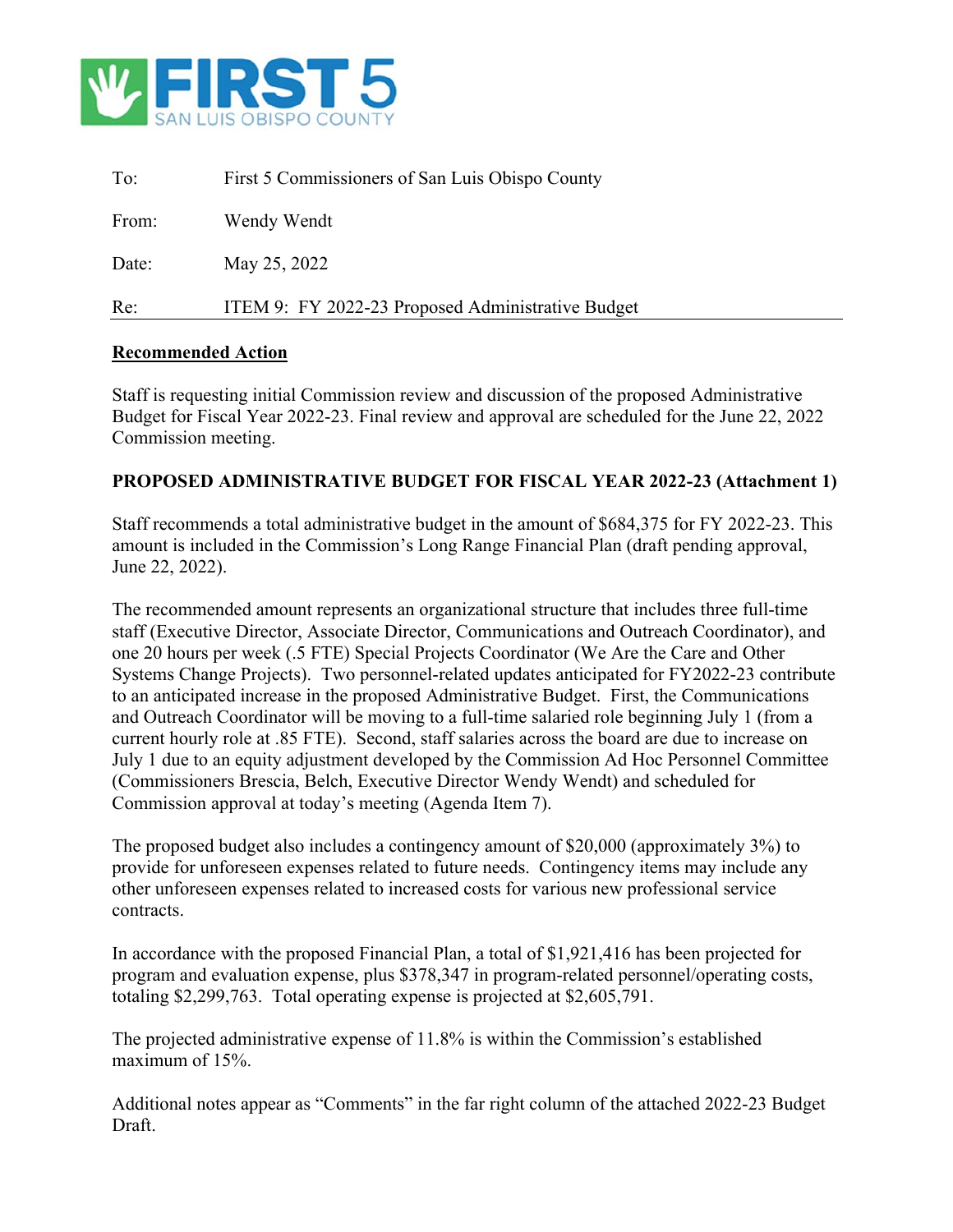

| Re:   | ITEM 9: FY 2022-23 Proposed Administrative Budget |
|-------|---------------------------------------------------|
| Date: | May 25, 2022                                      |
| From: | Wendy Wendt                                       |
| To:   | First 5 Commissioners of San Luis Obispo County   |

#### **Recommended Action**

Staff is requesting initial Commission review and discussion of the proposed Administrative Budget for Fiscal Year 2022-23. Final review and approval are scheduled for the June 22, 2022 Commission meeting.

#### **PROPOSED ADMINISTRATIVE BUDGET FOR FISCAL YEAR 2022-23 (Attachment 1)**

Staff recommends a total administrative budget in the amount of \$684,375 for FY 2022-23. This amount is included in the Commission's Long Range Financial Plan (draft pending approval, June 22, 2022).

The recommended amount represents an organizational structure that includes three full-time staff (Executive Director, Associate Director, Communications and Outreach Coordinator), and one 20 hours per week (.5 FTE) Special Projects Coordinator (We Are the Care and Other Systems Change Projects). Two personnel-related updates anticipated for FY2022-23 contribute to an anticipated increase in the proposed Administrative Budget. First, the Communications and Outreach Coordinator will be moving to a full-time salaried role beginning July 1 (from a current hourly role at .85 FTE). Second, staff salaries across the board are due to increase on July 1 due to an equity adjustment developed by the Commission Ad Hoc Personnel Committee (Commissioners Brescia, Belch, Executive Director Wendy Wendt) and scheduled for Commission approval at today's meeting (Agenda Item 7).

The proposed budget also includes a contingency amount of \$20,000 (approximately 3%) to provide for unforeseen expenses related to future needs. Contingency items may include any other unforeseen expenses related to increased costs for various new professional service contracts.

In accordance with the proposed Financial Plan, a total of \$1,921,416 has been projected for program and evaluation expense, plus \$378,347 in program-related personnel/operating costs, totaling \$2,299,763. Total operating expense is projected at \$2,605,791.

The projected administrative expense of 11.8% is within the Commission's established maximum of 15%.

Additional notes appear as "Comments" in the far right column of the attached 2022-23 Budget Draft.